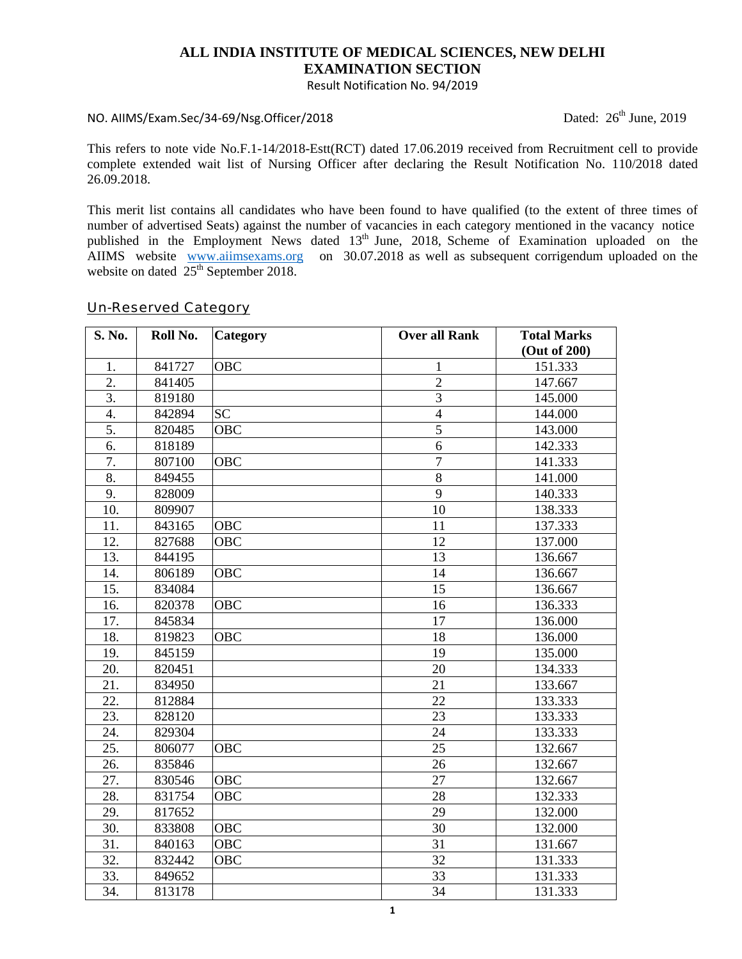### **ALL INDIA INSTITUTE OF MEDICAL SCIENCES, NEW DELHI EXAMINATION SECTION**

Result Notification No. 94/2019

#### NO. AIIMS/Exam.Sec/34‐69/Nsg.Officer/2018 Dated: 26th June, 2019

This refers to note vide No.F.1-14/2018-Estt(RCT) dated 17.06.2019 received from Recruitment cell to provide complete extended wait list of Nursing Officer after declaring the Result Notification No. 110/2018 dated 26.09.2018.

This merit list contains all candidates who have been found to have qualified (to the extent of three times of number of advertised Seats) against the number of vacancies in each category mentioned in the vacancy notice published in the Employment News dated 13<sup>th</sup> June, 2018, Scheme of Examination uploaded on the AIIMS website www.aiimsexams.org on 30.07.2018 as well as subsequent corrigendum uploaded on the website on dated  $25<sup>th</sup>$  September 2018.

#### S. No. Roll No. Category **Category Constanting Marks Over all Rank Total Marks (Out of 200)**  1. 841727 OBC 1 1 151.333 2. 841405 2 147.667 3. 819180 3 145.000 4. 842894 SC 144.000 5. 820485 OBC 5 143.000 6. 818189 6 142.333 7. 807100 OBC 7 141.333 8. 849455 8 141.000 9. 828009 9 140.333 10. 809907 10 138.333 11. 843165 OBC 11 137.333 12. 827688 OBC 12 137.000 13. 844195 13. 13 136.667 14. 806189 OBC 14 136.667 15. 834084 15 136.667 16. 820378 OBC 16 16 136.333 17. 845834 17 17 136.000 18. 819823 OBC 18 136.000 19. 845159 19. 19 135.000 20. 820451 20 134.333 21. 834950 21 21 133.667 22. 812884 22 133.333 23. 828120 | 23 | 133.333 24. 829304 24 133.333 25. 806077 OBC 25 132.667 26. 835846 26 26 132.667 27. 830546 OBC 27 132.667 28. 831754 OBC 28 132.333 29. 817652 29 29 132.000 30. 833808 OBC 30 132.000 31. 840163 OBC 31 31 131.667 32. 832442 OBC 32 131.333 33. 849652 | 33 | 31.333 34. 813178 | 34 | 31.333

# Un-Reserved Category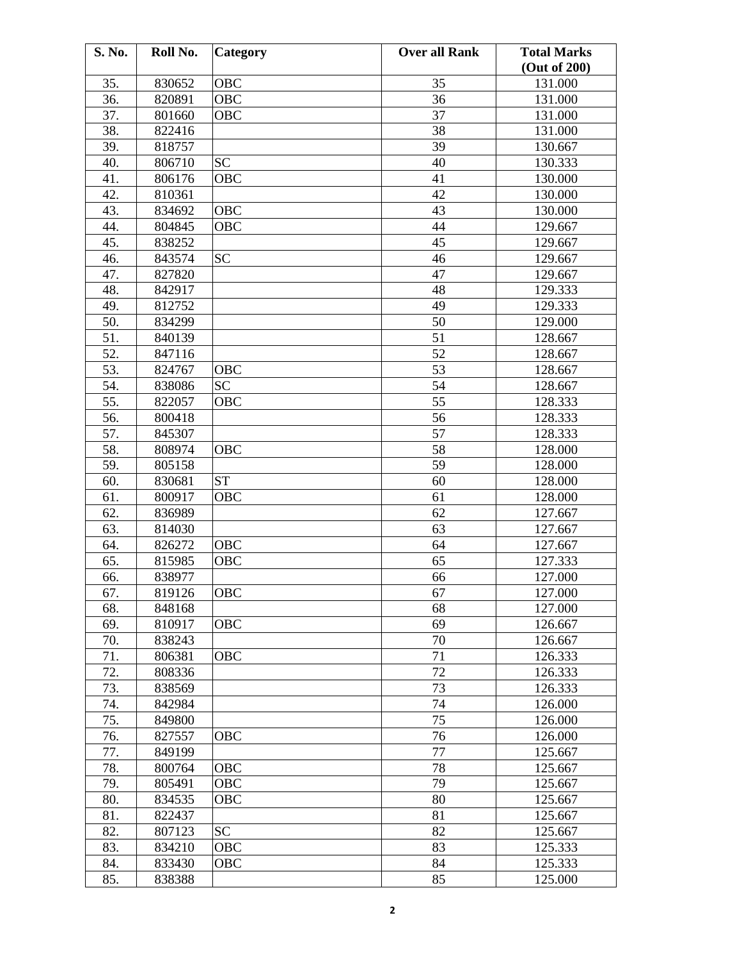| S. No. | Roll No. | <b>Category</b> | <b>Over all Rank</b> | <b>Total Marks</b> |
|--------|----------|-----------------|----------------------|--------------------|
|        |          |                 |                      | (Out of 200)       |
| 35.    | 830652   | OBC             | 35                   | 131.000            |
| 36.    | 820891   | OBC             | 36                   | 131.000            |
| 37.    | 801660   | OBC             | 37                   | 131.000            |
| 38.    | 822416   |                 | 38                   | 131.000            |
| 39.    | 818757   |                 | 39                   | 130.667            |
| 40.    | 806710   | <b>SC</b>       | 40                   | 130.333            |
| 41.    | 806176   | OBC             | 41                   | 130.000            |
| 42.    | 810361   |                 | 42                   | 130.000            |
| 43.    | 834692   | <b>OBC</b>      | 43                   | 130.000            |
| 44.    | 804845   | <b>OBC</b>      | 44                   | 129.667            |
| 45.    | 838252   |                 | 45                   | 129.667            |
| 46.    | 843574   | <b>SC</b>       | 46                   | 129.667            |
| 47.    | 827820   |                 | 47                   | 129.667            |
| 48.    | 842917   |                 | 48                   | 129.333            |
| 49.    | 812752   |                 | 49                   | 129.333            |
| 50.    | 834299   |                 | 50                   | 129.000            |
| 51.    | 840139   |                 | 51                   | 128.667            |
| 52.    | 847116   |                 | 52                   | 128.667            |
| 53.    | 824767   | OBC             | 53                   | 128.667            |
| 54.    | 838086   | SC              | 54                   | 128.667            |
| 55.    | 822057   | OBC             | 55                   | 128.333            |
| 56.    | 800418   |                 | 56                   | 128.333            |
| 57.    | 845307   |                 | 57                   | 128.333            |
| 58.    | 808974   | OBC             | 58                   | 128.000            |
| 59.    | 805158   |                 | 59                   | 128.000            |
| 60.    | 830681   | <b>ST</b>       | 60                   | 128.000            |
| 61.    | 800917   | OBC             | 61                   | 128.000            |
| 62.    |          |                 | 62                   |                    |
| 63.    | 836989   |                 |                      | 127.667            |
|        | 814030   | OBC             | 63<br>64             | 127.667            |
| 64.    | 826272   |                 |                      | 127.667            |
| 65.    | 815985   | <b>OBC</b>      | 65                   | 127.333            |
| 66.    | 838977   |                 | 66                   | 127.000            |
| 67.    | 819126   | <b>OBC</b>      | 67                   | 127.000            |
| 68.    | 848168   |                 | 68                   | 127.000            |
| 69.    | 810917   | <b>OBC</b>      | 69                   | 126.667            |
| 70.    | 838243   |                 | 70                   | 126.667            |
| 71.    | 806381   | <b>OBC</b>      | 71                   | 126.333            |
| 72.    | 808336   |                 | 72                   | 126.333            |
| 73.    | 838569   |                 | 73                   | 126.333            |
| 74.    | 842984   |                 | 74                   | 126.000            |
| 75.    | 849800   |                 | 75                   | 126.000            |
| 76.    | 827557   | OBC             | 76                   | 126.000            |
| 77.    | 849199   |                 | 77                   | 125.667            |
| 78.    | 800764   | OBC             | 78                   | 125.667            |
| 79.    | 805491   | OBC             | 79                   | 125.667            |
| 80.    | 834535   | OBC             | 80                   | 125.667            |
| 81.    | 822437   |                 | 81                   | 125.667            |
| 82.    | 807123   | <b>SC</b>       | 82                   | 125.667            |
| 83.    | 834210   | OBC             | 83                   | 125.333            |
| 84.    | 833430   | OBC             | 84                   | 125.333            |
| 85.    | 838388   |                 | 85                   | 125.000            |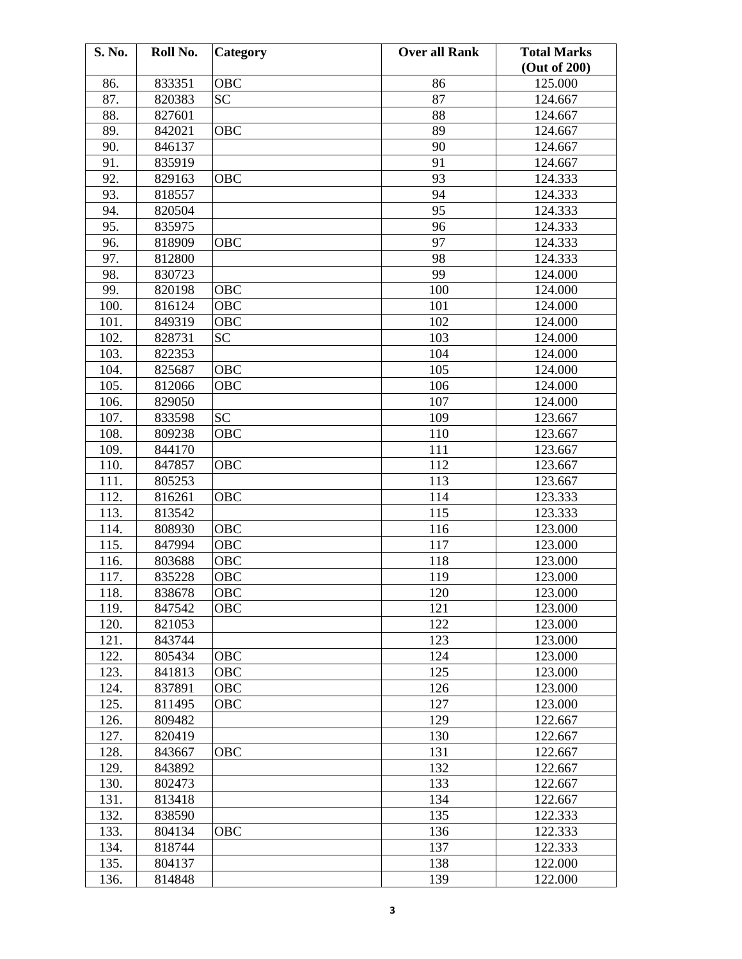| S. No. | Roll No. | Category   | <b>Over all Rank</b> | <b>Total Marks</b><br>(Out of 200) |
|--------|----------|------------|----------------------|------------------------------------|
| 86.    | 833351   | OBC        | 86                   | 125.000                            |
| 87.    | 820383   | <b>SC</b>  | 87                   | 124.667                            |
| 88.    | 827601   |            | 88                   | 124.667                            |
| 89.    | 842021   | OBC        | 89                   | 124.667                            |
|        |          |            | 90                   |                                    |
| 90.    | 846137   |            |                      | 124.667                            |
| 91.    | 835919   |            | 91                   | 124.667                            |
| 92.    | 829163   | OBC        | 93                   | 124.333                            |
| 93.    | 818557   |            | 94                   | 124.333                            |
| 94.    | 820504   |            | 95                   | 124.333                            |
| 95.    | 835975   |            | 96                   | 124.333                            |
| 96.    | 818909   | OBC        | 97                   | 124.333                            |
| 97.    | 812800   |            | 98                   | 124.333                            |
| 98.    | 830723   |            | 99                   | 124.000                            |
| 99.    | 820198   | OBC        | 100                  | 124.000                            |
| 100.   | 816124   | OBC        | 101                  | 124.000                            |
| 101.   | 849319   | OBC        | 102                  | 124.000                            |
| 102.   | 828731   | <b>SC</b>  | 103                  | 124.000                            |
| 103.   | 822353   |            | 104                  | 124.000                            |
| 104.   | 825687   | <b>OBC</b> | 105                  | 124.000                            |
| 105.   | 812066   | OBC        | 106                  | 124.000                            |
| 106.   | 829050   |            | 107                  | 124.000                            |
| 107.   | 833598   | <b>SC</b>  | 109                  | 123.667                            |
| 108.   | 809238   | OBC        | 110                  | 123.667                            |
| 109.   | 844170   |            | 111                  | 123.667                            |
| 110.   | 847857   | OBC        | 112                  | 123.667                            |
| 111.   | 805253   |            | 113                  | 123.667                            |
| 112.   | 816261   | OBC        | 114                  | 123.333                            |
| 113.   | 813542   |            | 115                  | 123.333                            |
| 114.   | 808930   | <b>OBC</b> | 116                  | 123.000                            |
| 115.   | 847994   | OBC        | 117                  | 123.000                            |
| 116.   | 803688   | OBC        | 118                  | 123.000                            |
| 117.   | 835228   | OBC        | 119                  | 123.000                            |
| 118.   | 838678   | <b>OBC</b> | 120                  | 123.000                            |
| 119.   | 847542   | <b>OBC</b> | 121                  | 123.000                            |
| 120.   | 821053   |            | 122                  | 123.000                            |
| 121.   | 843744   |            | 123                  | 123.000                            |
| 122.   | 805434   | OBC        | 124                  | 123.000                            |
| 123.   | 841813   | OBC        | 125                  | 123.000                            |
| 124.   | 837891   | OBC        | 126                  | 123.000                            |
| 125.   | 811495   | <b>OBC</b> | 127                  | 123.000                            |
| 126.   | 809482   |            | 129                  | 122.667                            |
| 127.   | 820419   |            | 130                  | 122.667                            |
| 128.   | 843667   | OBC        | 131                  | 122.667                            |
| 129.   | 843892   |            | 132                  | 122.667                            |
| 130.   | 802473   |            | 133                  | 122.667                            |
| 131.   | 813418   |            | 134                  | 122.667                            |
| 132.   | 838590   |            | 135                  | 122.333                            |
| 133.   | 804134   | <b>OBC</b> | 136                  | 122.333                            |
| 134.   | 818744   |            | 137                  | 122.333                            |
| 135.   | 804137   |            | 138                  | 122.000                            |
| 136.   | 814848   |            | 139                  | 122.000                            |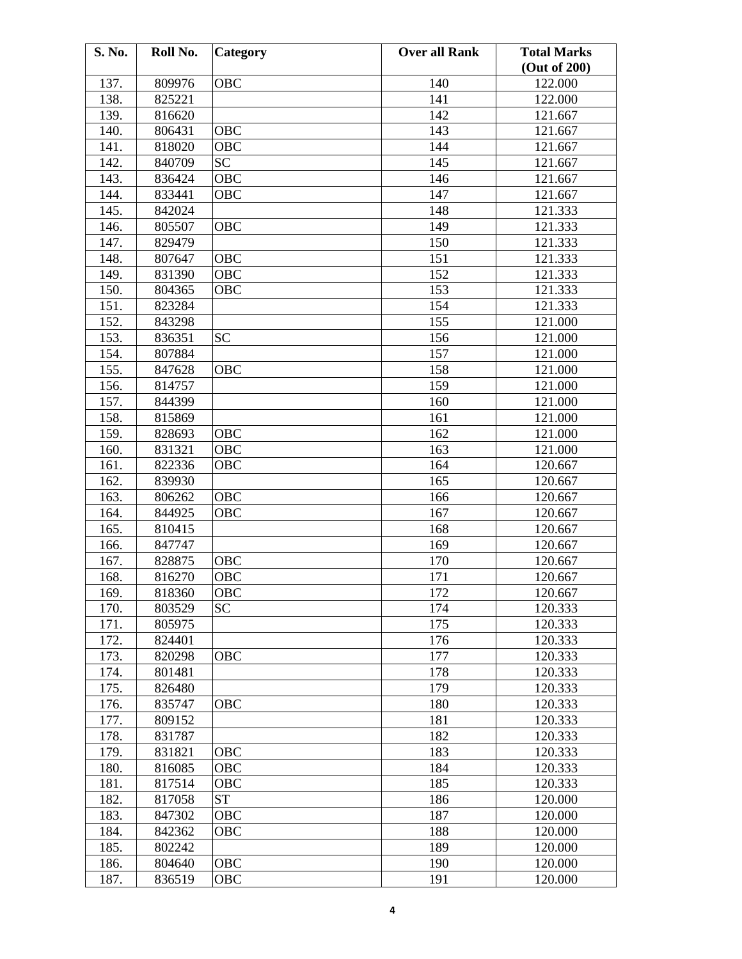| S. No.       | Roll No.         | <b>Category</b> | <b>Over all Rank</b> | <b>Total Marks</b> |
|--------------|------------------|-----------------|----------------------|--------------------|
|              |                  |                 |                      | (Out of 200)       |
| 137.         | 809976           | <b>OBC</b>      | 140                  | 122.000            |
| 138.         | 825221           |                 | 141                  | 122.000            |
| 139.         | 816620           |                 | 142                  | 121.667            |
| 140.         | 806431           | <b>OBC</b>      | 143                  | 121.667            |
| 141.         | 818020           | <b>OBC</b>      | 144                  | 121.667            |
| 142.         | 840709           | <b>SC</b>       | 145                  | 121.667            |
| 143.         | 836424           | OBC             | 146                  | 121.667            |
| 144.         | 833441           | OBC             | 147                  | 121.667            |
| 145.         | 842024           |                 | 148                  | 121.333            |
| 146.         | 805507           | <b>OBC</b>      | 149                  | 121.333            |
| 147.         | 829479           |                 | 150                  | 121.333            |
| 148.         | 807647           | OBC             | 151                  | 121.333            |
| 149.         | 831390           | OBC             | 152                  | 121.333            |
| 150.         | 804365           | <b>OBC</b>      | 153                  | 121.333            |
| 151.         | 823284           |                 | 154                  | 121.333            |
| 152.         | 843298           |                 | 155                  | 121.000            |
| 153.         | 836351           | <b>SC</b>       | 156                  | 121.000            |
| 154.         | 807884           |                 | 157                  | 121.000            |
| 155.         | 847628           | OBC             | 158                  | 121.000            |
| 156.         | 814757           |                 | 159                  | 121.000            |
| 157.         | 844399           |                 | 160                  | 121.000            |
| 158.         | 815869           |                 | 161                  | 121.000            |
| 159.         | 828693           | OBC             | 162                  | 121.000            |
| 160.         | 831321           | <b>OBC</b>      | 163                  | 121.000            |
| 161.         | 822336           | OBC             | 164                  | 120.667            |
| 162.         | 839930           |                 | 165                  | 120.667            |
| 163.         | 806262           | <b>OBC</b>      | 166                  | 120.667            |
| 164.         | 844925           | OBC             | 167                  | 120.667            |
| 165.         | 810415           |                 | 168                  | 120.667            |
| 166.         | 847747           |                 | 169                  | 120.667            |
| 167.         | 828875           | <b>OBC</b>      | 170                  | 120.667            |
| 168.         | 816270           | <b>OBC</b>      | 171                  | 120.667            |
| 169.         | 818360           | <b>OBC</b>      | 172                  | 120.667            |
| 170.         | 803529           | <b>SC</b>       | 174                  | 120.333            |
| 171.         | 805975           |                 | 175                  | 120.333            |
| 172.         | 824401           |                 | 176                  | 120.333            |
| 173.         | 820298           | <b>OBC</b>      | 177                  | 120.333            |
| 174.         | 801481           |                 | 178                  | 120.333            |
| 175.         | 826480           |                 | 179                  | 120.333            |
| 176.         | 835747           | OBC             | 180                  | 120.333            |
| 177.         | 809152           |                 | 181                  | 120.333            |
| 178.         | 831787           |                 | 182                  | 120.333            |
| 179.         | 831821           | OBC             | 183                  | 120.333            |
| 180.         | 816085           | OBC             | 184                  | 120.333            |
| 181.         | 817514           | OBC             | 185                  | 120.333            |
| 182.         |                  | <b>ST</b>       |                      |                    |
| 183.         | 817058           | OBC             | 186<br>187           | 120.000<br>120.000 |
|              | 847302           |                 | 188                  |                    |
| 184.<br>185. | 842362<br>802242 | OBC             | 189                  | 120.000<br>120.000 |
|              |                  |                 |                      |                    |
| 186.         | 804640           | <b>OBC</b>      | 190                  | 120.000            |
| 187.         | 836519           | OBC             | 191                  | 120.000            |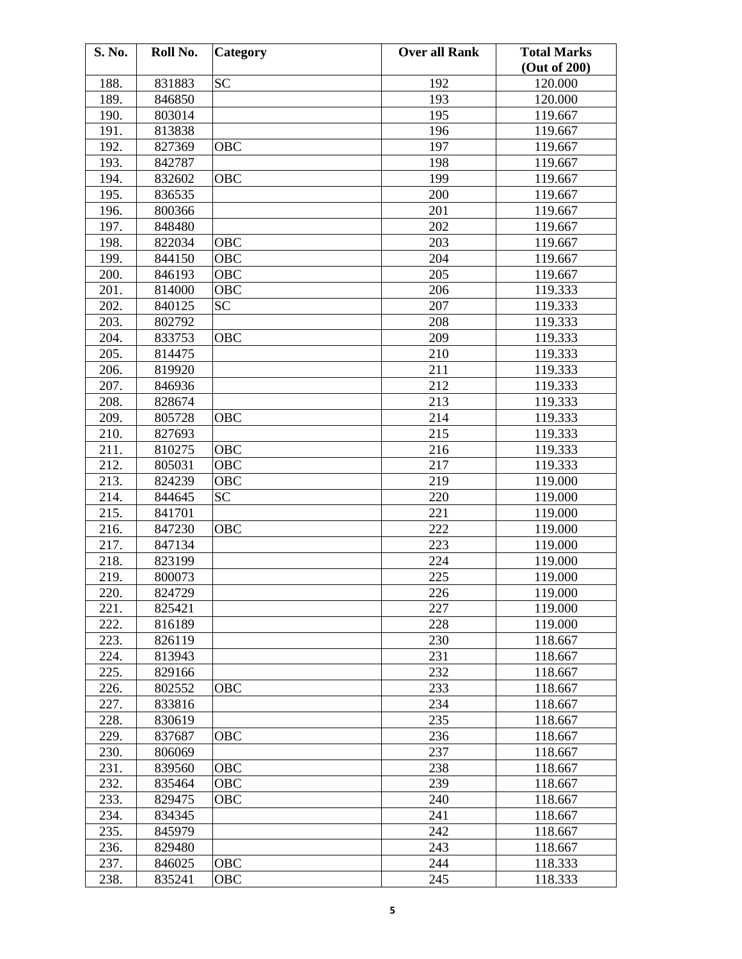| S. No. | Roll No. | Category   | <b>Over all Rank</b> | <b>Total Marks</b><br>(Out of 200) |
|--------|----------|------------|----------------------|------------------------------------|
| 188.   | 831883   | <b>SC</b>  | 192                  | 120.000                            |
| 189.   | 846850   |            | 193                  | 120.000                            |
| 190.   | 803014   |            | 195                  | 119.667                            |
| 191.   | 813838   |            | 196                  | 119.667                            |
| 192.   | 827369   | <b>OBC</b> | 197                  | 119.667                            |
| 193.   | 842787   |            | 198                  | 119.667                            |
| 194.   | 832602   | <b>OBC</b> | 199                  | 119.667                            |
| 195.   | 836535   |            | 200                  | 119.667                            |
| 196.   | 800366   |            | 201                  | 119.667                            |
| 197.   | 848480   |            | 202                  | 119.667                            |
| 198.   | 822034   | OBC        | 203                  | 119.667                            |
| 199.   | 844150   | OBC        | 204                  | 119.667                            |
| 200.   | 846193   | OBC        | 205                  | 119.667                            |
| 201.   | 814000   | <b>OBC</b> | 206                  | 119.333                            |
| 202.   | 840125   | <b>SC</b>  | 207                  | 119.333                            |
| 203.   | 802792   |            | 208                  | 119.333                            |
| 204.   | 833753   | OBC        | 209                  | 119.333                            |
| 205.   | 814475   |            | 210                  | 119.333                            |
| 206.   | 819920   |            | 211                  | 119.333                            |
| 207.   | 846936   |            | 212                  | 119.333                            |
| 208.   | 828674   |            | 213                  | 119.333                            |
|        |          |            |                      |                                    |
| 209.   | 805728   | OBC        | 214                  | 119.333                            |
| 210.   | 827693   |            | 215                  | 119.333                            |
| 211.   | 810275   | OBC        | 216                  | 119.333                            |
| 212.   | 805031   | <b>OBC</b> | 217                  | 119.333                            |
| 213.   | 824239   | OBC        | 219                  | 119.000                            |
| 214.   | 844645   | <b>SC</b>  | 220                  | 119.000                            |
| 215.   | 841701   |            | 221                  | 119.000                            |
| 216.   | 847230   | OBC        | 222                  | 119.000                            |
| 217.   | 847134   |            | 223                  | 119.000                            |
| 218.   | 823199   |            | 224                  | 119.000                            |
| 219.   | 800073   |            | 225                  | 119.000                            |
| 220.   | 824729   |            | 226                  | 119.000                            |
| 221.   | 825421   |            | 227                  | 119.000                            |
| 222.   | 816189   |            | 228                  | 119.000                            |
| 223.   | 826119   |            | 230                  | 118.667                            |
| 224.   | 813943   |            | 231                  | 118.667                            |
| 225.   | 829166   |            | 232                  | 118.667                            |
| 226.   | 802552   | OBC        | 233                  | 118.667                            |
| 227.   | 833816   |            | 234                  | 118.667                            |
| 228.   | 830619   |            | 235                  | 118.667                            |
| 229.   | 837687   | <b>OBC</b> | 236                  | 118.667                            |
| 230.   | 806069   |            | 237                  | 118.667                            |
| 231.   | 839560   | OBC        | 238                  | 118.667                            |
| 232.   | 835464   | OBC        | 239                  | 118.667                            |
| 233.   | 829475   | OBC        | 240                  | 118.667                            |
| 234.   | 834345   |            | 241                  | 118.667                            |
| 235.   | 845979   |            | 242                  | 118.667                            |
| 236.   | 829480   |            | 243                  | 118.667                            |
| 237.   | 846025   | OBC        | 244                  | 118.333                            |
| 238.   | 835241   | OBC        | 245                  | 118.333                            |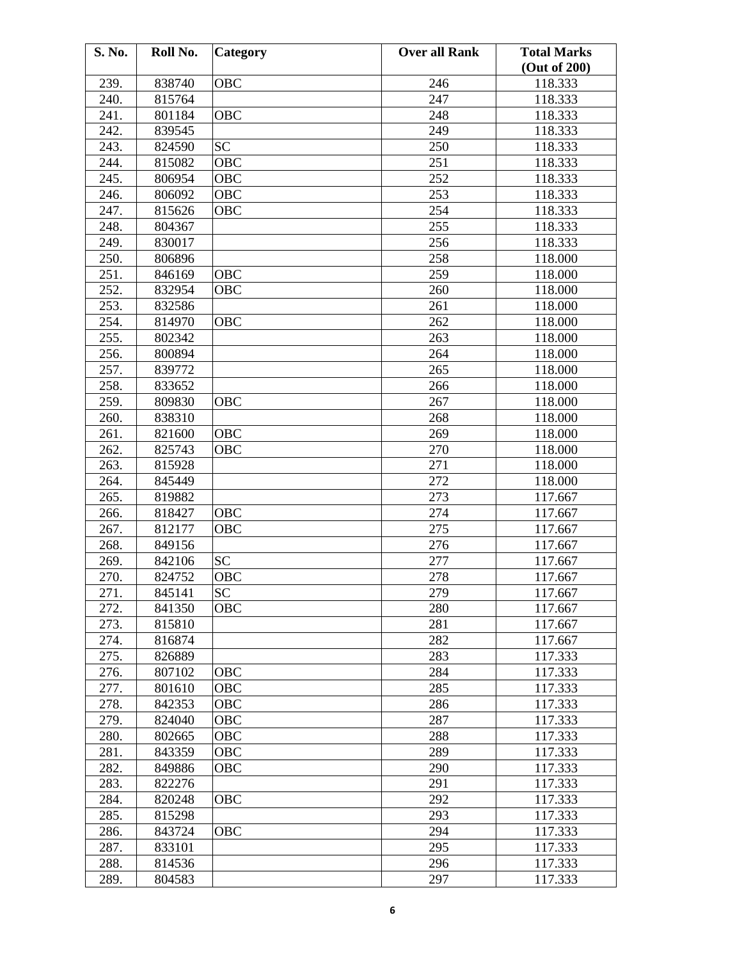| S. No. | Roll No. | Category   | <b>Over all Rank</b> | <b>Total Marks</b> |
|--------|----------|------------|----------------------|--------------------|
|        |          |            |                      | (Out of 200)       |
| 239.   | 838740   | OBC        | 246                  | 118.333            |
| 240.   | 815764   |            | 247                  | 118.333            |
| 241.   | 801184   | OBC        | 248                  | 118.333            |
| 242.   | 839545   |            | 249                  | 118.333            |
| 243.   | 824590   | <b>SC</b>  | 250                  | 118.333            |
| 244.   | 815082   | OBC        | 251                  | 118.333            |
| 245.   | 806954   | OBC        | 252                  | 118.333            |
| 246.   | 806092   | <b>OBC</b> | 253                  | 118.333            |
| 247.   | 815626   | OBC        | 254                  | 118.333            |
| 248.   | 804367   |            | 255                  | 118.333            |
| 249.   | 830017   |            | 256                  | 118.333            |
| 250.   | 806896   |            | 258                  | 118.000            |
| 251.   | 846169   | <b>OBC</b> | 259                  | 118.000            |
| 252.   | 832954   | OBC        | 260                  | 118.000            |
| 253.   | 832586   |            | 261                  | 118.000            |
| 254.   | 814970   | <b>OBC</b> | 262                  | 118.000            |
| 255.   | 802342   |            | 263                  | 118.000            |
| 256.   | 800894   |            | 264                  | 118.000            |
| 257.   | 839772   |            | 265                  | 118.000            |
| 258.   | 833652   |            | 266                  | 118.000            |
|        |          |            | 267                  |                    |
| 259.   | 809830   | OBC        |                      | 118.000            |
| 260.   | 838310   |            | 268                  | 118.000            |
| 261.   | 821600   | OBC        | 269                  | 118.000            |
| 262.   | 825743   | <b>OBC</b> | 270                  | 118.000            |
| 263.   | 815928   |            | 271                  | 118.000            |
| 264.   | 845449   |            | 272                  | 118.000            |
| 265.   | 819882   |            | 273                  | 117.667            |
| 266.   | 818427   | OBC        | 274                  | 117.667            |
| 267.   | 812177   | OBC        | 275                  | 117.667            |
| 268.   | 849156   |            | 276                  | 117.667            |
| 269.   | 842106   | <b>SC</b>  | 277                  | 117.667            |
| 270.   | 824752   | OBC        | 278                  | 117.667            |
| 271.   | 845141   | <b>SC</b>  | 279                  | 117.667            |
| 272.   | 841350   | <b>OBC</b> | 280                  | 117.667            |
| 273.   | 815810   |            | 281                  | 117.667            |
| 274.   | 816874   |            | 282                  | 117.667            |
| 275.   | 826889   |            | 283                  | 117.333            |
| 276.   | 807102   | OBC        | 284                  | 117.333            |
| 277.   | 801610   | OBC        | 285                  | 117.333            |
| 278.   | 842353   | OBC        | 286                  | 117.333            |
| 279.   | 824040   | OBC        | 287                  | 117.333            |
| 280.   | 802665   | OBC        | 288                  | 117.333            |
| 281.   | 843359   | OBC        | 289                  | 117.333            |
| 282.   | 849886   | OBC        | 290                  | 117.333            |
| 283.   | 822276   |            | 291                  | 117.333            |
| 284.   | 820248   | OBC        | 292                  | 117.333            |
| 285.   | 815298   |            | 293                  | 117.333            |
| 286.   | 843724   | <b>OBC</b> | 294                  | 117.333            |
| 287.   | 833101   |            | 295                  | 117.333            |
| 288.   | 814536   |            | 296                  | 117.333            |
| 289.   | 804583   |            | 297                  | 117.333            |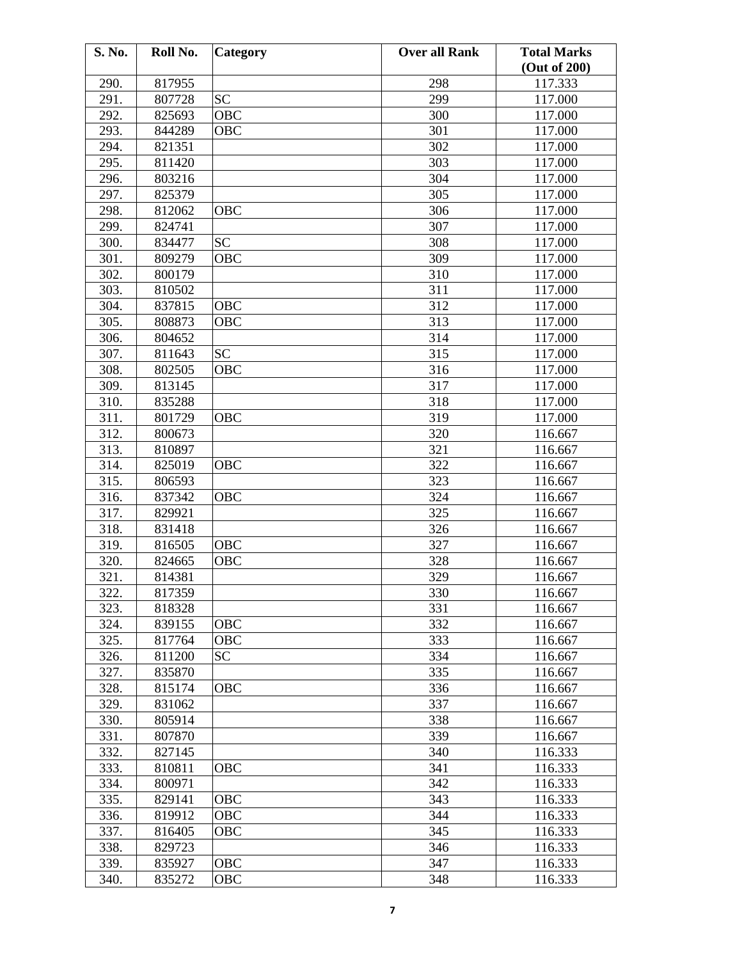| S. No. | Roll No. | <b>Category</b> | <b>Over all Rank</b> | <b>Total Marks</b><br>(Out of 200) |
|--------|----------|-----------------|----------------------|------------------------------------|
| 290.   | 817955   |                 | 298                  | 117.333                            |
| 291.   | 807728   | <b>SC</b>       | 299                  | 117.000                            |
| 292.   | 825693   | OBC             | 300                  | 117.000                            |
| 293.   | 844289   | OBC             | 301                  | 117.000                            |
| 294.   | 821351   |                 | 302                  | 117.000                            |
| 295.   | 811420   |                 | 303                  | 117.000                            |
| 296.   | 803216   |                 | 304                  | 117.000                            |
| 297.   | 825379   |                 | 305                  | 117.000                            |
| 298.   | 812062   | OBC             | 306                  | 117.000                            |
| 299.   | 824741   |                 | 307                  | 117.000                            |
| 300.   | 834477   | <b>SC</b>       | 308                  | 117.000                            |
| 301.   | 809279   | <b>OBC</b>      | 309                  | 117.000                            |
| 302.   | 800179   |                 | 310                  | 117.000                            |
| 303.   | 810502   |                 | 311                  | 117.000                            |
| 304.   | 837815   | OBC             | 312                  | 117.000                            |
| 305.   | 808873   | OBC             | 313                  | 117.000                            |
| 306.   | 804652   |                 | 314                  | 117.000                            |
| 307.   | 811643   | <b>SC</b>       | 315                  | 117.000                            |
| 308.   | 802505   | <b>OBC</b>      | 316                  | 117.000                            |
| 309.   | 813145   |                 | 317                  | 117.000                            |
| 310.   | 835288   |                 | 318                  | 117.000                            |
| 311.   | 801729   | OBC             | 319                  | 117.000                            |
| 312.   | 800673   |                 | 320                  | 116.667                            |
| 313.   | 810897   |                 | 321                  | 116.667                            |
| 314.   | 825019   | OBC             | 322                  | 116.667                            |
| 315.   | 806593   |                 | 323                  | 116.667                            |
| 316.   | 837342   | <b>OBC</b>      | 324                  | 116.667                            |
| 317.   | 829921   |                 | 325                  | 116.667                            |
| 318.   | 831418   |                 | 326                  | 116.667                            |
| 319.   | 816505   | OBC             | 327                  | 116.667                            |
| 320.   | 824665   | OBC             | 328                  | 116.667                            |
| 321.   | 814381   |                 | 329                  | 116.667                            |
| 322.   | 817359   |                 | 330                  | 116.667                            |
| 323.   | 818328   |                 | 331                  | 116.667                            |
| 324.   | 839155   | OBC             | 332                  | 116.667                            |
| 325.   | 817764   | OBC             | 333                  | 116.667                            |
| 326.   | 811200   | <b>SC</b>       | 334                  | 116.667                            |
| 327.   | 835870   |                 | 335                  | 116.667                            |
| 328.   | 815174   | OBC             | 336                  | 116.667                            |
| 329.   | 831062   |                 | 337                  | 116.667                            |
| 330.   | 805914   |                 | 338                  | 116.667                            |
| 331.   | 807870   |                 | 339                  | 116.667                            |
| 332.   | 827145   |                 | 340                  | 116.333                            |
| 333.   | 810811   | OBC             | 341                  | 116.333                            |
| 334.   | 800971   |                 | 342                  | 116.333                            |
| 335.   | 829141   | OBC             | 343                  | 116.333                            |
| 336.   | 819912   | OBC             | 344                  | 116.333                            |
| 337.   | 816405   | <b>OBC</b>      | 345                  | 116.333                            |
| 338.   | 829723   |                 | 346                  | 116.333                            |
| 339.   | 835927   | OBC             | 347                  | 116.333                            |
| 340.   | 835272   | OBC             | 348                  | 116.333                            |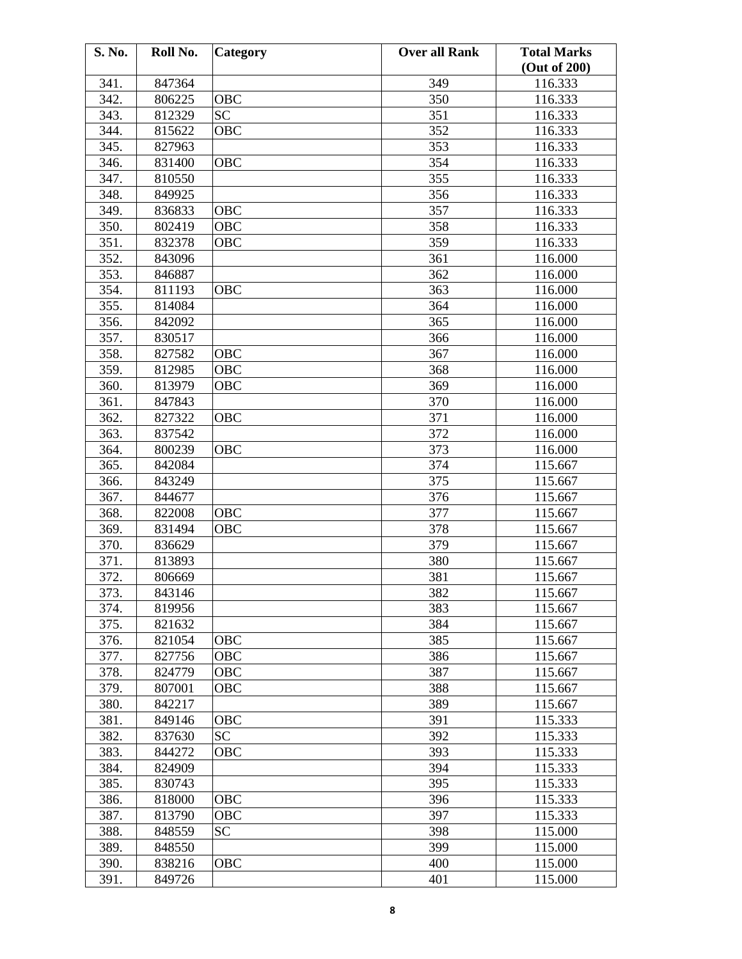| S. No. | Roll No. | Category   | <b>Over all Rank</b> | <b>Total Marks</b> |
|--------|----------|------------|----------------------|--------------------|
|        |          |            |                      | (Out of 200)       |
| 341.   | 847364   |            | 349                  | 116.333            |
| 342.   | 806225   | <b>OBC</b> | 350                  | 116.333            |
| 343.   | 812329   | <b>SC</b>  | 351                  | 116.333            |
| 344.   | 815622   | OBC        | 352                  | 116.333            |
| 345.   | 827963   |            | 353                  | 116.333            |
| 346.   | 831400   | OBC        | 354                  | 116.333            |
| 347.   | 810550   |            | 355                  | 116.333            |
| 348.   | 849925   |            | 356                  | 116.333            |
| 349.   | 836833   | OBC        | 357                  | 116.333            |
| 350.   | 802419   | OBC        | 358                  | 116.333            |
| 351.   | 832378   | OBC        | 359                  | 116.333            |
| 352.   | 843096   |            | 361                  | 116.000            |
| 353.   | 846887   |            | 362                  | 116.000            |
| 354.   | 811193   | OBC        | 363                  | 116.000            |
| 355.   | 814084   |            | 364                  | 116.000            |
| 356.   | 842092   |            | 365                  | 116.000            |
| 357.   | 830517   |            | 366                  | 116.000            |
| 358.   | 827582   | <b>OBC</b> | 367                  | 116.000            |
| 359.   | 812985   | OBC        | 368                  | 116.000            |
| 360.   | 813979   | OBC        | 369                  | 116.000            |
| 361.   | 847843   |            | 370                  | 116.000            |
|        |          |            |                      |                    |
| 362.   | 827322   | OBC        | 371                  | 116.000            |
| 363.   | 837542   |            | 372                  | 116.000            |
| 364.   | 800239   | <b>OBC</b> | 373                  | 116.000            |
| 365.   | 842084   |            | 374                  | 115.667            |
| 366.   | 843249   |            | 375                  | 115.667            |
| 367.   | 844677   |            | 376                  | 115.667            |
| 368.   | 822008   | <b>OBC</b> | 377                  | 115.667            |
| 369.   | 831494   | OBC        | 378                  | 115.667            |
| 370.   | 836629   |            | 379                  | 115.667            |
| 371.   | 813893   |            | 380                  | 115.667            |
| 372.   | 806669   |            | 381                  | 115.667            |
| 373.   | 843146   |            | 382                  | 115.667            |
| 374.   | 819956   |            | 383                  | 115.667            |
| 375.   | 821632   |            | 384                  | 115.667            |
| 376.   | 821054   | OBC        | 385                  | 115.667            |
| 377.   | 827756   | OBC        | 386                  | 115.667            |
| 378.   | 824779   | OBC        | 387                  | 115.667            |
| 379.   | 807001   | <b>OBC</b> | 388                  | 115.667            |
| 380.   | 842217   |            | 389                  | 115.667            |
| 381.   | 849146   | OBC        | 391                  | 115.333            |
| 382.   | 837630   | <b>SC</b>  | 392                  | 115.333            |
| 383.   | 844272   | OBC        | 393                  | 115.333            |
| 384.   | 824909   |            | 394                  | 115.333            |
| 385.   | 830743   |            | 395                  | 115.333            |
| 386.   | 818000   | OBC        | 396                  | 115.333            |
| 387.   | 813790   | OBC        | 397                  | 115.333            |
| 388.   | 848559   | <b>SC</b>  | 398                  | 115.000            |
| 389.   | 848550   |            | 399                  | 115.000            |
| 390.   | 838216   | OBC        | 400                  | 115.000            |
| 391.   | 849726   |            | 401                  | 115.000            |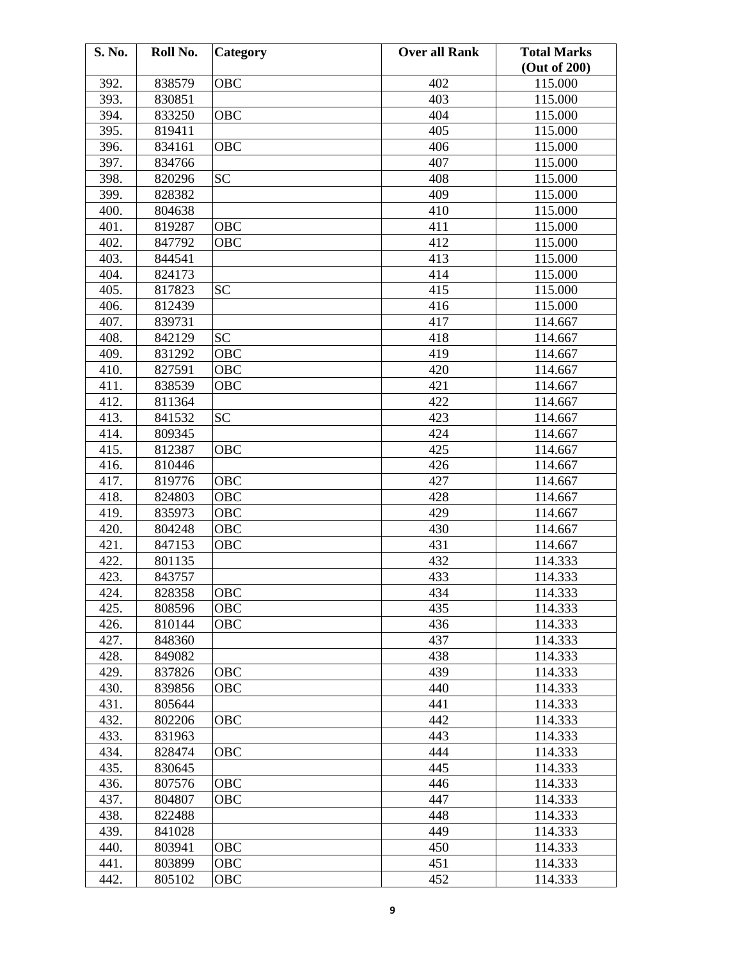| S. No. | Roll No. | Category   | <b>Over all Rank</b> | <b>Total Marks</b> |
|--------|----------|------------|----------------------|--------------------|
|        |          |            |                      | (Out of 200)       |
| 392.   | 838579   | <b>OBC</b> | 402                  | 115.000            |
| 393.   | 830851   |            | 403                  | 115.000            |
| 394.   | 833250   | <b>OBC</b> | 404                  | 115.000            |
| 395.   | 819411   |            | 405                  | 115.000            |
| 396.   | 834161   | <b>OBC</b> | 406                  | 115.000            |
| 397.   | 834766   |            | 407                  | 115.000            |
| 398.   | 820296   | <b>SC</b>  | 408                  | 115.000            |
| 399.   | 828382   |            | 409                  | 115.000            |
| 400.   | 804638   |            | 410                  | 115.000            |
| 401.   | 819287   | OBC        | 411                  | 115.000            |
| 402.   | 847792   | <b>OBC</b> | 412                  | 115.000            |
| 403.   | 844541   |            | 413                  | 115.000            |
| 404.   | 824173   |            | 414                  | 115.000            |
| 405.   | 817823   | <b>SC</b>  | 415                  | 115.000            |
| 406.   | 812439   |            | 416                  | 115.000            |
| 407.   | 839731   |            | 417                  | 114.667            |
| 408.   | 842129   | <b>SC</b>  | 418                  | 114.667            |
| 409.   | 831292   | OBC        | 419                  | 114.667            |
| 410.   | 827591   | OBC        | 420                  | 114.667            |
| 411.   | 838539   | OBC        | 421                  | 114.667            |
| 412.   | 811364   |            | 422                  | 114.667            |
| 413.   | 841532   | <b>SC</b>  | 423                  | 114.667            |
| 414.   | 809345   |            | 424                  | 114.667            |
| 415.   | 812387   | <b>OBC</b> | 425                  | 114.667            |
| 416.   | 810446   |            | 426                  | 114.667            |
| 417.   | 819776   | <b>OBC</b> | 427                  | 114.667            |
| 418.   | 824803   | OBC        | 428                  | 114.667            |
| 419.   | 835973   | OBC        | 429                  | 114.667            |
| 420.   | 804248   | OBC        | 430                  | 114.667            |
| 421.   | 847153   | OBC        | 431                  | 114.667            |
| 422.   | 801135   |            | 432                  | 114.333            |
| 423.   | 843757   |            | 433                  | 114.333            |
| 424.   | 828358   | OBC        | 434                  | 114.333            |
| 425.   | 808596   | <b>OBC</b> | 435                  | 114.333            |
| 426.   | 810144   | OBC        | 436                  | 114.333            |
| 427.   | 848360   |            | 437                  | 114.333            |
| 428.   | 849082   |            | 438                  | 114.333            |
| 429.   | 837826   | OBC        | 439                  | 114.333            |
| 430.   | 839856   | OBC        | 440                  | 114.333            |
| 431.   | 805644   |            | 441                  | 114.333            |
| 432.   | 802206   | <b>OBC</b> | 442                  | 114.333            |
| 433.   | 831963   |            | 443                  | 114.333            |
| 434.   | 828474   | OBC        | 444                  | 114.333            |
| 435.   | 830645   |            | 445                  | 114.333            |
| 436.   | 807576   | <b>OBC</b> | 446                  | 114.333            |
| 437.   | 804807   | OBC        | 447                  | 114.333            |
| 438.   | 822488   |            | 448                  | 114.333            |
| 439.   | 841028   |            | 449                  | 114.333            |
| 440.   | 803941   | OBC        | 450                  | 114.333            |
| 441.   | 803899   | OBC        | 451                  | 114.333            |
| 442.   | 805102   | OBC        | 452                  | 114.333            |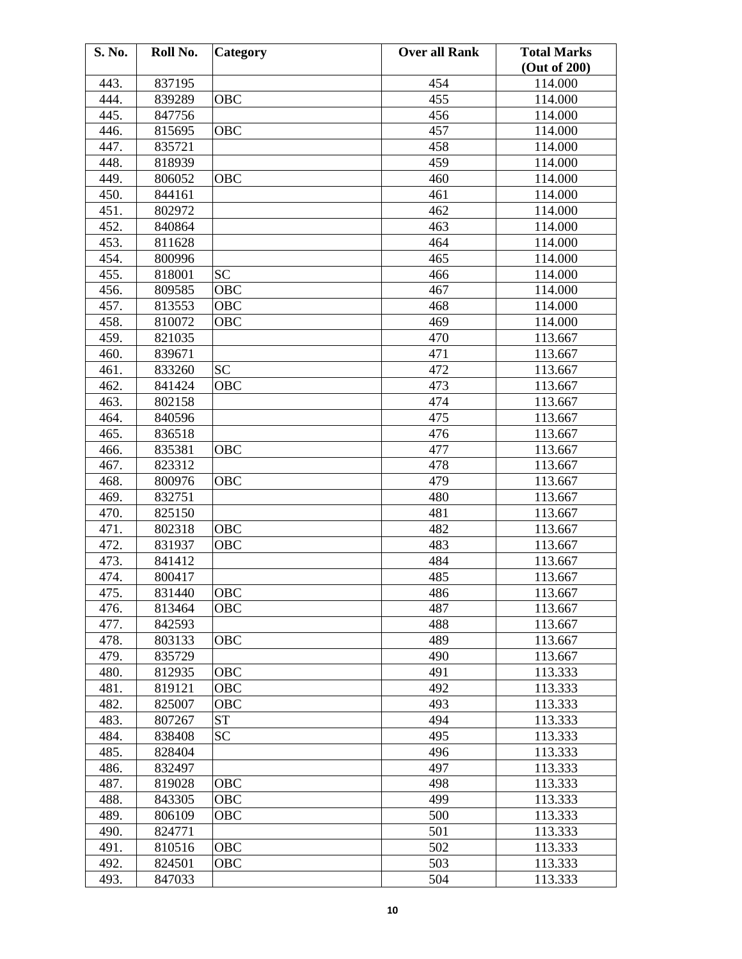| S. No. | Roll No. | <b>Category</b> | <b>Over all Rank</b> | <b>Total Marks</b><br>(Out of 200) |
|--------|----------|-----------------|----------------------|------------------------------------|
| 443.   | 837195   |                 | 454                  | 114.000                            |
| 444.   | 839289   | OBC             | 455                  | 114.000                            |
| 445.   | 847756   |                 | 456                  | 114.000                            |
|        |          |                 | 457                  |                                    |
| 446.   | 815695   | <b>OBC</b>      |                      | 114.000                            |
| 447.   | 835721   |                 | 458                  | 114.000                            |
| 448.   | 818939   |                 | 459                  | 114.000                            |
| 449.   | 806052   | OBC             | 460                  | 114.000                            |
| 450.   | 844161   |                 | 461                  | 114.000                            |
| 451.   | 802972   |                 | 462                  | 114.000                            |
| 452.   | 840864   |                 | 463                  | 114.000                            |
| 453.   | 811628   |                 | 464                  | 114.000                            |
| 454.   | 800996   |                 | 465                  | 114.000                            |
| 455.   | 818001   | <b>SC</b>       | 466                  | 114.000                            |
| 456.   | 809585   | <b>OBC</b>      | 467                  | 114.000                            |
| 457.   | 813553   | OBC             | 468                  | 114.000                            |
| 458.   | 810072   | OBC             | 469                  | 114.000                            |
| 459.   | 821035   |                 | 470                  | 113.667                            |
| 460.   | 839671   |                 | 471                  | 113.667                            |
| 461.   | 833260   | <b>SC</b>       | 472                  | 113.667                            |
| 462.   | 841424   | OBC             | 473                  | 113.667                            |
| 463.   | 802158   |                 | 474                  | 113.667                            |
| 464.   | 840596   |                 | 475                  | 113.667                            |
| 465.   | 836518   |                 | 476                  | 113.667                            |
| 466.   | 835381   | OBC             | 477                  | 113.667                            |
| 467.   | 823312   |                 | 478                  | 113.667                            |
| 468.   | 800976   | <b>OBC</b>      | 479                  | 113.667                            |
| 469.   | 832751   |                 | 480                  | 113.667                            |
| 470.   | 825150   |                 | 481                  | 113.667                            |
| 471.   | 802318   | <b>OBC</b>      | 482                  | 113.667                            |
| 472.   | 831937   | OBC             | 483                  | 113.667                            |
| 473.   | 841412   |                 | 484                  | 113.667                            |
| 474.   | 800417   |                 | 485                  | 113.667                            |
| 475.   | 831440   | <b>OBC</b>      | 486                  | 113.667                            |
| 476.   | 813464   | <b>OBC</b>      | 487                  | 113.667                            |
| 477.   | 842593   |                 | 488                  | 113.667                            |
| 478.   | 803133   | OBC             | 489                  | 113.667                            |
| 479.   | 835729   |                 | 490                  | 113.667                            |
| 480.   | 812935   | OBC             | 491                  | 113.333                            |
| 481.   | 819121   | OBC             | 492                  | 113.333                            |
| 482.   | 825007   | <b>OBC</b>      | 493                  | 113.333                            |
| 483.   | 807267   | <b>ST</b>       | 494                  | 113.333                            |
| 484.   | 838408   | <b>SC</b>       | 495                  | 113.333                            |
| 485.   | 828404   |                 | 496                  | 113.333                            |
| 486.   | 832497   |                 | 497                  | 113.333                            |
| 487.   |          |                 |                      |                                    |
|        | 819028   | OBC             | 498                  | 113.333                            |
| 488.   | 843305   | OBC             | 499                  | 113.333                            |
| 489.   | 806109   | OBC             | 500                  | 113.333                            |
| 490.   | 824771   |                 | 501                  | 113.333                            |
| 491.   | 810516   | OBC             | 502                  | 113.333                            |
| 492.   | 824501   | OBC             | 503                  | 113.333                            |
| 493.   | 847033   |                 | 504                  | 113.333                            |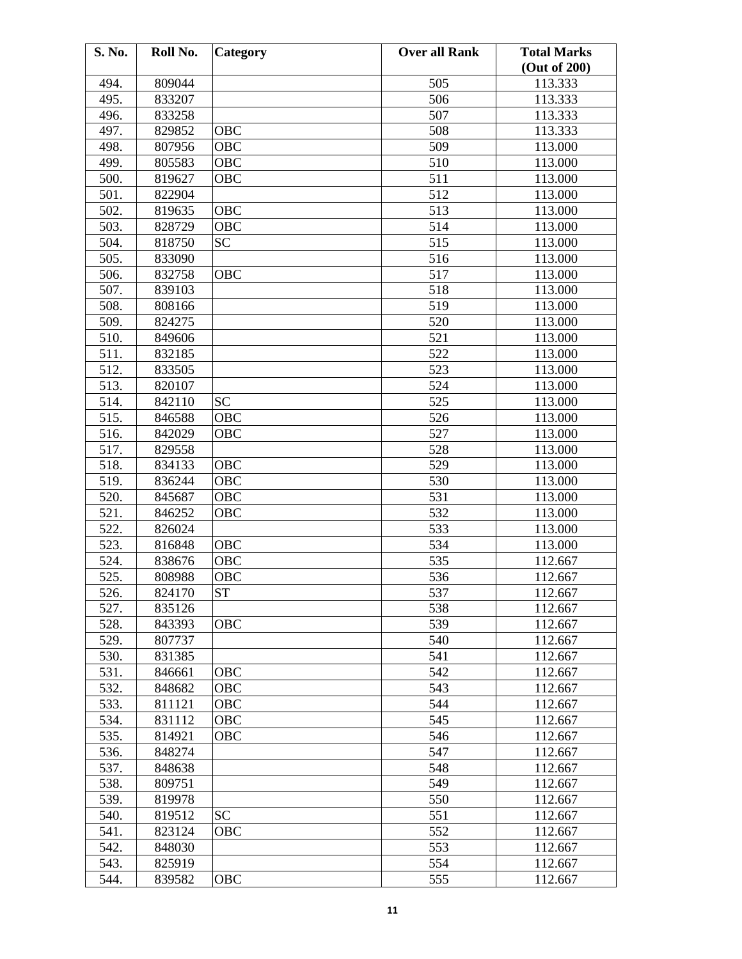| S. No. | Roll No. | Category   | <b>Over all Rank</b> | <b>Total Marks</b> |
|--------|----------|------------|----------------------|--------------------|
|        |          |            |                      | (Out of 200)       |
| 494.   | 809044   |            | 505                  | 113.333            |
| 495.   | 833207   |            | 506                  | 113.333            |
| 496.   | 833258   |            | 507                  | 113.333            |
| 497.   | 829852   | OBC        | 508                  | 113.333            |
| 498.   | 807956   | OBC        | 509                  | 113.000            |
| 499.   | 805583   | OBC        | 510                  | 113.000            |
| 500.   | 819627   | OBC        | 511                  | 113.000            |
| 501.   | 822904   |            | 512                  | 113.000            |
| 502.   | 819635   | OBC        | 513                  | 113.000            |
| 503.   | 828729   | OBC        | 514                  | 113.000            |
| 504.   | 818750   | <b>SC</b>  | 515                  | 113.000            |
| 505.   | 833090   |            | 516                  | 113.000            |
| 506.   | 832758   | OBC        | 517                  | 113.000            |
| 507.   | 839103   |            | 518                  | 113.000            |
| 508.   | 808166   |            | 519                  | 113.000            |
| 509.   | 824275   |            | 520                  | 113.000            |
| 510.   | 849606   |            | 521                  | 113.000            |
| 511.   | 832185   |            | 522                  | 113.000            |
| 512.   | 833505   |            | 523                  | 113.000            |
| 513.   | 820107   |            | 524                  | 113.000            |
| 514.   | 842110   | <b>SC</b>  | 525                  | 113.000            |
| 515.   | 846588   | <b>OBC</b> | 526                  | 113.000            |
|        |          |            |                      |                    |
| 516.   | 842029   | OBC        | 527                  | 113.000            |
| 517.   | 829558   |            | 528                  | 113.000            |
| 518.   | 834133   | OBC        | 529                  | 113.000            |
| 519.   | 836244   | OBC        | 530                  | 113.000            |
| 520.   | 845687   | OBC        | 531                  | 113.000            |
| 521.   | 846252   | OBC        | 532                  | 113.000            |
| 522.   | 826024   |            | 533                  | 113.000            |
| 523.   | 816848   | OBC        | 534                  | 113.000            |
| 524.   | 838676   | OBC        | 535                  | 112.667            |
| 525.   | 808988   | OBC        | 536                  | 112.667            |
| 526.   | 824170   | <b>ST</b>  | 537                  | 112.667            |
| 527.   | 835126   |            | 538                  | 112.667            |
| 528.   | 843393   | <b>OBC</b> | 539                  | 112.667            |
| 529.   | 807737   |            | 540                  | 112.667            |
| 530.   | 831385   |            | 541                  | 112.667            |
| 531.   | 846661   | OBC        | 542                  | 112.667            |
| 532.   | 848682   | OBC        | 543                  | 112.667            |
| 533.   | 811121   | OBC        | 544                  | 112.667            |
| 534.   | 831112   | OBC        | 545                  | 112.667            |
| 535.   | 814921   | OBC        | 546                  | 112.667            |
| 536.   | 848274   |            | 547                  | 112.667            |
| 537.   | 848638   |            | 548                  | 112.667            |
| 538.   | 809751   |            | 549                  | 112.667            |
| 539.   | 819978   |            | 550                  | 112.667            |
| 540.   | 819512   | <b>SC</b>  | 551                  | 112.667            |
| 541.   | 823124   | OBC        | 552                  | 112.667            |
| 542.   | 848030   |            | 553                  | 112.667            |
| 543.   | 825919   |            | 554                  | 112.667            |
| 544.   | 839582   | <b>OBC</b> | 555                  | 112.667            |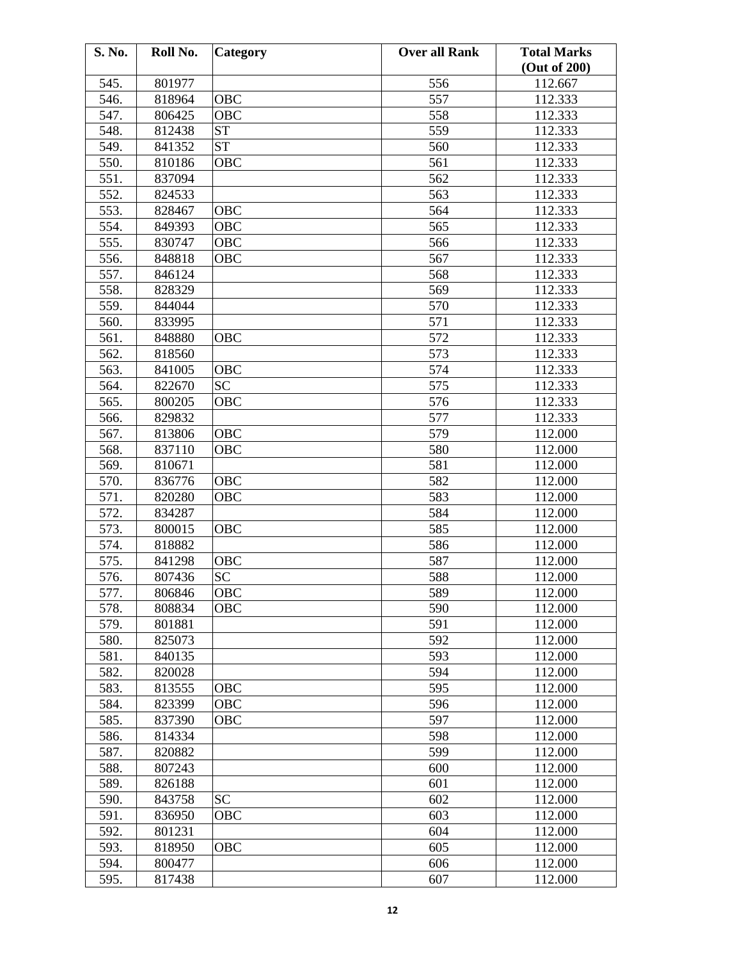| S. No. | Roll No. | Category   | <b>Over all Rank</b> | <b>Total Marks</b> |
|--------|----------|------------|----------------------|--------------------|
|        |          |            |                      | (Out of 200)       |
| 545.   | 801977   |            | 556                  | 112.667            |
| 546.   | 818964   | OBC        | 557                  | 112.333            |
| 547.   | 806425   | <b>OBC</b> | 558                  | 112.333            |
| 548.   | 812438   | <b>ST</b>  | 559                  | 112.333            |
| 549.   | 841352   | <b>ST</b>  | 560                  | 112.333            |
| 550.   | 810186   | OBC        | 561                  | 112.333            |
| 551.   | 837094   |            | 562                  | 112.333            |
| 552.   | 824533   |            | 563                  | 112.333            |
| 553.   | 828467   | OBC        | 564                  | 112.333            |
| 554.   | 849393   | OBC        | 565                  | 112.333            |
| 555.   | 830747   | <b>OBC</b> | 566                  | 112.333            |
| 556.   | 848818   | OBC        | 567                  | 112.333            |
| 557.   | 846124   |            | 568                  | 112.333            |
| 558.   | 828329   |            | 569                  | 112.333            |
| 559.   | 844044   |            | 570                  | 112.333            |
| 560.   | 833995   |            | 571                  | 112.333            |
| 561.   | 848880   | OBC        | 572                  | 112.333            |
| 562.   | 818560   |            | 573                  | 112.333            |
| 563.   | 841005   | OBC        | 574                  | 112.333            |
| 564.   | 822670   | <b>SC</b>  | 575                  | 112.333            |
| 565.   | 800205   | OBC        | 576                  | 112.333            |
| 566.   | 829832   |            | 577                  | 112.333            |
| 567.   | 813806   | OBC        | 579                  | 112.000            |
| 568.   | 837110   | OBC        | 580                  | 112.000            |
| 569.   | 810671   |            | 581                  | 112.000            |
| 570.   | 836776   | <b>OBC</b> | 582                  | 112.000            |
| 571.   | 820280   | OBC        | 583                  | 112.000            |
| 572.   |          |            | 584                  |                    |
| 573.   | 834287   |            | 585                  | 112.000            |
| 574.   | 800015   | OBC        |                      | 112.000            |
|        | 818882   |            | 586                  | 112.000            |
| 575.   | 841298   | OBC        | 587                  | 112.000            |
| 576.   | 807436   | <b>SC</b>  | 588                  | 112.000            |
| 577.   | 806846   | OBC        | 589                  | 112.000            |
| 578.   | 808834   | OBC        | 590                  | 112.000            |
| 579.   | 801881   |            | 591                  | 112.000            |
| 580.   | 825073   |            | 592                  | 112.000            |
| 581.   | 840135   |            | 593                  | 112.000            |
| 582.   | 820028   |            | 594                  | 112.000            |
| 583.   | 813555   | OBC        | 595                  | 112.000            |
| 584.   | 823399   | OBC        | 596                  | 112.000            |
| 585.   | 837390   | OBC        | 597                  | 112.000            |
| 586.   | 814334   |            | 598                  | 112.000            |
| 587.   | 820882   |            | 599                  | 112.000            |
| 588.   | 807243   |            | 600                  | 112.000            |
| 589.   | 826188   |            | 601                  | 112.000            |
| 590.   | 843758   | <b>SC</b>  | 602                  | 112.000            |
| 591.   | 836950   | OBC        | 603                  | 112.000            |
| 592.   | 801231   |            | 604                  | 112.000            |
| 593.   | 818950   | OBC        | 605                  | 112.000            |
| 594.   | 800477   |            | 606                  | 112.000            |
| 595.   | 817438   |            | 607                  | 112.000            |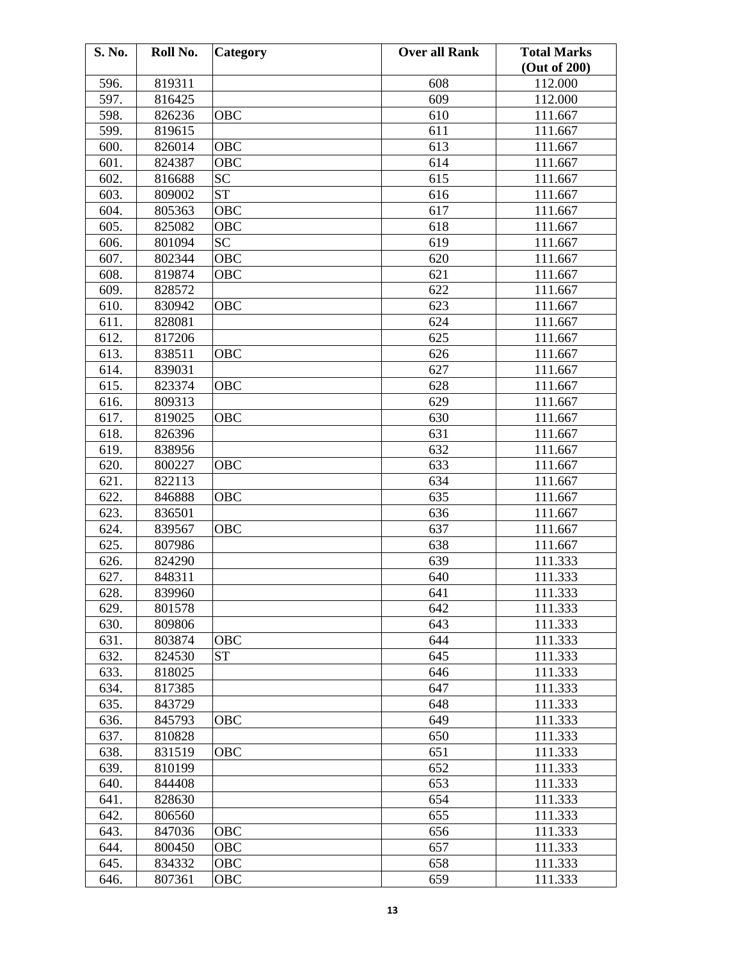| S. No. | Roll No. | Category   | <b>Over all Rank</b> | <b>Total Marks</b> |
|--------|----------|------------|----------------------|--------------------|
|        |          |            |                      | (Out of 200)       |
| 596.   | 819311   |            | 608                  | 112.000            |
| 597.   | 816425   |            | 609                  | 112.000            |
| 598.   | 826236   | OBC        | 610                  | 111.667            |
| 599.   | 819615   |            | 611                  | 111.667            |
| 600.   | 826014   | <b>OBC</b> | 613                  | 111.667            |
| 601.   | 824387   | <b>OBC</b> | 614                  | 111.667            |
| 602.   | 816688   | <b>SC</b>  | 615                  | 111.667            |
| 603.   | 809002   | <b>ST</b>  | 616                  | 111.667            |
| 604.   | 805363   | <b>OBC</b> | 617                  | 111.667            |
| 605.   | 825082   | OBC        | 618                  | 111.667            |
| 606.   | 801094   | <b>SC</b>  | 619                  | 111.667            |
| 607.   | 802344   | OBC        | 620                  | 111.667            |
| 608.   | 819874   | OBC        | 621                  | 111.667            |
| 609.   | 828572   |            | 622                  | 111.667            |
| 610.   | 830942   | <b>OBC</b> | 623                  | 111.667            |
| 611.   | 828081   |            | 624                  | 111.667            |
| 612.   | 817206   |            | 625                  | 111.667            |
| 613.   | 838511   | OBC        | 626                  | 111.667            |
| 614.   | 839031   |            | 627                  | 111.667            |
| 615.   | 823374   | OBC        | 628                  | 111.667            |
| 616.   | 809313   |            | 629                  | 111.667            |
| 617.   | 819025   | <b>OBC</b> | 630                  | 111.667            |
| 618.   | 826396   |            | 631                  | 111.667            |
| 619.   | 838956   |            | 632                  | 111.667            |
| 620.   | 800227   | OBC        | 633                  | 111.667            |
| 621.   | 822113   |            | 634                  | 111.667            |
| 622.   | 846888   | OBC        | 635                  | 111.667            |
| 623.   | 836501   |            | 636                  | 111.667            |
| 624.   | 839567   | OBC        | 637                  | 111.667            |
| 625.   | 807986   |            | 638                  | 111.667            |
| 626.   | 824290   |            | 639                  | 111.333            |
| 627.   | 848311   |            | 640                  | 111.333            |
| 628.   | 839960   |            | 641                  | 111.333            |
| 629.   | 801578   |            | 642                  | 111.333            |
| 630.   | 809806   |            | 643                  | 111.333            |
| 631.   | 803874   | OBC        | 644                  | 111.333            |
| 632.   | 824530   | <b>ST</b>  | 645                  | 111.333            |
| 633.   | 818025   |            | 646                  | 111.333            |
| 634.   | 817385   |            | 647                  | 111.333            |
| 635.   | 843729   |            | 648                  | 111.333            |
| 636.   | 845793   | OBC        | 649                  | 111.333            |
| 637.   | 810828   |            | 650                  | 111.333            |
| 638.   | 831519   | OBC        | 651                  | 111.333            |
| 639.   | 810199   |            | 652                  | 111.333            |
| 640.   | 844408   |            | 653                  | 111.333            |
| 641.   | 828630   |            | 654                  | 111.333            |
| 642.   | 806560   |            | 655                  | 111.333            |
| 643.   | 847036   | OBC        | 656                  | 111.333            |
| 644.   | 800450   | OBC        | 657                  | 111.333            |
| 645.   | 834332   | OBC        | 658                  | 111.333            |
| 646.   | 807361   | OBC        | 659                  | 111.333            |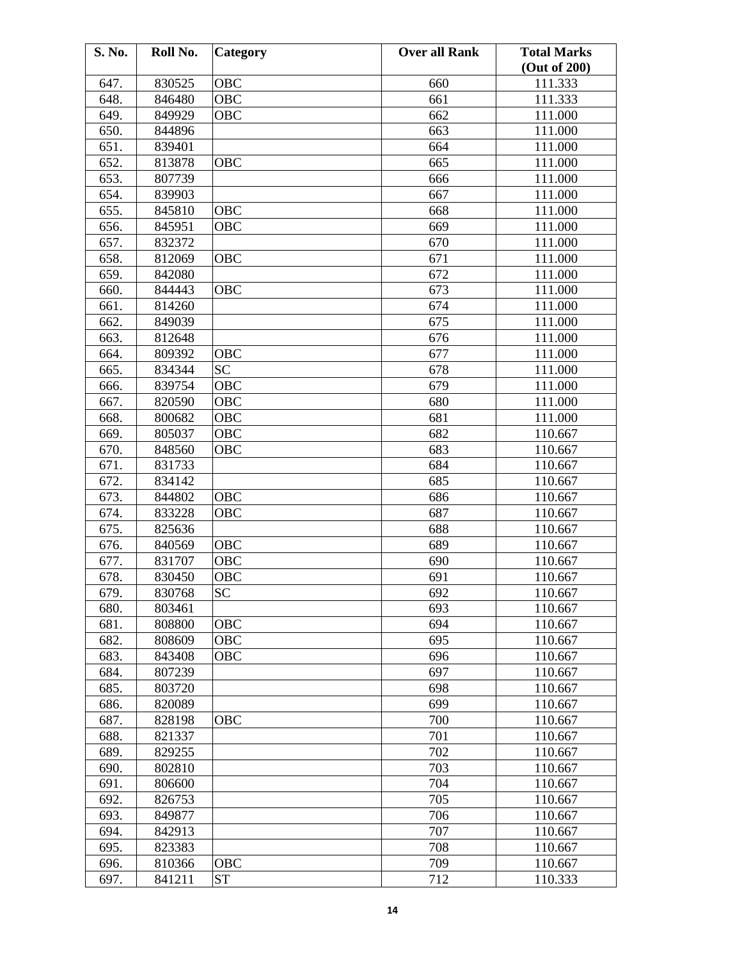| S. No. | Roll No. | Category   | <b>Over all Rank</b> | <b>Total Marks</b> |
|--------|----------|------------|----------------------|--------------------|
|        |          |            |                      | (Out of 200)       |
| 647.   | 830525   | OBC        | 660                  | 111.333            |
| 648.   | 846480   | OBC        | 661                  | 111.333            |
| 649.   | 849929   | <b>OBC</b> | 662                  | 111.000            |
| 650.   | 844896   |            | 663                  | 111.000            |
| 651.   | 839401   |            | 664                  | 111.000            |
| 652.   | 813878   | OBC        | 665                  | 111.000            |
| 653.   | 807739   |            | 666                  | 111.000            |
| 654.   | 839903   |            | 667                  | 111.000            |
| 655.   | 845810   | OBC        | 668                  | 111.000            |
| 656.   | 845951   | OBC        | 669                  | 111.000            |
| 657.   | 832372   |            | 670                  | 111.000            |
| 658.   | 812069   | OBC        | 671                  | 111.000            |
| 659.   | 842080   |            | 672                  | 111.000            |
| 660.   | 844443   | <b>OBC</b> | 673                  | 111.000            |
| 661.   | 814260   |            | 674                  | 111.000            |
| 662.   | 849039   |            | 675                  | 111.000            |
| 663.   | 812648   |            | 676                  | 111.000            |
| 664.   | 809392   | OBC        | 677                  | 111.000            |
| 665.   | 834344   | <b>SC</b>  | 678                  | 111.000            |
| 666.   | 839754   | OBC        | 679                  | 111.000            |
| 667.   | 820590   | OBC        | 680                  | 111.000            |
| 668.   | 800682   | OBC        | 681                  | 111.000            |
|        |          |            |                      |                    |
| 669.   | 805037   | OBC        | 682                  | 110.667            |
| 670.   | 848560   | OBC        | 683                  | 110.667            |
| 671.   | 831733   |            | 684                  | 110.667            |
| 672.   | 834142   |            | 685                  | 110.667            |
| 673.   | 844802   | OBC        | 686                  | 110.667            |
| 674.   | 833228   | OBC        | 687                  | 110.667            |
| 675.   | 825636   |            | 688                  | 110.667            |
| 676.   | 840569   | OBC        | 689                  | 110.667            |
| 677.   | 831707   | OBC        | 690                  | 110.667            |
| 678.   | 830450   | OBC        | 691                  | 110.667            |
| 679.   | 830768   | <b>SC</b>  | 692                  | 110.667            |
| 680.   | 803461   |            | 693                  | 110.667            |
| 681.   | 808800   | OBC        | 694                  | 110.667            |
| 682.   | 808609   | <b>OBC</b> | 695                  | 110.667            |
| 683.   | 843408   | <b>OBC</b> | 696                  | 110.667            |
| 684.   | 807239   |            | 697                  | 110.667            |
| 685.   | 803720   |            | 698                  | 110.667            |
| 686.   | 820089   |            | 699                  | 110.667            |
| 687.   | 828198   | OBC        | 700                  | 110.667            |
| 688.   | 821337   |            | 701                  | 110.667            |
| 689.   | 829255   |            | 702                  | 110.667            |
| 690.   | 802810   |            | 703                  | 110.667            |
| 691.   | 806600   |            | 704                  | 110.667            |
| 692.   | 826753   |            | 705                  | 110.667            |
| 693.   | 849877   |            | 706                  | 110.667            |
| 694.   | 842913   |            | 707                  | 110.667            |
| 695.   | 823383   |            | 708                  | 110.667            |
| 696.   | 810366   | OBC        | 709                  | 110.667            |
| 697.   | 841211   | <b>ST</b>  | 712                  | 110.333            |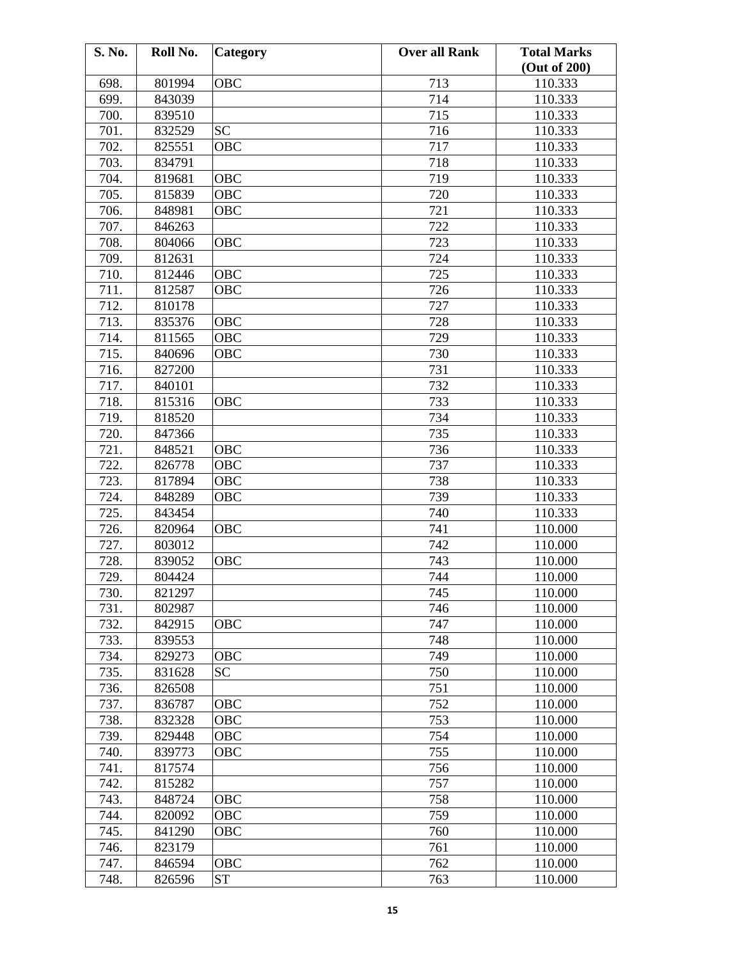| S. No. | Roll No. | Category   | <b>Over all Rank</b> | <b>Total Marks</b> |
|--------|----------|------------|----------------------|--------------------|
|        |          |            |                      | (Out of 200)       |
| 698.   | 801994   | OBC        | 713                  | 110.333            |
| 699.   | 843039   |            | 714                  | 110.333            |
| 700.   | 839510   |            | 715                  | 110.333            |
| 701.   | 832529   | <b>SC</b>  | 716                  | 110.333            |
| 702.   | 825551   | <b>OBC</b> | 717                  | 110.333            |
| 703.   | 834791   |            | 718                  | 110.333            |
| 704.   | 819681   | OBC        | 719                  | 110.333            |
| 705.   | 815839   | OBC        | 720                  | 110.333            |
| 706.   | 848981   | OBC        | 721                  | 110.333            |
| 707.   | 846263   |            | 722                  | 110.333            |
| 708.   | 804066   | <b>OBC</b> | 723                  | 110.333            |
| 709.   | 812631   |            | 724                  | 110.333            |
| 710.   | 812446   | <b>OBC</b> | 725                  | 110.333            |
| 711.   | 812587   | OBC        | 726                  | 110.333            |
| 712.   | 810178   |            | 727                  | 110.333            |
| 713.   | 835376   | OBC        | 728                  | 110.333            |
| 714.   | 811565   | <b>OBC</b> | 729                  | 110.333            |
| 715.   | 840696   | OBC        | 730                  | 110.333            |
| 716.   | 827200   |            | 731                  | 110.333            |
| 717.   | 840101   |            | 732                  | 110.333            |
| 718.   | 815316   | OBC        | 733                  | 110.333            |
| 719.   | 818520   |            | 734                  | 110.333            |
| 720.   | 847366   |            | 735                  | 110.333            |
| 721.   | 848521   | <b>OBC</b> | 736                  | 110.333            |
| 722.   | 826778   | OBC        | 737                  | 110.333            |
| 723.   | 817894   | OBC        | 738                  | 110.333            |
| 724.   | 848289   | OBC        | 739                  | 110.333            |
| 725.   | 843454   |            | 740                  | 110.333            |
| 726.   | 820964   | OBC        | 741                  | 110.000            |
| 727.   | 803012   |            | 742                  | 110.000            |
| 728.   | 839052   | OBC        | 743                  | 110.000            |
| 729.   | 804424   |            | 744                  | 110.000            |
| 730.   | 821297   |            | 745                  | 110.000            |
| 731.   | 802987   |            | 746                  | 110.000            |
| 732.   | 842915   | OBC        | 747                  | 110.000            |
| 733.   | 839553   |            | 748                  | 110.000            |
| 734.   | 829273   | OBC        | 749                  | 110.000            |
| 735.   | 831628   | <b>SC</b>  | 750                  | 110.000            |
| 736.   | 826508   |            | 751                  | 110.000            |
| 737.   | 836787   | OBC        | 752                  | 110.000            |
| 738.   | 832328   | OBC        | 753                  | 110.000            |
| 739.   | 829448   | OBC        | 754                  | 110.000            |
| 740.   | 839773   | OBC        | 755                  | 110.000            |
| 741.   | 817574   |            | 756                  | 110.000            |
| 742.   | 815282   |            | 757                  | 110.000            |
| 743.   | 848724   | OBC        | 758                  | 110.000            |
| 744.   | 820092   | OBC        | 759                  | 110.000            |
| 745.   | 841290   | <b>OBC</b> | 760                  | 110.000            |
| 746.   | 823179   |            | 761                  | 110.000            |
| 747.   | 846594   | OBC        | 762                  | 110.000            |
| 748.   | 826596   | <b>ST</b>  | 763                  | 110.000            |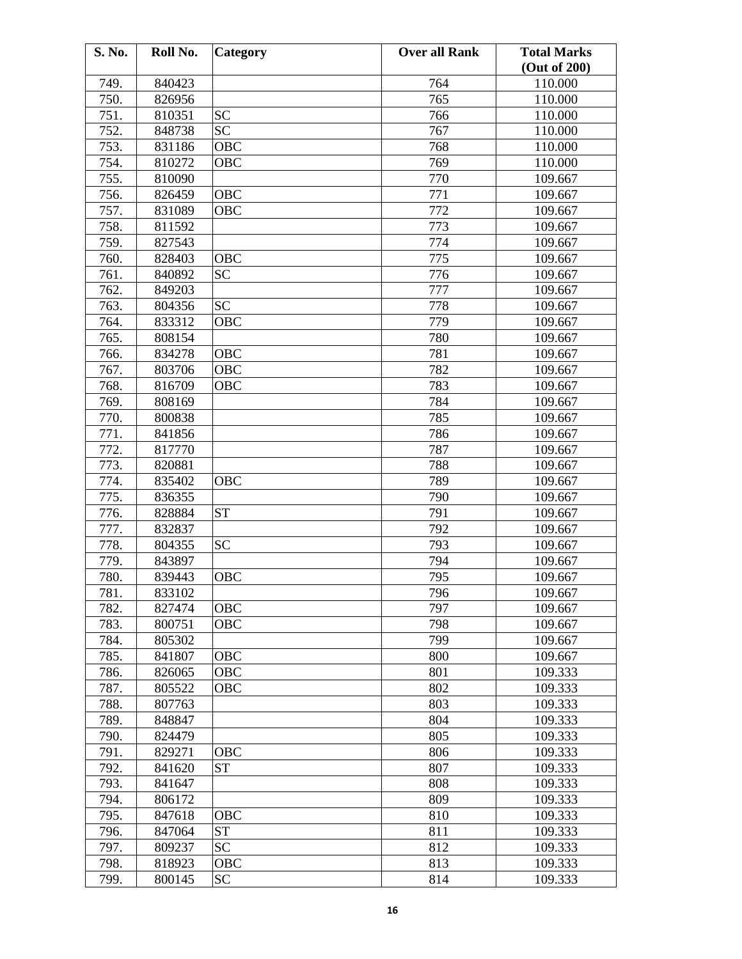| S. No. | Roll No. | Category   | <b>Over all Rank</b> | <b>Total Marks</b> |
|--------|----------|------------|----------------------|--------------------|
|        |          |            |                      | (Out of 200)       |
| 749.   | 840423   |            | 764                  | 110.000            |
| 750.   | 826956   |            | 765                  | 110.000            |
| 751.   | 810351   | <b>SC</b>  | 766                  | 110.000            |
| 752.   | 848738   | <b>SC</b>  | 767                  | 110.000            |
| 753.   | 831186   | OBC        | 768                  | 110.000            |
| 754.   | 810272   | OBC        | 769                  | 110.000            |
| 755.   | 810090   |            | 770                  | 109.667            |
| 756.   | 826459   | OBC        | 771                  | 109.667            |
| 757.   | 831089   | OBC        | 772                  | 109.667            |
| 758.   | 811592   |            | 773                  | 109.667            |
| 759.   | 827543   |            | 774                  | 109.667            |
| 760.   | 828403   | OBC        | 775                  | 109.667            |
| 761.   | 840892   | <b>SC</b>  | 776                  | 109.667            |
| 762.   | 849203   |            | 777                  | 109.667            |
| 763.   | 804356   | <b>SC</b>  | 778                  | 109.667            |
| 764.   | 833312   | OBC        | 779                  | 109.667            |
| 765.   | 808154   |            | 780                  | 109.667            |
| 766.   | 834278   | OBC        | 781                  | 109.667            |
| 767.   | 803706   | OBC        | 782                  | 109.667            |
| 768.   | 816709   | OBC        | 783                  | 109.667            |
| 769.   | 808169   |            | 784                  | 109.667            |
| 770.   | 800838   |            | 785                  | 109.667            |
| 771.   | 841856   |            | 786                  | 109.667            |
| 772.   | 817770   |            | 787                  | 109.667            |
| 773.   | 820881   |            | 788                  | 109.667            |
| 774.   | 835402   | <b>OBC</b> | 789                  | 109.667            |
| 775.   | 836355   |            | 790                  | 109.667            |
| 776.   | 828884   | <b>ST</b>  | 791                  | 109.667            |
| 777.   | 832837   |            | 792                  | 109.667            |
| 778.   | 804355   | <b>SC</b>  | 793                  | 109.667            |
| 779.   | 843897   |            | 794                  | 109.667            |
| 780.   | 839443   | <b>OBC</b> | 795                  | 109.667            |
| 781.   | 833102   |            | 796                  | 109.667            |
| 782.   | 827474   | <b>OBC</b> | 797                  | 109.667            |
| 783.   | 800751   | OBC        | 798                  | 109.667            |
| 784.   | 805302   |            | 799                  | 109.667            |
| 785.   | 841807   | OBC        | 800                  | 109.667            |
| 786.   | 826065   | OBC        | 801                  | 109.333            |
| 787.   | 805522   | OBC        | 802                  | 109.333            |
| 788.   | 807763   |            | 803                  | 109.333            |
| 789.   | 848847   |            | 804                  | 109.333            |
| 790.   | 824479   |            | 805                  | 109.333            |
| 791.   | 829271   | OBC        | 806                  | 109.333            |
| 792.   | 841620   | <b>ST</b>  | 807                  | 109.333            |
| 793.   | 841647   |            | 808                  | 109.333            |
| 794.   | 806172   |            | 809                  | 109.333            |
| 795.   | 847618   | OBC        | 810                  | 109.333            |
| 796.   | 847064   | <b>ST</b>  | 811                  | 109.333            |
| 797.   | 809237   | <b>SC</b>  | 812                  | 109.333            |
| 798.   | 818923   | OBC        | 813                  | 109.333            |
| 799.   | 800145   | <b>SC</b>  | 814                  | 109.333            |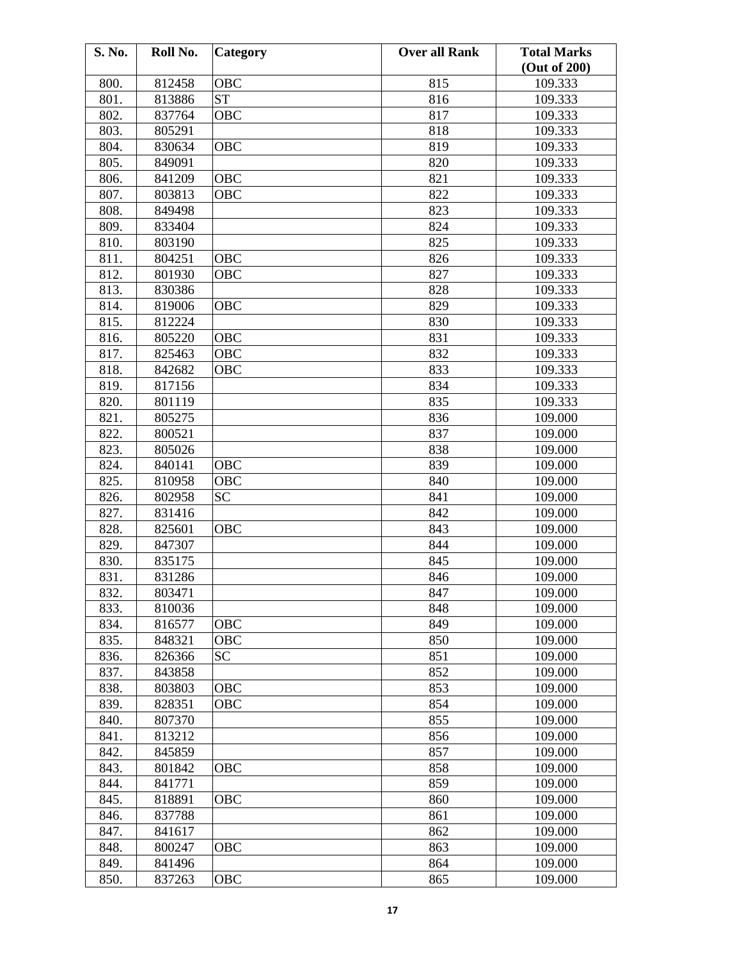| S. No. | Roll No. | Category   | <b>Over all Rank</b> | <b>Total Marks</b> |
|--------|----------|------------|----------------------|--------------------|
|        |          |            |                      | (Out of 200)       |
| 800.   | 812458   | OBC        | 815                  | 109.333            |
| 801.   | 813886   | <b>ST</b>  | 816                  | 109.333            |
| 802.   | 837764   | OBC        | 817                  | 109.333            |
| 803.   | 805291   |            | 818                  | 109.333            |
| 804.   | 830634   | <b>OBC</b> | 819                  | 109.333            |
| 805.   | 849091   |            | 820                  | 109.333            |
| 806.   | 841209   | OBC        | 821                  | 109.333            |
| 807.   | 803813   | OBC        | 822                  | 109.333            |
| 808.   | 849498   |            | 823                  | 109.333            |
| 809.   | 833404   |            | 824                  | 109.333            |
| 810.   | 803190   |            | 825                  | 109.333            |
| 811.   | 804251   | OBC        | 826                  | 109.333            |
| 812.   | 801930   | <b>OBC</b> | 827                  | 109.333            |
| 813.   | 830386   |            | 828                  | 109.333            |
| 814.   | 819006   | <b>OBC</b> | 829                  | 109.333            |
| 815.   | 812224   |            | 830                  | 109.333            |
| 816.   | 805220   | OBC        | 831                  | 109.333            |
| 817.   | 825463   | OBC        | 832                  | 109.333            |
| 818.   | 842682   | OBC        | 833                  | 109.333            |
|        |          |            | 834                  |                    |
| 819.   | 817156   |            |                      | 109.333            |
| 820.   | 801119   |            | 835                  | 109.333            |
| 821.   | 805275   |            | 836                  | 109.000            |
| 822.   | 800521   |            | 837                  | 109.000            |
| 823.   | 805026   |            | 838                  | 109.000            |
| 824.   | 840141   | OBC        | 839                  | 109.000            |
| 825.   | 810958   | OBC        | 840                  | 109.000            |
| 826.   | 802958   | <b>SC</b>  | 841                  | 109.000            |
| 827.   | 831416   |            | 842                  | 109.000            |
| 828.   | 825601   | OBC        | 843                  | 109.000            |
| 829.   | 847307   |            | 844                  | 109.000            |
| 830.   | 835175   |            | 845                  | 109.000            |
| 831.   | 831286   |            | 846                  | 109.000            |
| 832.   | 803471   |            | 847                  | 109.000            |
| 833.   | 810036   |            | 848                  | 109.000            |
| 834.   | 816577   | OBC        | 849                  | 109.000            |
| 835.   | 848321   | OBC        | 850                  | 109.000            |
| 836.   | 826366   | <b>SC</b>  | 851                  | 109.000            |
| 837.   | 843858   |            | 852                  | 109.000            |
| 838.   | 803803   | OBC        | 853                  | 109.000            |
| 839.   | 828351   | OBC        | 854                  | 109.000            |
| 840.   | 807370   |            | 855                  | 109.000            |
| 841.   | 813212   |            | 856                  | 109.000            |
| 842.   | 845859   |            | 857                  | 109.000            |
| 843.   | 801842   | OBC        | 858                  | 109.000            |
| 844.   | 841771   |            | 859                  | 109.000            |
| 845.   | 818891   | OBC        | 860                  | 109.000            |
| 846.   | 837788   |            | 861                  | 109.000            |
| 847.   | 841617   |            | 862                  | 109.000            |
| 848.   | 800247   | OBC        | 863                  | 109.000            |
| 849.   | 841496   |            | 864                  | 109.000            |
| 850.   | 837263   | OBC        | 865                  | 109.000            |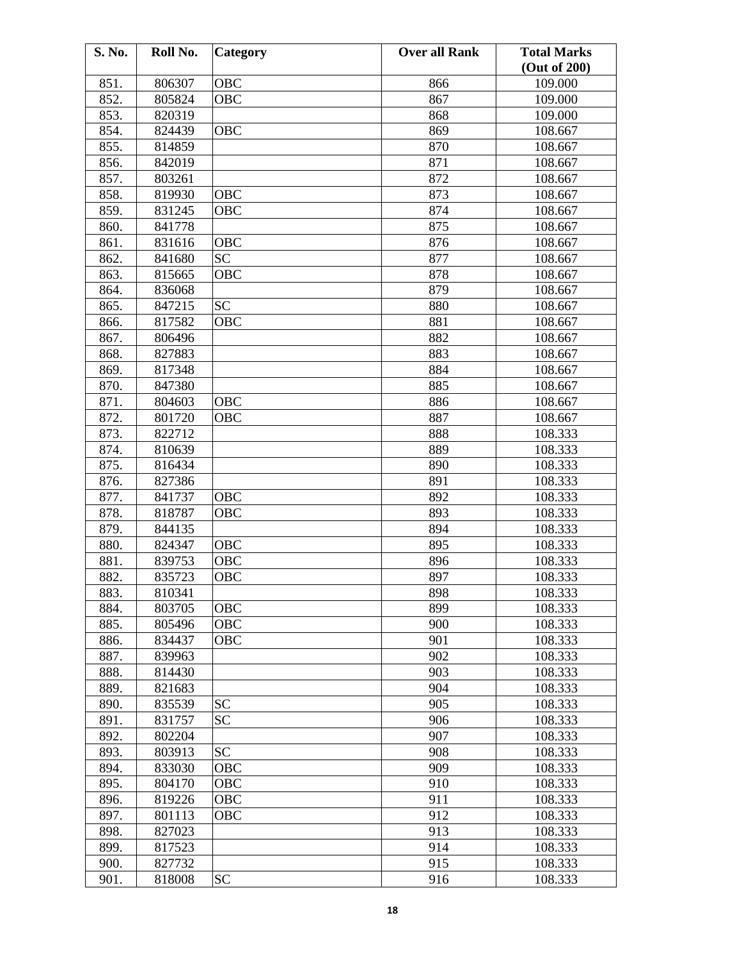| 851.<br>806307<br>OBC<br>866<br>109.000<br>852.<br>805824<br>OBC<br>867<br>109.000<br>853.<br>820319<br>868<br>109.000<br>854.<br><b>OBC</b><br>824439<br>869<br>108.667<br>855.<br>870<br>814859<br>108.667<br>871<br>856.<br>842019<br>108.667<br>857.<br>872<br>803261<br>108.667<br>873<br>858.<br>819930<br><b>OBC</b><br>108.667<br>859.<br>831245<br>OBC<br>874<br>108.667<br>875<br>860.<br>841778<br>108.667<br>OBC<br>876<br>108.667<br>861.<br>831616<br><b>SC</b><br>877<br>862.<br>841680<br>108.667<br>878<br>863.<br>815665<br>OBC<br>108.667<br>864.<br>879<br>836068<br>108.667<br><b>SC</b><br>865.<br>847215<br>880<br>108.667<br>866.<br>817582<br><b>OBC</b><br>881<br>108.667<br>882<br>867.<br>806496<br>108.667<br>868.<br>883<br>827883<br>108.667<br>869.<br>884<br>817348<br>108.667<br>870.<br>847380<br>885<br>108.667<br>871.<br>804603<br>OBC<br>886<br>108.667<br>887<br>872.<br>801720<br>108.667<br>OBC<br>873.<br>822712<br>888<br>108.333<br>874.<br>889<br>108.333<br>810639<br>875.<br>816434<br>890<br>108.333<br>891<br>876.<br>827386<br>108.333<br><b>OBC</b><br>892<br>108.333<br>877.<br>841737<br>878.<br>818787<br>OBC<br>893<br>108.333<br>879.<br>894<br>844135<br>108.333<br>880.<br>824347<br>OBC<br>895<br>108.333<br>881.<br>839753<br>OBC<br>896<br>108.333<br>882.<br>108.333<br>835723<br>OBC<br>897<br>898<br>883.<br>810341<br>108.333<br>884.<br>899<br>803705<br>OBC<br>108.333<br>885.<br>805496<br>OBC<br>900<br>108.333<br>108.333<br>886.<br>834437<br>OBC<br>901<br>887.<br>902<br>108.333<br>839963<br>903<br>888.<br>814430<br>108.333<br>889.<br>821683<br>904<br>108.333<br><b>SC</b><br>835539<br>905<br>890.<br>108.333 | S. No. | Roll No. | Category | <b>Over all Rank</b> | <b>Total Marks</b><br>(Out of 200) |
|-----------------------------------------------------------------------------------------------------------------------------------------------------------------------------------------------------------------------------------------------------------------------------------------------------------------------------------------------------------------------------------------------------------------------------------------------------------------------------------------------------------------------------------------------------------------------------------------------------------------------------------------------------------------------------------------------------------------------------------------------------------------------------------------------------------------------------------------------------------------------------------------------------------------------------------------------------------------------------------------------------------------------------------------------------------------------------------------------------------------------------------------------------------------------------------------------------------------------------------------------------------------------------------------------------------------------------------------------------------------------------------------------------------------------------------------------------------------------------------------------------------------------------------------------------------------------------------------------------------------------------------------------------------------------------------------------|--------|----------|----------|----------------------|------------------------------------|
|                                                                                                                                                                                                                                                                                                                                                                                                                                                                                                                                                                                                                                                                                                                                                                                                                                                                                                                                                                                                                                                                                                                                                                                                                                                                                                                                                                                                                                                                                                                                                                                                                                                                                               |        |          |          |                      |                                    |
|                                                                                                                                                                                                                                                                                                                                                                                                                                                                                                                                                                                                                                                                                                                                                                                                                                                                                                                                                                                                                                                                                                                                                                                                                                                                                                                                                                                                                                                                                                                                                                                                                                                                                               |        |          |          |                      |                                    |
|                                                                                                                                                                                                                                                                                                                                                                                                                                                                                                                                                                                                                                                                                                                                                                                                                                                                                                                                                                                                                                                                                                                                                                                                                                                                                                                                                                                                                                                                                                                                                                                                                                                                                               |        |          |          |                      |                                    |
|                                                                                                                                                                                                                                                                                                                                                                                                                                                                                                                                                                                                                                                                                                                                                                                                                                                                                                                                                                                                                                                                                                                                                                                                                                                                                                                                                                                                                                                                                                                                                                                                                                                                                               |        |          |          |                      |                                    |
|                                                                                                                                                                                                                                                                                                                                                                                                                                                                                                                                                                                                                                                                                                                                                                                                                                                                                                                                                                                                                                                                                                                                                                                                                                                                                                                                                                                                                                                                                                                                                                                                                                                                                               |        |          |          |                      |                                    |
|                                                                                                                                                                                                                                                                                                                                                                                                                                                                                                                                                                                                                                                                                                                                                                                                                                                                                                                                                                                                                                                                                                                                                                                                                                                                                                                                                                                                                                                                                                                                                                                                                                                                                               |        |          |          |                      |                                    |
|                                                                                                                                                                                                                                                                                                                                                                                                                                                                                                                                                                                                                                                                                                                                                                                                                                                                                                                                                                                                                                                                                                                                                                                                                                                                                                                                                                                                                                                                                                                                                                                                                                                                                               |        |          |          |                      |                                    |
|                                                                                                                                                                                                                                                                                                                                                                                                                                                                                                                                                                                                                                                                                                                                                                                                                                                                                                                                                                                                                                                                                                                                                                                                                                                                                                                                                                                                                                                                                                                                                                                                                                                                                               |        |          |          |                      |                                    |
|                                                                                                                                                                                                                                                                                                                                                                                                                                                                                                                                                                                                                                                                                                                                                                                                                                                                                                                                                                                                                                                                                                                                                                                                                                                                                                                                                                                                                                                                                                                                                                                                                                                                                               |        |          |          |                      |                                    |
|                                                                                                                                                                                                                                                                                                                                                                                                                                                                                                                                                                                                                                                                                                                                                                                                                                                                                                                                                                                                                                                                                                                                                                                                                                                                                                                                                                                                                                                                                                                                                                                                                                                                                               |        |          |          |                      |                                    |
|                                                                                                                                                                                                                                                                                                                                                                                                                                                                                                                                                                                                                                                                                                                                                                                                                                                                                                                                                                                                                                                                                                                                                                                                                                                                                                                                                                                                                                                                                                                                                                                                                                                                                               |        |          |          |                      |                                    |
|                                                                                                                                                                                                                                                                                                                                                                                                                                                                                                                                                                                                                                                                                                                                                                                                                                                                                                                                                                                                                                                                                                                                                                                                                                                                                                                                                                                                                                                                                                                                                                                                                                                                                               |        |          |          |                      |                                    |
|                                                                                                                                                                                                                                                                                                                                                                                                                                                                                                                                                                                                                                                                                                                                                                                                                                                                                                                                                                                                                                                                                                                                                                                                                                                                                                                                                                                                                                                                                                                                                                                                                                                                                               |        |          |          |                      |                                    |
|                                                                                                                                                                                                                                                                                                                                                                                                                                                                                                                                                                                                                                                                                                                                                                                                                                                                                                                                                                                                                                                                                                                                                                                                                                                                                                                                                                                                                                                                                                                                                                                                                                                                                               |        |          |          |                      |                                    |
|                                                                                                                                                                                                                                                                                                                                                                                                                                                                                                                                                                                                                                                                                                                                                                                                                                                                                                                                                                                                                                                                                                                                                                                                                                                                                                                                                                                                                                                                                                                                                                                                                                                                                               |        |          |          |                      |                                    |
|                                                                                                                                                                                                                                                                                                                                                                                                                                                                                                                                                                                                                                                                                                                                                                                                                                                                                                                                                                                                                                                                                                                                                                                                                                                                                                                                                                                                                                                                                                                                                                                                                                                                                               |        |          |          |                      |                                    |
|                                                                                                                                                                                                                                                                                                                                                                                                                                                                                                                                                                                                                                                                                                                                                                                                                                                                                                                                                                                                                                                                                                                                                                                                                                                                                                                                                                                                                                                                                                                                                                                                                                                                                               |        |          |          |                      |                                    |
|                                                                                                                                                                                                                                                                                                                                                                                                                                                                                                                                                                                                                                                                                                                                                                                                                                                                                                                                                                                                                                                                                                                                                                                                                                                                                                                                                                                                                                                                                                                                                                                                                                                                                               |        |          |          |                      |                                    |
|                                                                                                                                                                                                                                                                                                                                                                                                                                                                                                                                                                                                                                                                                                                                                                                                                                                                                                                                                                                                                                                                                                                                                                                                                                                                                                                                                                                                                                                                                                                                                                                                                                                                                               |        |          |          |                      |                                    |
|                                                                                                                                                                                                                                                                                                                                                                                                                                                                                                                                                                                                                                                                                                                                                                                                                                                                                                                                                                                                                                                                                                                                                                                                                                                                                                                                                                                                                                                                                                                                                                                                                                                                                               |        |          |          |                      |                                    |
|                                                                                                                                                                                                                                                                                                                                                                                                                                                                                                                                                                                                                                                                                                                                                                                                                                                                                                                                                                                                                                                                                                                                                                                                                                                                                                                                                                                                                                                                                                                                                                                                                                                                                               |        |          |          |                      |                                    |
|                                                                                                                                                                                                                                                                                                                                                                                                                                                                                                                                                                                                                                                                                                                                                                                                                                                                                                                                                                                                                                                                                                                                                                                                                                                                                                                                                                                                                                                                                                                                                                                                                                                                                               |        |          |          |                      |                                    |
|                                                                                                                                                                                                                                                                                                                                                                                                                                                                                                                                                                                                                                                                                                                                                                                                                                                                                                                                                                                                                                                                                                                                                                                                                                                                                                                                                                                                                                                                                                                                                                                                                                                                                               |        |          |          |                      |                                    |
|                                                                                                                                                                                                                                                                                                                                                                                                                                                                                                                                                                                                                                                                                                                                                                                                                                                                                                                                                                                                                                                                                                                                                                                                                                                                                                                                                                                                                                                                                                                                                                                                                                                                                               |        |          |          |                      |                                    |
|                                                                                                                                                                                                                                                                                                                                                                                                                                                                                                                                                                                                                                                                                                                                                                                                                                                                                                                                                                                                                                                                                                                                                                                                                                                                                                                                                                                                                                                                                                                                                                                                                                                                                               |        |          |          |                      |                                    |
|                                                                                                                                                                                                                                                                                                                                                                                                                                                                                                                                                                                                                                                                                                                                                                                                                                                                                                                                                                                                                                                                                                                                                                                                                                                                                                                                                                                                                                                                                                                                                                                                                                                                                               |        |          |          |                      |                                    |
|                                                                                                                                                                                                                                                                                                                                                                                                                                                                                                                                                                                                                                                                                                                                                                                                                                                                                                                                                                                                                                                                                                                                                                                                                                                                                                                                                                                                                                                                                                                                                                                                                                                                                               |        |          |          |                      |                                    |
|                                                                                                                                                                                                                                                                                                                                                                                                                                                                                                                                                                                                                                                                                                                                                                                                                                                                                                                                                                                                                                                                                                                                                                                                                                                                                                                                                                                                                                                                                                                                                                                                                                                                                               |        |          |          |                      |                                    |
|                                                                                                                                                                                                                                                                                                                                                                                                                                                                                                                                                                                                                                                                                                                                                                                                                                                                                                                                                                                                                                                                                                                                                                                                                                                                                                                                                                                                                                                                                                                                                                                                                                                                                               |        |          |          |                      |                                    |
|                                                                                                                                                                                                                                                                                                                                                                                                                                                                                                                                                                                                                                                                                                                                                                                                                                                                                                                                                                                                                                                                                                                                                                                                                                                                                                                                                                                                                                                                                                                                                                                                                                                                                               |        |          |          |                      |                                    |
|                                                                                                                                                                                                                                                                                                                                                                                                                                                                                                                                                                                                                                                                                                                                                                                                                                                                                                                                                                                                                                                                                                                                                                                                                                                                                                                                                                                                                                                                                                                                                                                                                                                                                               |        |          |          |                      |                                    |
|                                                                                                                                                                                                                                                                                                                                                                                                                                                                                                                                                                                                                                                                                                                                                                                                                                                                                                                                                                                                                                                                                                                                                                                                                                                                                                                                                                                                                                                                                                                                                                                                                                                                                               |        |          |          |                      |                                    |
|                                                                                                                                                                                                                                                                                                                                                                                                                                                                                                                                                                                                                                                                                                                                                                                                                                                                                                                                                                                                                                                                                                                                                                                                                                                                                                                                                                                                                                                                                                                                                                                                                                                                                               |        |          |          |                      |                                    |
|                                                                                                                                                                                                                                                                                                                                                                                                                                                                                                                                                                                                                                                                                                                                                                                                                                                                                                                                                                                                                                                                                                                                                                                                                                                                                                                                                                                                                                                                                                                                                                                                                                                                                               |        |          |          |                      |                                    |
|                                                                                                                                                                                                                                                                                                                                                                                                                                                                                                                                                                                                                                                                                                                                                                                                                                                                                                                                                                                                                                                                                                                                                                                                                                                                                                                                                                                                                                                                                                                                                                                                                                                                                               |        |          |          |                      |                                    |
|                                                                                                                                                                                                                                                                                                                                                                                                                                                                                                                                                                                                                                                                                                                                                                                                                                                                                                                                                                                                                                                                                                                                                                                                                                                                                                                                                                                                                                                                                                                                                                                                                                                                                               |        |          |          |                      |                                    |
|                                                                                                                                                                                                                                                                                                                                                                                                                                                                                                                                                                                                                                                                                                                                                                                                                                                                                                                                                                                                                                                                                                                                                                                                                                                                                                                                                                                                                                                                                                                                                                                                                                                                                               |        |          |          |                      |                                    |
|                                                                                                                                                                                                                                                                                                                                                                                                                                                                                                                                                                                                                                                                                                                                                                                                                                                                                                                                                                                                                                                                                                                                                                                                                                                                                                                                                                                                                                                                                                                                                                                                                                                                                               |        |          |          |                      |                                    |
|                                                                                                                                                                                                                                                                                                                                                                                                                                                                                                                                                                                                                                                                                                                                                                                                                                                                                                                                                                                                                                                                                                                                                                                                                                                                                                                                                                                                                                                                                                                                                                                                                                                                                               |        |          |          |                      |                                    |
|                                                                                                                                                                                                                                                                                                                                                                                                                                                                                                                                                                                                                                                                                                                                                                                                                                                                                                                                                                                                                                                                                                                                                                                                                                                                                                                                                                                                                                                                                                                                                                                                                                                                                               |        |          |          |                      |                                    |
|                                                                                                                                                                                                                                                                                                                                                                                                                                                                                                                                                                                                                                                                                                                                                                                                                                                                                                                                                                                                                                                                                                                                                                                                                                                                                                                                                                                                                                                                                                                                                                                                                                                                                               |        |          |          |                      |                                    |
| <b>SC</b><br>831757<br>108.333<br>891.<br>906                                                                                                                                                                                                                                                                                                                                                                                                                                                                                                                                                                                                                                                                                                                                                                                                                                                                                                                                                                                                                                                                                                                                                                                                                                                                                                                                                                                                                                                                                                                                                                                                                                                 |        |          |          |                      |                                    |
| 892.<br>802204<br>907<br>108.333                                                                                                                                                                                                                                                                                                                                                                                                                                                                                                                                                                                                                                                                                                                                                                                                                                                                                                                                                                                                                                                                                                                                                                                                                                                                                                                                                                                                                                                                                                                                                                                                                                                              |        |          |          |                      |                                    |
| <b>SC</b><br>803913<br>908<br>108.333<br>893.                                                                                                                                                                                                                                                                                                                                                                                                                                                                                                                                                                                                                                                                                                                                                                                                                                                                                                                                                                                                                                                                                                                                                                                                                                                                                                                                                                                                                                                                                                                                                                                                                                                 |        |          |          |                      |                                    |
| OBC<br>894.<br>909<br>108.333<br>833030                                                                                                                                                                                                                                                                                                                                                                                                                                                                                                                                                                                                                                                                                                                                                                                                                                                                                                                                                                                                                                                                                                                                                                                                                                                                                                                                                                                                                                                                                                                                                                                                                                                       |        |          |          |                      |                                    |
| 895.<br>804170<br>OBC<br>910<br>108.333                                                                                                                                                                                                                                                                                                                                                                                                                                                                                                                                                                                                                                                                                                                                                                                                                                                                                                                                                                                                                                                                                                                                                                                                                                                                                                                                                                                                                                                                                                                                                                                                                                                       |        |          |          |                      |                                    |
| 911<br>896.<br>819226<br>OBC<br>108.333                                                                                                                                                                                                                                                                                                                                                                                                                                                                                                                                                                                                                                                                                                                                                                                                                                                                                                                                                                                                                                                                                                                                                                                                                                                                                                                                                                                                                                                                                                                                                                                                                                                       |        |          |          |                      |                                    |
| 897.<br>912<br>801113<br>OBC<br>108.333                                                                                                                                                                                                                                                                                                                                                                                                                                                                                                                                                                                                                                                                                                                                                                                                                                                                                                                                                                                                                                                                                                                                                                                                                                                                                                                                                                                                                                                                                                                                                                                                                                                       |        |          |          |                      |                                    |
| 898.<br>827023<br>913<br>108.333                                                                                                                                                                                                                                                                                                                                                                                                                                                                                                                                                                                                                                                                                                                                                                                                                                                                                                                                                                                                                                                                                                                                                                                                                                                                                                                                                                                                                                                                                                                                                                                                                                                              |        |          |          |                      |                                    |
| 899.<br>817523<br>914<br>108.333                                                                                                                                                                                                                                                                                                                                                                                                                                                                                                                                                                                                                                                                                                                                                                                                                                                                                                                                                                                                                                                                                                                                                                                                                                                                                                                                                                                                                                                                                                                                                                                                                                                              |        |          |          |                      |                                    |
| 900.<br>827732<br>108.333<br>915                                                                                                                                                                                                                                                                                                                                                                                                                                                                                                                                                                                                                                                                                                                                                                                                                                                                                                                                                                                                                                                                                                                                                                                                                                                                                                                                                                                                                                                                                                                                                                                                                                                              |        |          |          |                      |                                    |
| <b>SC</b><br>901.<br>818008<br>916<br>108.333                                                                                                                                                                                                                                                                                                                                                                                                                                                                                                                                                                                                                                                                                                                                                                                                                                                                                                                                                                                                                                                                                                                                                                                                                                                                                                                                                                                                                                                                                                                                                                                                                                                 |        |          |          |                      |                                    |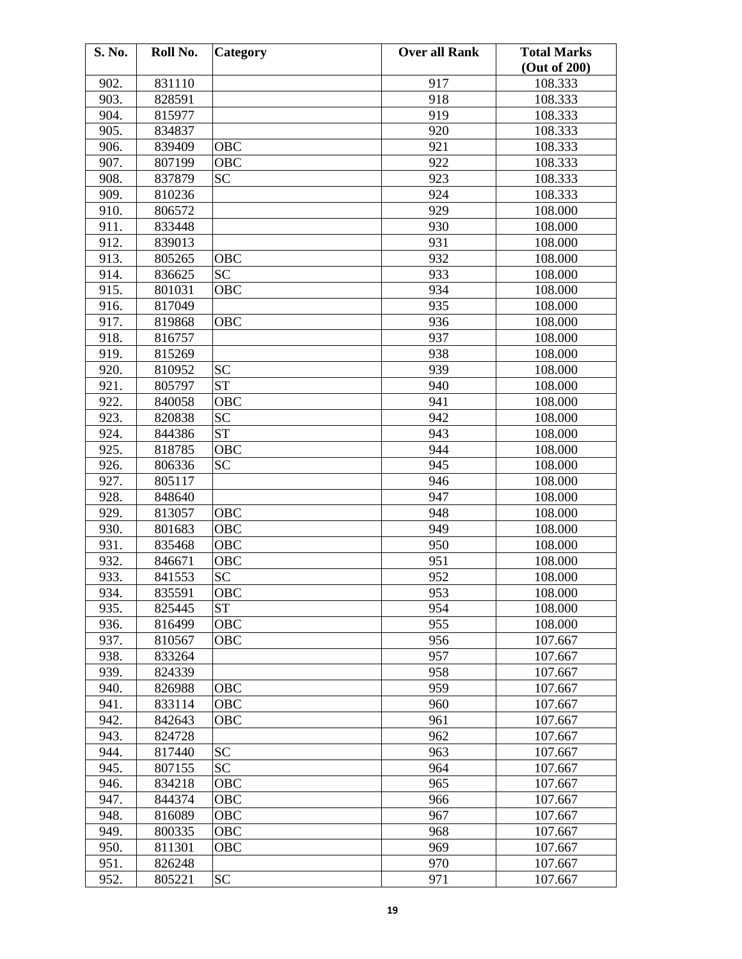| S. No.       | Roll No.         | Category   | <b>Over all Rank</b> | <b>Total Marks</b> |
|--------------|------------------|------------|----------------------|--------------------|
|              |                  |            |                      | (Out of 200)       |
| 902.         | 831110           |            | 917                  | 108.333            |
| 903.         | 828591           |            | 918                  | 108.333            |
| 904.         | 815977           |            | 919                  | 108.333            |
| 905.         | 834837           |            | 920                  | 108.333            |
| 906.         | 839409           | <b>OBC</b> | 921                  | 108.333            |
| 907.         | 807199           | OBC        | 922                  | 108.333            |
| 908.         | 837879           | <b>SC</b>  | 923                  | 108.333            |
| 909.         | 810236           |            | 924                  | 108.333            |
| 910.         | 806572           |            | 929                  | 108.000            |
| 911.         | 833448           |            | 930                  | 108.000            |
| 912.         | 839013           |            | 931                  | 108.000            |
| 913.         | 805265           | OBC        | 932                  | 108.000            |
| 914.         | 836625           | <b>SC</b>  | 933                  | 108.000            |
| 915.         | 801031           | OBC        | 934                  | 108.000            |
| 916.         | 817049           |            | 935                  | 108.000            |
| 917.         | 819868           | <b>OBC</b> | 936                  | 108.000            |
| 918.         | 816757           |            | 937                  | 108.000            |
| 919.         | 815269           |            | 938                  | 108.000            |
| 920.         | 810952           | <b>SC</b>  | 939                  | 108.000            |
| 921.         | 805797           | <b>ST</b>  | 940                  | 108.000            |
| 922.         | 840058           | OBC        | 941                  | 108.000            |
| 923.         | 820838           | <b>SC</b>  | 942                  | 108.000            |
| 924.         | 844386           | <b>ST</b>  | 943                  | 108.000            |
| 925.         | 818785           | <b>OBC</b> | 944                  | 108.000            |
| 926.         | 806336           | <b>SC</b>  | 945                  | 108.000            |
| 927.         | 805117           |            | 946                  | 108.000            |
| 928.         | 848640           |            | 947                  | 108.000            |
| 929.         | 813057           | OBC        | 948                  | 108.000            |
| 930.         | 801683           | OBC        | 949                  | 108.000            |
| 931.         | 835468           | OBC        | 950                  | 108.000            |
| 932.         | 846671           | OBC        | 951                  | 108.000            |
| 933.         | 841553           | <b>SC</b>  | 952                  | 108.000            |
| 934.         | 835591           | OBC        | 953                  | 108.000            |
| 935.         | 825445           | <b>ST</b>  | 954                  | 108.000            |
| 936.         | 816499           | OBC        | 955                  | 108.000            |
| 937.         | 810567           | OBC        | 956                  | 107.667            |
| 938.         | 833264           |            | 957                  | 107.667            |
| 939.         | 824339           |            | 958                  | 107.667            |
| 940.         | 826988           | OBC        | 959                  | 107.667            |
| 941.         | 833114           | OBC        | 960                  | 107.667            |
| 942.         | 842643           | OBC        | 961                  | 107.667            |
| 943.         | 824728           |            | 962                  | 107.667            |
| 944.         | 817440           | <b>SC</b>  | 963                  | 107.667            |
| 945.         | 807155           | <b>SC</b>  | 964                  | 107.667            |
| 946.         | 834218           | OBC        | 965                  | 107.667            |
|              |                  |            |                      |                    |
| 947.<br>948. | 844374           | OBC<br>OBC | 966<br>967           | 107.667<br>107.667 |
|              | 816089<br>800335 | OBC        |                      | 107.667            |
| 949.<br>950. |                  |            | 968<br>969           | 107.667            |
|              | 811301           | OBC        |                      |                    |
| 951.         | 826248           |            | 970                  | 107.667            |
| 952.         | 805221           | <b>SC</b>  | 971                  | 107.667            |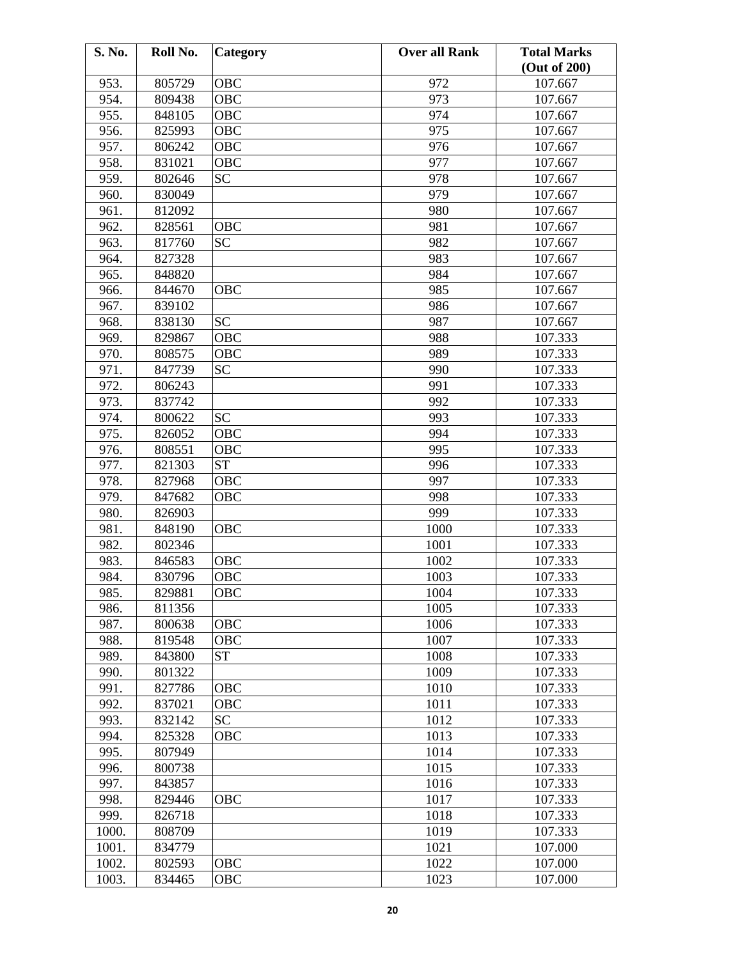| S. No. | Roll No. | Category   | <b>Over all Rank</b> | <b>Total Marks</b> |
|--------|----------|------------|----------------------|--------------------|
|        |          |            |                      | (Out of 200)       |
| 953.   | 805729   | OBC        | 972                  | 107.667            |
| 954.   | 809438   | OBC        | 973                  | 107.667            |
| 955.   | 848105   | OBC        | 974                  | 107.667            |
| 956.   | 825993   | OBC        | 975                  | 107.667            |
| 957.   | 806242   | OBC        | 976                  | 107.667            |
| 958.   | 831021   | OBC        | 977                  | 107.667            |
| 959.   | 802646   | <b>SC</b>  | 978                  | 107.667            |
| 960.   | 830049   |            | 979                  | 107.667            |
| 961.   | 812092   |            | 980                  | 107.667            |
| 962.   | 828561   | OBC        | 981                  | 107.667            |
| 963.   | 817760   | <b>SC</b>  | 982                  | 107.667            |
| 964.   | 827328   |            | 983                  | 107.667            |
| 965.   | 848820   |            | 984                  | 107.667            |
| 966.   | 844670   | OBC        | 985                  | 107.667            |
| 967.   | 839102   |            | 986                  | 107.667            |
| 968.   | 838130   | <b>SC</b>  | 987                  | 107.667            |
| 969.   | 829867   | <b>OBC</b> | 988                  | 107.333            |
| 970.   | 808575   | OBC        | 989                  | 107.333            |
| 971.   | 847739   | <b>SC</b>  | 990                  | 107.333            |
| 972.   | 806243   |            | 991                  | 107.333            |
| 973.   | 837742   |            | 992                  | 107.333            |
| 974.   | 800622   | <b>SC</b>  | 993                  | 107.333            |
| 975.   | 826052   | OBC        | 994                  | 107.333            |
| 976.   | 808551   | <b>OBC</b> | 995                  | 107.333            |
| 977.   | 821303   | <b>ST</b>  | 996                  | 107.333            |
| 978.   | 827968   | OBC        | 997                  | 107.333            |
| 979.   | 847682   | OBC        | 998                  | 107.333            |
| 980.   | 826903   |            | 999                  | 107.333            |
| 981.   | 848190   | OBC        | 1000                 | 107.333            |
| 982.   | 802346   |            | 1001                 | 107.333            |
| 983.   | 846583   | OBC        | 1002                 | 107.333            |
| 984.   | 830796   | <b>OBC</b> | 1003                 | 107.333            |
| 985.   | 829881   | OBC        | 1004                 | 107.333            |
| 986.   | 811356   |            | 1005                 | 107.333            |
| 987.   | 800638   | OBC        | 1006                 | 107.333            |
| 988.   | 819548   | OBC        | 1007                 | 107.333            |
| 989.   | 843800   | <b>ST</b>  | 1008                 | 107.333            |
| 990.   | 801322   |            | 1009                 | 107.333            |
| 991.   | 827786   | OBC        | 1010                 | 107.333            |
| 992.   | 837021   | OBC        | 1011                 | 107.333            |
| 993.   | 832142   | <b>SC</b>  | 1012                 | 107.333            |
| 994.   | 825328   | OBC        | 1013                 | 107.333            |
| 995.   | 807949   |            | 1014                 | 107.333            |
| 996.   | 800738   |            | 1015                 | 107.333            |
| 997.   | 843857   |            | 1016                 | 107.333            |
| 998.   | 829446   | OBC        | 1017                 | 107.333            |
| 999.   | 826718   |            | 1018                 | 107.333            |
| 1000.  | 808709   |            | 1019                 | 107.333            |
| 1001.  | 834779   |            | 1021                 | 107.000            |
| 1002.  | 802593   | OBC        | 1022                 | 107.000            |
| 1003.  | 834465   | OBC        | 1023                 | 107.000            |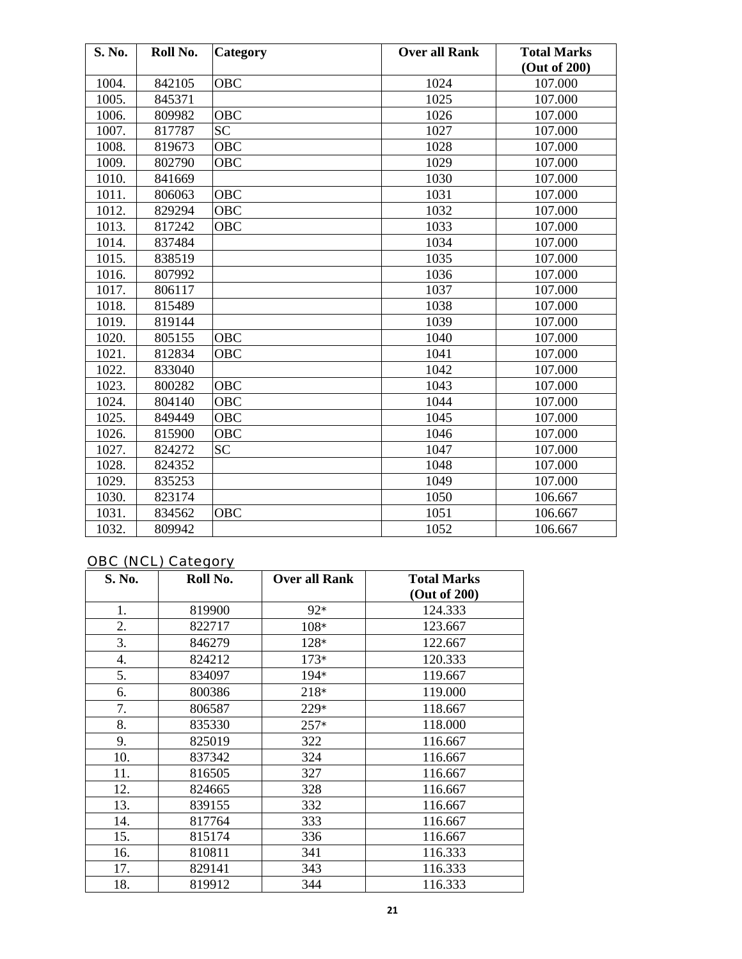| S. No. | Roll No. | Category   | <b>Over all Rank</b> | <b>Total Marks</b> |
|--------|----------|------------|----------------------|--------------------|
|        |          |            |                      | (Out of 200)       |
| 1004.  | 842105   | <b>OBC</b> | 1024                 | 107.000            |
| 1005.  | 845371   |            | 1025                 | 107.000            |
| 1006.  | 809982   | OBC        | 1026                 | 107.000            |
| 1007.  | 817787   | <b>SC</b>  | 1027                 | 107.000            |
| 1008.  | 819673   | <b>OBC</b> | 1028                 | 107.000            |
| 1009.  | 802790   | <b>OBC</b> | 1029                 | 107.000            |
| 1010.  | 841669   |            | 1030                 | 107.000            |
| 1011.  | 806063   | OBC        | 1031                 | 107.000            |
| 1012.  | 829294   | <b>OBC</b> | 1032                 | 107.000            |
| 1013.  | 817242   | <b>OBC</b> | 1033                 | 107.000            |
| 1014.  | 837484   |            | 1034                 | 107.000            |
| 1015.  | 838519   |            | 1035                 | 107.000            |
| 1016.  | 807992   |            | 1036                 | 107.000            |
| 1017.  | 806117   |            | 1037                 | 107.000            |
| 1018.  | 815489   |            | 1038                 | 107.000            |
| 1019.  | 819144   |            | 1039                 | 107.000            |
| 1020.  | 805155   | <b>OBC</b> | 1040                 | 107.000            |
| 1021.  | 812834   | OBC        | 1041                 | 107.000            |
| 1022.  | 833040   |            | 1042                 | 107.000            |
| 1023.  | 800282   | <b>OBC</b> | 1043                 | 107.000            |
| 1024.  | 804140   | <b>OBC</b> | 1044                 | 107.000            |
| 1025.  | 849449   | <b>OBC</b> | 1045                 | 107.000            |
| 1026.  | 815900   | OBC        | 1046                 | 107.000            |
| 1027.  | 824272   | <b>SC</b>  | 1047                 | 107.000            |
| 1028.  | 824352   |            | 1048                 | 107.000            |
| 1029.  | 835253   |            | 1049                 | 107.000            |
| 1030.  | 823174   |            | 1050                 | 106.667            |
| 1031.  | 834562   | <b>OBC</b> | 1051                 | 106.667            |
| 1032.  | 809942   |            | 1052                 | 106.667            |

### OBC (NCL) Category

| S. No. | Roll No. | <b>Over all Rank</b> | <b>Total Marks</b><br>(Out of 200) |
|--------|----------|----------------------|------------------------------------|
| 1.     | 819900   | $92*$                | 124.333                            |
| 2.     | 822717   | $108*$               | 123.667                            |
| 3.     | 846279   | $128*$               | 122.667                            |
| 4.     | 824212   | $173*$               | 120.333                            |
| 5.     | 834097   | 194*                 | 119.667                            |
| 6.     | 800386   | $218*$               | 119.000                            |
| 7.     | 806587   | $229*$               | 118.667                            |
| 8.     | 835330   | $257*$               | 118.000                            |
| 9.     | 825019   | 322                  | 116.667                            |
| 10.    | 837342   | 324                  | 116.667                            |
| 11.    | 816505   | 327                  | 116.667                            |
| 12.    | 824665   | 328                  | 116.667                            |
| 13.    | 839155   | 332                  | 116.667                            |
| 14.    | 817764   | 333                  | 116.667                            |
| 15.    | 815174   | 336                  | 116.667                            |
| 16.    | 810811   | 341                  | 116.333                            |
| 17.    | 829141   | 343                  | 116.333                            |
| 18.    | 819912   | 344                  | 116.333                            |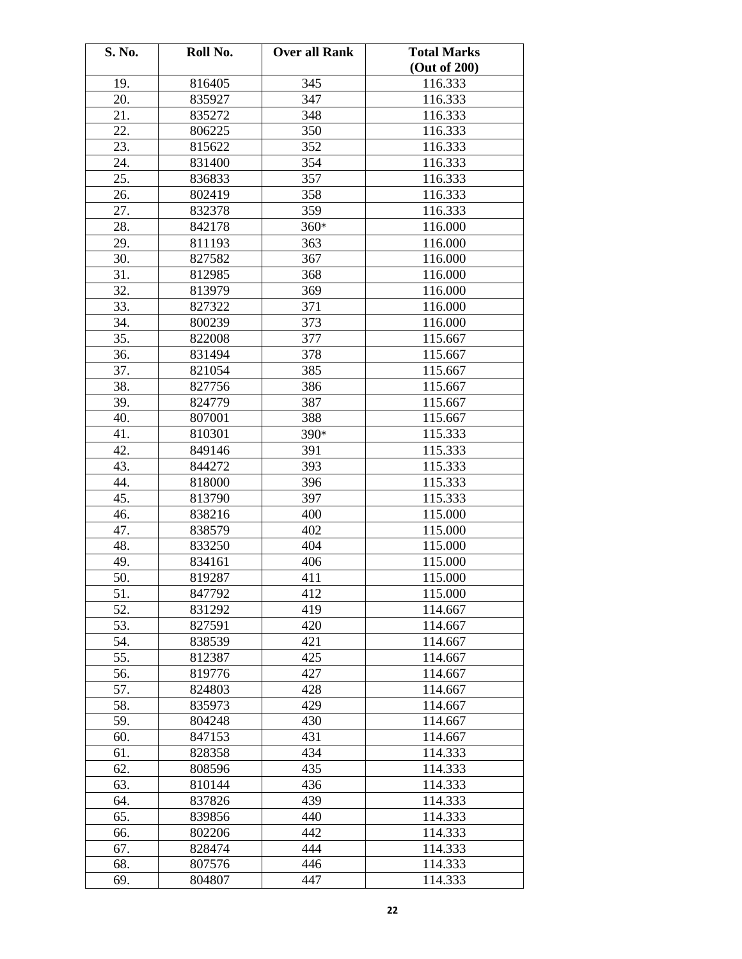| S. No. | Roll No. | <b>Over all Rank</b> | <b>Total Marks</b> |
|--------|----------|----------------------|--------------------|
|        |          |                      | (Out of 200)       |
| 19.    | 816405   | 345                  | 116.333            |
| 20.    | 835927   | 347                  | 116.333            |
| 21.    | 835272   | 348                  | 116.333            |
| 22.    | 806225   | 350                  | 116.333            |
| 23.    | 815622   | 352                  | 116.333            |
| 24.    | 831400   | 354                  | 116.333            |
| 25.    | 836833   | 357                  | 116.333            |
| 26.    | 802419   | 358                  | 116.333            |
| 27.    | 832378   | 359                  | 116.333            |
| 28.    | 842178   | $360*$               | 116.000            |
| 29.    | 811193   | 363                  | 116.000            |
| 30.    | 827582   | 367                  | 116.000            |
| 31.    | 812985   | 368                  | 116.000            |
| 32.    | 813979   | 369                  | 116.000            |
| 33.    | 827322   | 371                  | 116.000            |
| 34.    | 800239   | 373                  | 116.000            |
| 35.    | 822008   | 377                  | 115.667            |
| 36.    | 831494   | 378                  | 115.667            |
| 37.    | 821054   | 385                  | 115.667            |
| 38.    | 827756   | 386                  | 115.667            |
| 39.    | 824779   | 387                  | 115.667            |
| 40.    | 807001   | 388                  | 115.667            |
| 41.    | 810301   | 390*                 | 115.333            |
| 42.    | 849146   |                      |                    |
|        |          | 391                  | 115.333            |
| 43.    | 844272   | 393                  | 115.333            |
| 44.    | 818000   | 396                  | 115.333            |
| 45.    | 813790   | 397                  | 115.333            |
| 46.    | 838216   | 400                  | 115.000            |
| 47.    | 838579   | 402                  | 115.000            |
| 48.    | 833250   | 404                  | 115.000            |
| 49.    | 834161   | 406                  | 115.000            |
| 50.    | 819287   | 411                  | 115.000            |
| 51.    | 847792   | 412                  | 115.000            |
| 52.    | 831292   | 419                  | 114.667            |
| 53.    | 827591   | 420                  | 114.667            |
| 54.    | 838539   | 421                  | 114.667            |
| 55.    | 812387   | 425                  | 114.667            |
| 56.    | 819776   | 427                  | 114.667            |
| 57.    | 824803   | 428                  | 114.667            |
| 58.    | 835973   | 429                  | 114.667            |
| 59.    | 804248   | 430                  | 114.667            |
| 60.    | 847153   | 431                  | 114.667            |
| 61.    | 828358   | 434                  | 114.333            |
| 62.    | 808596   | 435                  | 114.333            |
| 63.    | 810144   | 436                  | 114.333            |
| 64.    | 837826   | 439                  | 114.333            |
| 65.    | 839856   | 440                  | 114.333            |
| 66.    | 802206   | 442                  | 114.333            |
| 67.    | 828474   | 444                  | 114.333            |
| 68.    | 807576   | 446                  | 114.333            |
| 69.    | 804807   | 447                  | 114.333            |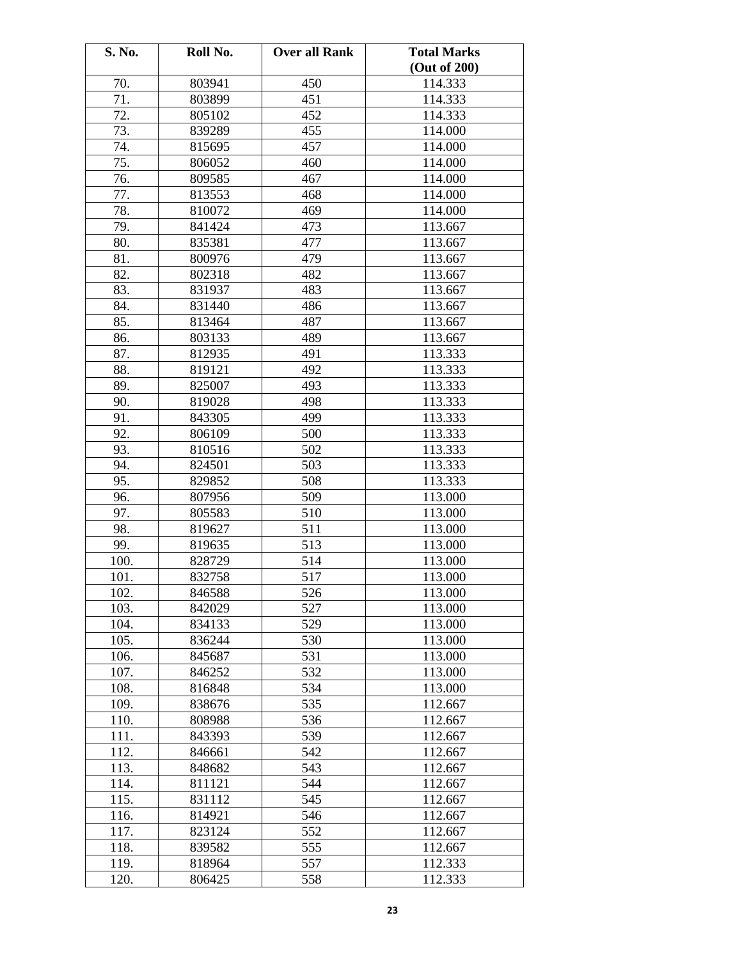| S. No. | Roll No. | <b>Over all Rank</b> | <b>Total Marks</b> |
|--------|----------|----------------------|--------------------|
|        |          |                      | (Out of 200)       |
| 70.    | 803941   | 450                  | 114.333            |
| 71.    | 803899   | 451                  | 114.333            |
| 72.    | 805102   | 452                  | 114.333            |
| 73.    | 839289   | 455                  | 114.000            |
| 74.    | 815695   | 457                  | 114.000            |
| 75.    | 806052   | 460                  | 114.000            |
| 76.    | 809585   | 467                  | 114.000            |
| 77.    | 813553   | 468                  | 114.000            |
| 78.    | 810072   | 469                  | 114.000            |
| 79.    | 841424   | 473                  | 113.667            |
| 80.    | 835381   | 477                  | 113.667            |
| 81.    | 800976   | 479                  | 113.667            |
| 82.    | 802318   | 482                  | 113.667            |
| 83.    | 831937   | 483                  | 113.667            |
| 84.    | 831440   | 486                  | 113.667            |
| 85.    | 813464   | 487                  | 113.667            |
| 86.    | 803133   | 489                  | 113.667            |
| 87.    | 812935   | 491                  | 113.333            |
| 88.    | 819121   | 492                  | 113.333            |
| 89.    | 825007   | 493                  | 113.333            |
| 90.    | 819028   | 498                  | 113.333            |
| 91.    | 843305   | 499                  | 113.333            |
| 92.    | 806109   | 500                  | 113.333            |
| 93.    | 810516   | 502                  | 113.333            |
| 94.    | 824501   | 503                  | 113.333            |
| 95.    | 829852   | 508                  | 113.333            |
| 96.    | 807956   | 509                  | 113.000            |
| 97.    | 805583   | 510                  | 113.000            |
| 98.    | 819627   | 511                  | 113.000            |
| 99.    | 819635   | 513                  | 113.000            |
| 100.   | 828729   | 514                  | 113.000            |
| 101.   | 832758   | 517                  | 113.000            |
| 102.   | 846588   | 526                  | 113.000            |
| 103.   | 842029   | 527                  | 113.000            |
| 104.   | 834133   | 529                  | 113.000            |
| 105.   | 836244   | 530                  | 113.000            |
| 106.   | 845687   | 531                  | 113.000            |
| 107.   | 846252   | 532                  | 113.000            |
| 108.   | 816848   | 534                  | 113.000            |
| 109.   | 838676   | 535                  | 112.667            |
| 110.   | 808988   | 536                  | 112.667            |
| 111.   | 843393   | 539                  | 112.667            |
| 112.   | 846661   | 542                  | 112.667            |
| 113.   | 848682   | 543                  | 112.667            |
| 114.   | 811121   | 544                  | 112.667            |
| 115.   | 831112   | 545                  | 112.667            |
| 116.   | 814921   | 546                  | 112.667            |
| 117.   | 823124   | 552                  | 112.667            |
| 118.   | 839582   | 555                  | 112.667            |
| 119.   | 818964   | 557                  | 112.333            |
| 120.   | 806425   | 558                  | 112.333            |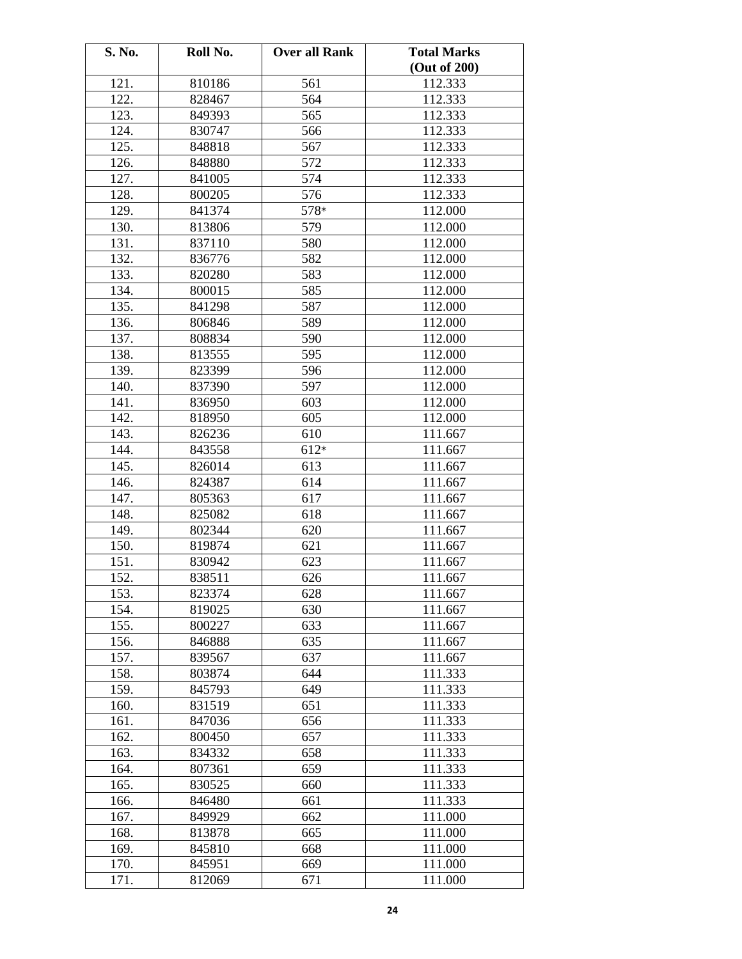| S. No. | Roll No. | <b>Over all Rank</b> | <b>Total Marks</b> |
|--------|----------|----------------------|--------------------|
|        |          |                      | (Out of 200)       |
| 121.   | 810186   | 561                  | 112.333            |
| 122.   | 828467   | 564                  | 112.333            |
| 123.   | 849393   | 565                  | 112.333            |
| 124.   | 830747   | 566                  | 112.333            |
| 125.   | 848818   | 567                  | 112.333            |
| 126.   | 848880   | 572                  | 112.333            |
| 127.   | 841005   | 574                  | 112.333            |
| 128.   | 800205   | 576                  | 112.333            |
| 129.   | 841374   | 578*                 | 112.000            |
| 130.   | 813806   | 579                  | 112.000            |
| 131.   | 837110   | 580                  | 112.000            |
| 132.   | 836776   | 582                  | 112.000            |
| 133.   | 820280   | 583                  | 112.000            |
| 134.   | 800015   | 585                  | 112.000            |
| 135.   | 841298   | 587                  | 112.000            |
| 136.   | 806846   | 589                  | 112.000            |
| 137.   | 808834   | 590                  | 112.000            |
| 138.   | 813555   | 595                  | 112.000            |
| 139.   | 823399   | 596                  | 112.000            |
| 140.   |          | 597                  |                    |
|        | 837390   |                      | 112.000            |
| 141.   | 836950   | 603                  | 112.000            |
| 142.   | 818950   | 605                  | 112.000            |
| 143.   | 826236   | 610                  | 111.667            |
| 144.   | 843558   | $612*$               | 111.667            |
| 145.   | 826014   | 613                  | 111.667            |
| 146.   | 824387   | 614                  | 111.667            |
| 147.   | 805363   | 617                  | 111.667            |
| 148.   | 825082   | 618                  | 111.667            |
| 149.   | 802344   | 620                  | 111.667            |
| 150.   | 819874   | 621                  | 111.667            |
| 151.   | 830942   | 623                  | 111.667            |
| 152.   | 838511   | 626                  | 111.667            |
| 153.   | 823374   | 628                  | 111.667            |
| 154.   | 819025   | 630                  | 111.667            |
| 155.   | 800227   | 633                  | 111.667            |
| 156.   | 846888   | 635                  | 111.667            |
| 157.   | 839567   | 637                  | 111.667            |
| 158.   | 803874   | 644                  | 111.333            |
| 159.   | 845793   | 649                  | 111.333            |
| 160.   | 831519   | 651                  | 111.333            |
| 161.   | 847036   | 656                  | 111.333            |
| 162.   | 800450   | 657                  | 111.333            |
| 163.   | 834332   | 658                  | 111.333            |
| 164.   | 807361   | 659                  | 111.333            |
| 165.   | 830525   | 660                  | 111.333            |
| 166.   | 846480   | 661                  | 111.333            |
| 167.   | 849929   | 662                  | 111.000            |
| 168.   | 813878   | 665                  | 111.000            |
| 169.   | 845810   | 668                  | 111.000            |
| 170.   | 845951   | 669                  | 111.000            |
| 171.   | 812069   | 671                  | 111.000            |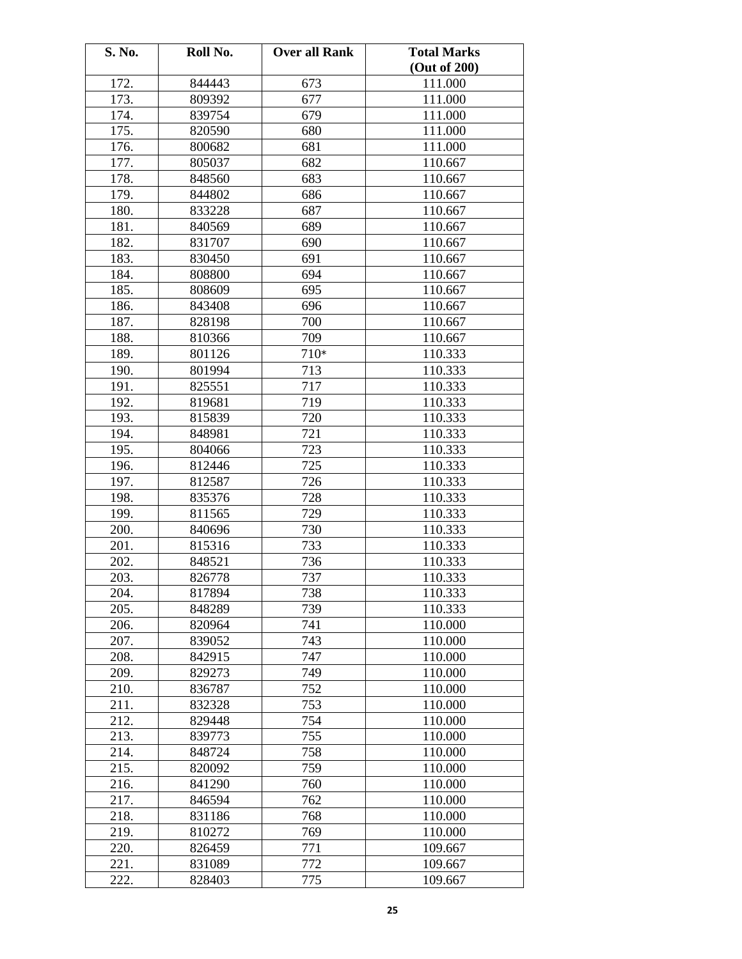| S. No. | Roll No. | <b>Over all Rank</b> | <b>Total Marks</b> |
|--------|----------|----------------------|--------------------|
|        |          |                      | (Out of 200)       |
| 172.   | 844443   | 673                  | 111.000            |
| 173.   | 809392   | 677                  | 111.000            |
| 174.   | 839754   | 679                  | 111.000            |
| 175.   | 820590   | 680                  | 111.000            |
| 176.   | 800682   | 681                  | 111.000            |
| 177.   | 805037   | 682                  | 110.667            |
| 178.   | 848560   | 683                  | 110.667            |
| 179.   | 844802   | 686                  | 110.667            |
| 180.   | 833228   | 687                  | 110.667            |
| 181.   | 840569   | 689                  | 110.667            |
| 182.   | 831707   | 690                  | 110.667            |
| 183.   | 830450   | 691                  | 110.667            |
| 184.   | 808800   | 694                  | 110.667            |
| 185.   | 808609   | 695                  | 110.667            |
| 186.   | 843408   | 696                  | 110.667            |
| 187.   | 828198   | 700                  | 110.667            |
| 188.   | 810366   | 709                  | 110.667            |
| 189.   | 801126   | $710*$               | 110.333            |
| 190.   | 801994   | 713                  | 110.333            |
| 191.   | 825551   | 717                  | 110.333            |
| 192.   | 819681   | 719                  | 110.333            |
| 193.   | 815839   | 720                  | 110.333            |
| 194.   | 848981   | 721                  | 110.333            |
| 195.   | 804066   | 723                  | 110.333            |
| 196.   | 812446   | 725                  | 110.333            |
| 197.   | 812587   | 726                  | 110.333            |
| 198.   | 835376   | 728                  | 110.333            |
| 199.   | 811565   | 729                  | 110.333            |
| 200.   | 840696   | 730                  | 110.333            |
| 201.   | 815316   | 733                  | 110.333            |
| 202.   | 848521   | 736                  | 110.333            |
| 203.   | 826778   | 737                  | 110.333            |
| 204.   | 817894   | 738                  | 110.333            |
| 205.   | 848289   | 739                  | 110.333            |
| 206.   | 820964   | 741                  | 110.000            |
| 207.   | 839052   | 743                  | 110.000            |
| 208.   | 842915   | 747                  | 110.000            |
| 209.   | 829273   | 749                  | 110.000            |
| 210.   | 836787   | 752                  | 110.000            |
| 211.   | 832328   | 753                  | 110.000            |
| 212.   | 829448   | 754                  | 110.000            |
| 213.   | 839773   | 755                  | 110.000            |
| 214.   | 848724   | 758                  | 110.000            |
| 215.   | 820092   | 759                  | 110.000            |
| 216.   | 841290   | 760                  | 110.000            |
| 217.   | 846594   | 762                  | 110.000            |
| 218.   | 831186   | 768                  | 110.000            |
| 219.   | 810272   | 769                  | 110.000            |
| 220.   | 826459   | 771                  | 109.667            |
| 221.   | 831089   | 772                  | 109.667            |
| 222.   | 828403   | 775                  | 109.667            |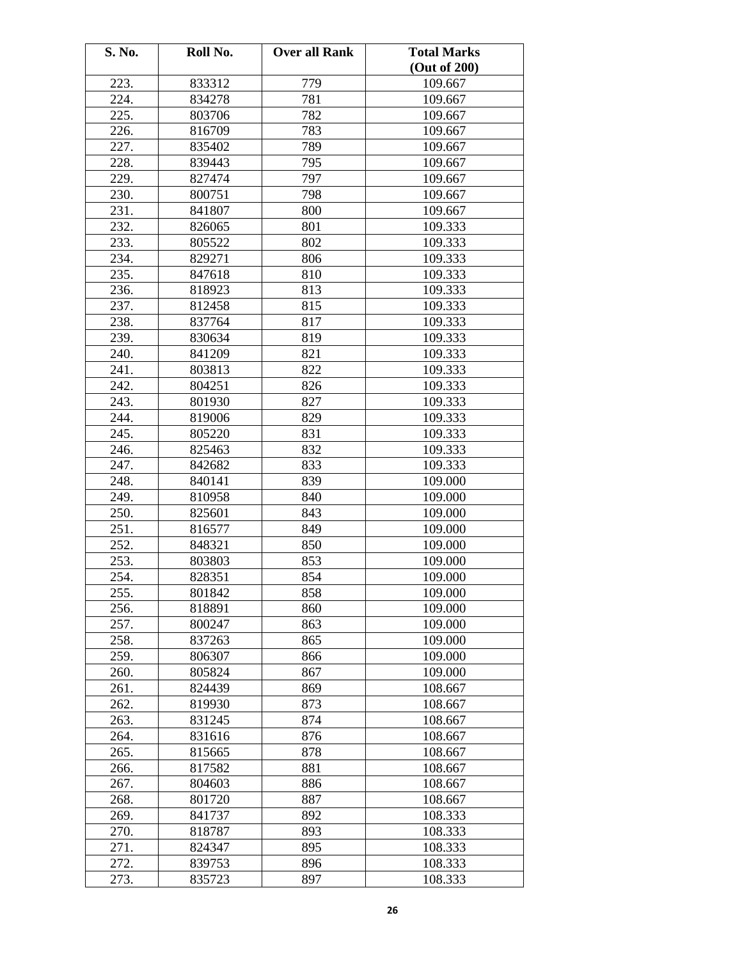| S. No. | Roll No. | <b>Over all Rank</b> | <b>Total Marks</b> |
|--------|----------|----------------------|--------------------|
|        |          |                      | (Out of 200)       |
| 223.   | 833312   | 779                  | 109.667            |
| 224.   | 834278   | 781                  | 109.667            |
| 225.   | 803706   | 782                  | 109.667            |
| 226.   | 816709   | 783                  | 109.667            |
| 227.   | 835402   | 789                  | 109.667            |
| 228.   | 839443   | 795                  | 109.667            |
| 229.   | 827474   | 797                  | 109.667            |
| 230.   | 800751   | 798                  | 109.667            |
| 231.   | 841807   | 800                  | 109.667            |
| 232.   | 826065   | 801                  | 109.333            |
| 233.   | 805522   | 802                  | 109.333            |
| 234.   | 829271   | 806                  | 109.333            |
| 235.   | 847618   | 810                  | 109.333            |
| 236.   | 818923   | 813                  | 109.333            |
| 237.   | 812458   | 815                  | 109.333            |
| 238.   | 837764   | 817                  | 109.333            |
| 239.   | 830634   | 819                  | 109.333            |
| 240.   | 841209   | 821                  | 109.333            |
| 241.   | 803813   | 822                  | 109.333            |
| 242.   | 804251   | 826                  | 109.333            |
| 243.   | 801930   | 827                  | 109.333            |
| 244.   | 819006   | 829                  | 109.333            |
| 245.   | 805220   | 831                  | 109.333            |
| 246.   | 825463   | 832                  | 109.333            |
| 247.   | 842682   | 833                  | 109.333            |
| 248.   | 840141   | 839                  | 109.000            |
| 249.   | 810958   | 840                  | 109.000            |
| 250.   | 825601   | 843                  | 109.000            |
| 251.   | 816577   | 849                  | 109.000            |
| 252.   | 848321   | 850                  | 109.000            |
| 253.   | 803803   | 853                  | 109.000            |
| 254.   | 828351   | 854                  | 109.000            |
| 255.   | 801842   | 858                  | 109.000            |
| 256.   | 818891   | 860                  | 109.000            |
| 257.   | 800247   | 863                  | 109.000            |
| 258.   | 837263   | 865                  | 109.000            |
| 259.   | 806307   | 866                  | 109.000            |
| 260.   | 805824   | 867                  | 109.000            |
| 261.   | 824439   | 869                  | 108.667            |
| 262.   | 819930   | 873                  | 108.667            |
| 263.   | 831245   | 874                  | 108.667            |
| 264.   | 831616   | 876                  | 108.667            |
| 265.   | 815665   | 878                  | 108.667            |
| 266.   | 817582   | 881                  | 108.667            |
| 267.   | 804603   | 886                  | 108.667            |
| 268.   | 801720   | 887                  | 108.667            |
| 269.   | 841737   | 892                  | 108.333            |
| 270.   | 818787   | 893                  | 108.333            |
| 271.   | 824347   | 895                  | 108.333            |
| 272.   | 839753   | 896                  | 108.333            |
| 273.   | 835723   | 897                  | 108.333            |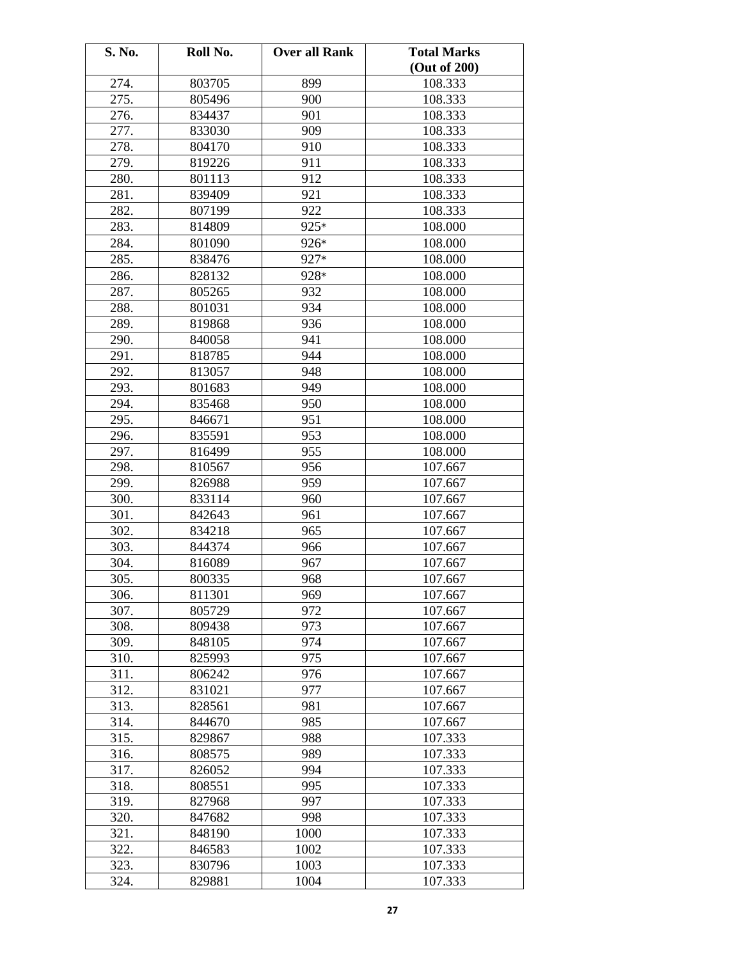| S. No. | Roll No. | <b>Over all Rank</b> | <b>Total Marks</b> |
|--------|----------|----------------------|--------------------|
|        |          |                      | (Out of 200)       |
| 274.   | 803705   | 899                  | 108.333            |
| 275.   | 805496   | 900                  | 108.333            |
| 276.   | 834437   | 901                  | 108.333            |
| 277.   | 833030   | 909                  | 108.333            |
| 278.   | 804170   | 910                  | 108.333            |
| 279.   | 819226   | 911                  | 108.333            |
| 280.   | 801113   | 912                  | 108.333            |
| 281.   | 839409   | 921                  | 108.333            |
| 282.   | 807199   | 922                  | 108.333            |
| 283.   | 814809   | 925*                 | 108.000            |
| 284.   | 801090   | 926*                 | 108.000            |
| 285.   | 838476   | 927*                 | 108.000            |
| 286.   | 828132   | 928*                 | 108.000            |
| 287.   | 805265   | 932                  | 108.000            |
| 288.   | 801031   | 934                  | 108.000            |
| 289.   | 819868   | 936                  | 108.000            |
| 290.   | 840058   | 941                  | 108.000            |
| 291.   | 818785   | 944                  | 108.000            |
| 292.   | 813057   | 948                  | 108.000            |
| 293.   | 801683   | 949                  | 108.000            |
| 294.   | 835468   | 950                  | 108.000            |
| 295.   | 846671   | 951                  | 108.000            |
| 296.   | 835591   | 953                  | 108.000            |
| 297.   | 816499   | 955                  | 108.000            |
| 298.   | 810567   | 956                  | 107.667            |
| 299.   | 826988   | 959                  | 107.667            |
| 300.   | 833114   | 960                  | 107.667            |
| 301.   | 842643   | 961                  | 107.667            |
| 302.   | 834218   | 965                  | 107.667            |
| 303.   | 844374   | 966                  | 107.667            |
| 304.   | 816089   | 967                  | 107.667            |
| 305.   | 800335   | 968                  | 107.667            |
| 306.   | 811301   | 969                  | 107.667            |
| 307.   | 805729   | 972                  | 107.667            |
| 308.   | 809438   | 973                  | 107.667            |
| 309.   | 848105   | 974                  | 107.667            |
| 310.   | 825993   | 975                  | 107.667            |
| 311.   | 806242   | 976                  | 107.667            |
| 312.   | 831021   | 977                  | 107.667            |
| 313.   | 828561   | 981                  | 107.667            |
| 314.   | 844670   | 985                  | 107.667            |
| 315.   | 829867   | 988                  | 107.333            |
| 316.   | 808575   | 989                  | 107.333            |
| 317.   | 826052   | 994                  | 107.333            |
| 318.   | 808551   | 995                  | 107.333            |
| 319.   | 827968   | 997                  | 107.333            |
| 320.   | 847682   | 998                  | 107.333            |
| 321.   | 848190   | 1000                 | 107.333            |
| 322.   | 846583   | 1002                 | 107.333            |
| 323.   | 830796   | 1003                 | 107.333            |
| 324.   | 829881   | 1004                 | 107.333            |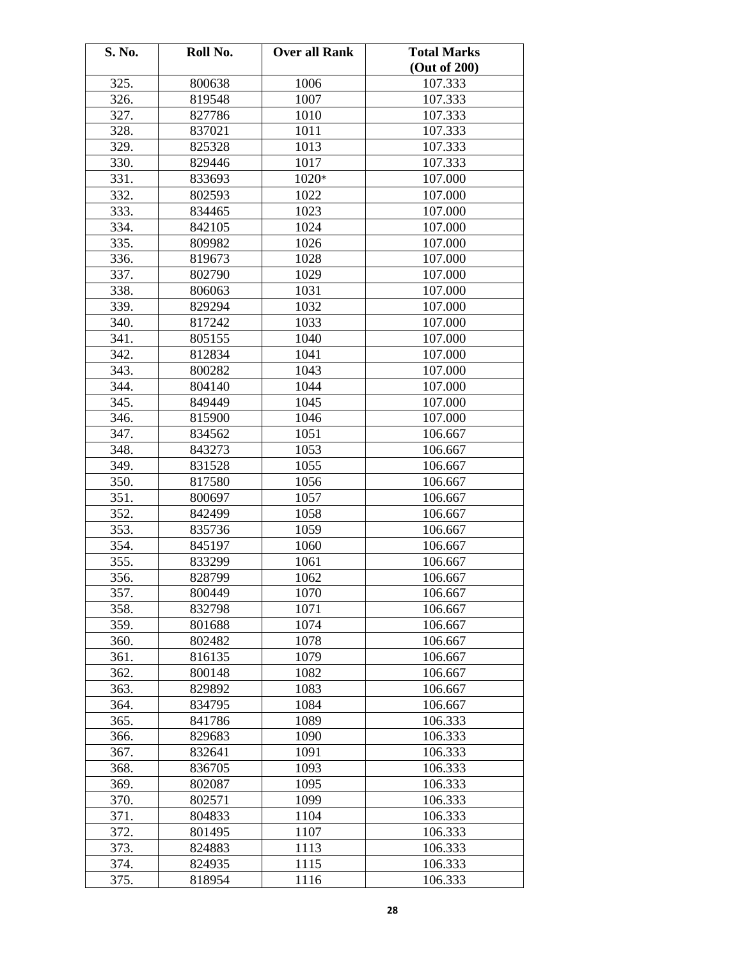| S. No. | Roll No. | <b>Over all Rank</b> | <b>Total Marks</b> |
|--------|----------|----------------------|--------------------|
|        |          |                      | (Out of 200)       |
| 325.   | 800638   | 1006                 | 107.333            |
| 326.   | 819548   | 1007                 | 107.333            |
| 327.   | 827786   | 1010                 | 107.333            |
| 328.   | 837021   | 1011                 | 107.333            |
| 329.   | 825328   | 1013                 | 107.333            |
| 330.   | 829446   | 1017                 | 107.333            |
| 331.   | 833693   | 1020*                | 107.000            |
| 332.   | 802593   | 1022                 | 107.000            |
| 333.   | 834465   | 1023                 | 107.000            |
| 334.   | 842105   | 1024                 | 107.000            |
| 335.   | 809982   | 1026                 | 107.000            |
| 336.   | 819673   | 1028                 | 107.000            |
| 337.   | 802790   | 1029                 | 107.000            |
| 338.   | 806063   | 1031                 | 107.000            |
| 339.   | 829294   | 1032                 | 107.000            |
| 340.   | 817242   | 1033                 | 107.000            |
| 341.   | 805155   | 1040                 | 107.000            |
| 342.   | 812834   | 1041                 | 107.000            |
| 343.   | 800282   | 1043                 | 107.000            |
| 344.   | 804140   | 1044                 | 107.000            |
| 345.   | 849449   | 1045                 | 107.000            |
| 346.   | 815900   | 1046                 | 107.000            |
| 347.   | 834562   | 1051                 | 106.667            |
| 348.   | 843273   | 1053                 | 106.667            |
| 349.   | 831528   | 1055                 | 106.667            |
| 350.   | 817580   | 1056                 | 106.667            |
| 351.   | 800697   | 1057                 | 106.667            |
| 352.   | 842499   | 1058                 | 106.667            |
| 353.   | 835736   | 1059                 | 106.667            |
| 354.   | 845197   | 1060                 | 106.667            |
| 355.   | 833299   | 1061                 | 106.667            |
| 356.   | 828799   | 1062                 | 106.667            |
| 357.   | 800449   | 1070                 | 106.667            |
| 358.   | 832798   | 1071                 | 106.667            |
| 359.   | 801688   | 1074                 | 106.667            |
| 360.   | 802482   | 1078                 | 106.667            |
| 361.   | 816135   | 1079                 | 106.667            |
| 362.   | 800148   | 1082                 | 106.667            |
| 363.   | 829892   | 1083                 | 106.667            |
| 364.   | 834795   | 1084                 | 106.667            |
| 365.   | 841786   | 1089                 | 106.333            |
| 366.   | 829683   | 1090                 | 106.333            |
| 367.   | 832641   | 1091                 | 106.333            |
| 368.   | 836705   | 1093                 | 106.333            |
| 369.   | 802087   | 1095                 | 106.333            |
| 370.   | 802571   | 1099                 | 106.333            |
| 371.   | 804833   | 1104                 | 106.333            |
| 372.   | 801495   | 1107                 | 106.333            |
| 373.   | 824883   | 1113                 | 106.333            |
| 374.   | 824935   | 1115                 | 106.333            |
| 375.   | 818954   | 1116                 | 106.333            |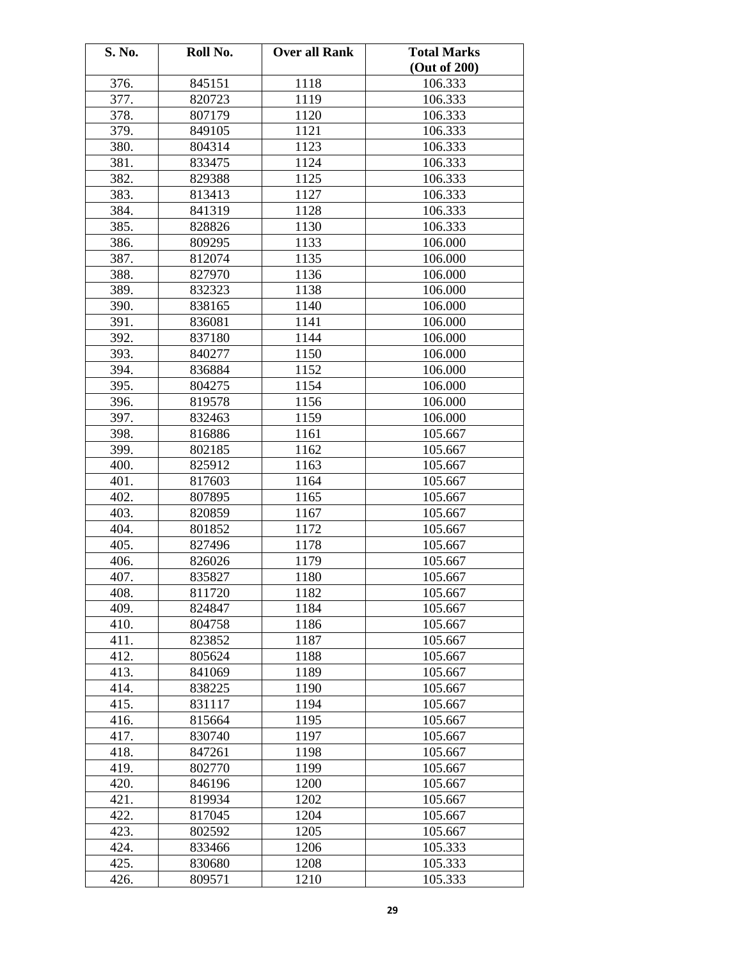| S. No. | Roll No. | <b>Over all Rank</b> | <b>Total Marks</b> |
|--------|----------|----------------------|--------------------|
|        |          |                      | (Out of 200)       |
| 376.   | 845151   | 1118                 | 106.333            |
| 377.   | 820723   | 1119                 | 106.333            |
| 378.   | 807179   | 1120                 | 106.333            |
| 379.   | 849105   | 1121                 | 106.333            |
| 380.   | 804314   | 1123                 | 106.333            |
| 381.   | 833475   | 1124                 | 106.333            |
| 382.   | 829388   | 1125                 | 106.333            |
| 383.   | 813413   | 1127                 | 106.333            |
| 384.   | 841319   | 1128                 | 106.333            |
| 385.   | 828826   | 1130                 | 106.333            |
| 386.   | 809295   | 1133                 | 106.000            |
| 387.   | 812074   | 1135                 | 106.000            |
| 388.   | 827970   | 1136                 | 106.000            |
| 389.   | 832323   | 1138                 | 106.000            |
| 390.   | 838165   | 1140                 | 106.000            |
| 391.   | 836081   | 1141                 | 106.000            |
| 392.   | 837180   | 1144                 | 106.000            |
| 393.   | 840277   | 1150                 | 106.000            |
| 394.   | 836884   | 1152                 | 106.000            |
| 395.   | 804275   | 1154                 | 106.000            |
| 396.   | 819578   | 1156                 | 106.000            |
| 397.   | 832463   | 1159                 | 106.000            |
| 398.   | 816886   | 1161                 | 105.667            |
| 399.   | 802185   | 1162                 | 105.667            |
| 400.   | 825912   | 1163                 | 105.667            |
| 401.   | 817603   | 1164                 | 105.667            |
| 402.   | 807895   | 1165                 | 105.667            |
| 403.   | 820859   | 1167                 | 105.667            |
| 404.   | 801852   | 1172                 | 105.667            |
| 405.   | 827496   | 1178                 | 105.667            |
| 406.   | 826026   | 1179                 | 105.667            |
| 407.   | 835827   | 1180                 | 105.667            |
| 408.   | 811720   | 1182                 | 105.667            |
| 409.   | 824847   | 1184                 | 105.667            |
| 410.   | 804758   | 1186                 | 105.667            |
| 411.   | 823852   | 1187                 | 105.667            |
| 412.   | 805624   | 1188                 | 105.667            |
| 413.   | 841069   | 1189                 | 105.667            |
| 414.   | 838225   | 1190                 | 105.667            |
| 415.   | 831117   | 1194                 | 105.667            |
| 416.   | 815664   | 1195                 | 105.667            |
| 417.   | 830740   | 1197                 | 105.667            |
| 418.   | 847261   | 1198                 | 105.667            |
| 419.   | 802770   | 1199                 | 105.667            |
| 420.   | 846196   | 1200                 | 105.667            |
| 421.   | 819934   | 1202                 | 105.667            |
| 422.   | 817045   | 1204                 | 105.667            |
| 423.   | 802592   | 1205                 | 105.667            |
| 424.   | 833466   | 1206                 | 105.333            |
| 425.   | 830680   | 1208                 | 105.333            |
| 426.   | 809571   | 1210                 | 105.333            |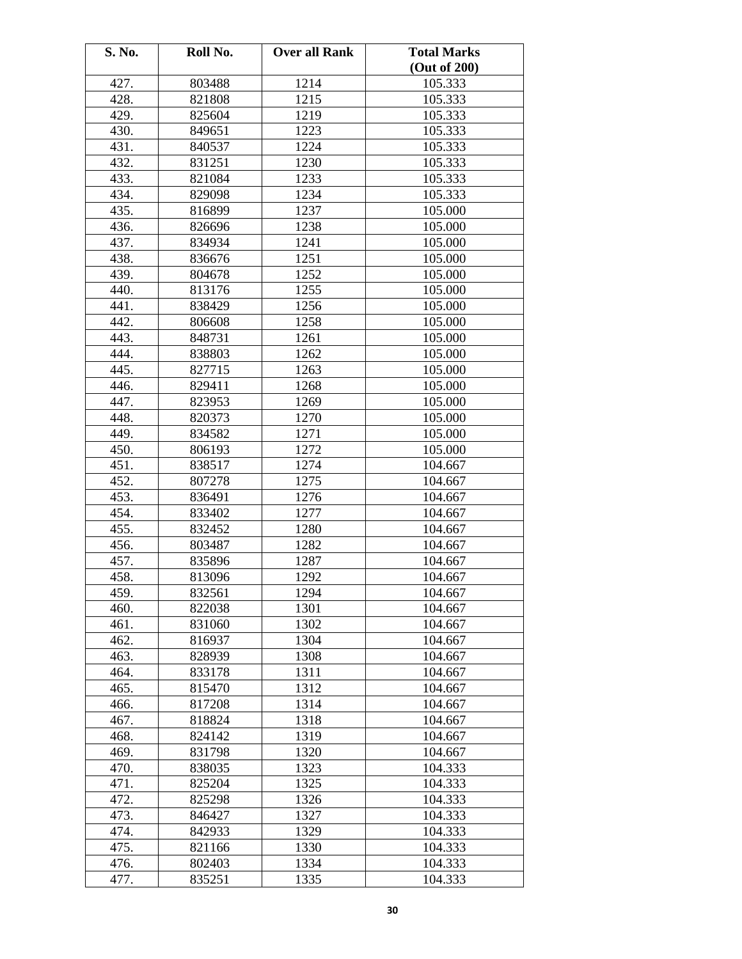| S. No. | Roll No. | <b>Over all Rank</b> | <b>Total Marks</b> |
|--------|----------|----------------------|--------------------|
|        |          |                      | (Out of 200)       |
| 427.   | 803488   | 1214                 | 105.333            |
| 428.   | 821808   | 1215                 | 105.333            |
| 429.   | 825604   | 1219                 | 105.333            |
| 430.   | 849651   | 1223                 | 105.333            |
| 431.   | 840537   | 1224                 | 105.333            |
| 432.   | 831251   | 1230                 | 105.333            |
| 433.   | 821084   | 1233                 | 105.333            |
| 434.   | 829098   | 1234                 | 105.333            |
| 435.   | 816899   | 1237                 | 105.000            |
| 436.   | 826696   | 1238                 | 105.000            |
| 437.   | 834934   | 1241                 | 105.000            |
| 438.   | 836676   | 1251                 | 105.000            |
| 439.   | 804678   | 1252                 | 105.000            |
| 440.   | 813176   | 1255                 | 105.000            |
| 441.   | 838429   | 1256                 | 105.000            |
| 442.   | 806608   | 1258                 | 105.000            |
| 443.   | 848731   | 1261                 | 105.000            |
| 444.   | 838803   | 1262                 | 105.000            |
| 445.   | 827715   | 1263                 | 105.000            |
| 446.   | 829411   | 1268                 | 105.000            |
| 447.   | 823953   | 1269                 | 105.000            |
| 448.   | 820373   | 1270                 | 105.000            |
| 449.   | 834582   | 1271                 | 105.000            |
| 450.   | 806193   | 1272                 | 105.000            |
| 451.   | 838517   | 1274                 | 104.667            |
| 452.   | 807278   | 1275                 | 104.667            |
| 453.   | 836491   | 1276                 | 104.667            |
| 454.   | 833402   | 1277                 | 104.667            |
| 455.   | 832452   | 1280                 | 104.667            |
| 456.   | 803487   | 1282                 | 104.667            |
| 457.   | 835896   | 1287                 | 104.667            |
| 458.   | 813096   | 1292                 | 104.667            |
| 459.   | 832561   | 1294                 | 104.667            |
| 460.   | 822038   | 1301                 | 104.667            |
| 461.   | 831060   | 1302                 | 104.667            |
| 462.   | 816937   | 1304                 | 104.667            |
| 463.   | 828939   | 1308                 | 104.667            |
| 464.   | 833178   | 1311                 | 104.667            |
| 465.   | 815470   | 1312                 | 104.667            |
| 466.   | 817208   | 1314                 | 104.667            |
| 467.   | 818824   | 1318                 | 104.667            |
| 468.   | 824142   | 1319                 | 104.667            |
| 469.   | 831798   | 1320                 | 104.667            |
| 470.   | 838035   | 1323                 | 104.333            |
| 471.   | 825204   | 1325                 | 104.333            |
| 472.   | 825298   | 1326                 | 104.333            |
| 473.   | 846427   | 1327                 | 104.333            |
| 474.   | 842933   | 1329                 | 104.333            |
| 475.   | 821166   | 1330                 | 104.333            |
| 476.   | 802403   | 1334                 | 104.333            |
| 477.   | 835251   | 1335                 | 104.333            |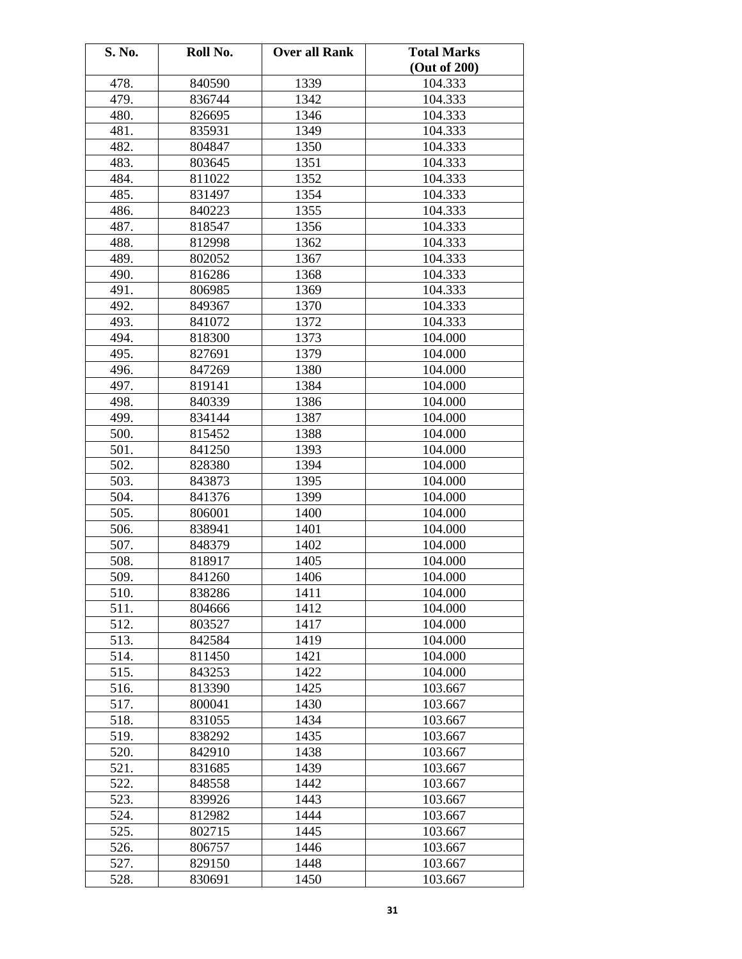| S. No.            | Roll No. | <b>Over all Rank</b> | <b>Total Marks</b> |
|-------------------|----------|----------------------|--------------------|
|                   |          |                      | (Out of 200)       |
| 478.              | 840590   | 1339                 | 104.333            |
| 479.              | 836744   | 1342                 | 104.333            |
| 480.              | 826695   | 1346                 | 104.333            |
| 481.              | 835931   | 1349                 | 104.333            |
| 482.              | 804847   | 1350                 | 104.333            |
| 483.              | 803645   | 1351                 | 104.333            |
| 484.              | 811022   | 1352                 | 104.333            |
| 485.              | 831497   | 1354                 | 104.333            |
| 486.              | 840223   | 1355                 | 104.333            |
| 487.              | 818547   | 1356                 | 104.333            |
| 488.              | 812998   | 1362                 | 104.333            |
| 489.              | 802052   | 1367                 | 104.333            |
| 490.              | 816286   | 1368                 | 104.333            |
| 491.              | 806985   | 1369                 | 104.333            |
| 492.              | 849367   | 1370                 | 104.333            |
| 493.              | 841072   | 1372                 | 104.333            |
| 494.              | 818300   | 1373                 | 104.000            |
| 495.              | 827691   | 1379                 | 104.000            |
| 496.              | 847269   | 1380                 | 104.000            |
| 497.              | 819141   | 1384                 | 104.000            |
| 498.              | 840339   | 1386                 | 104.000            |
| 499.              | 834144   | 1387                 | 104.000            |
| 500.              | 815452   | 1388                 | 104.000            |
| 501.              | 841250   | 1393                 | 104.000            |
| 502.              | 828380   | 1394                 | 104.000            |
| 503.              | 843873   | 1395                 | 104.000            |
| 504.              | 841376   | 1399                 | 104.000            |
| 505.              | 806001   | 1400                 | 104.000            |
| 506.              | 838941   | 1401                 | 104.000            |
| 507.              | 848379   | 1402                 | 104.000            |
| 508.              | 818917   | 1405                 | 104.000            |
| 509.              | 841260   | 1406                 | 104.000            |
| 510.              | 838286   | 1411                 | 104.000            |
| 511.              | 804666   | 1412                 | 104.000            |
| 512.              | 803527   | 1417                 | 104.000            |
| 513.              | 842584   | 1419                 | 104.000            |
| 514.              | 811450   | 1421                 | 104.000            |
| 515.              | 843253   | 1422                 | 104.000            |
| 516.              | 813390   | 1425                 | 103.667            |
| 517.              | 800041   | 1430                 | 103.667            |
| 518.              | 831055   | 1434                 | 103.667            |
| 519.              | 838292   | 1435                 | 103.667            |
| 520.              | 842910   | 1438                 | 103.667            |
| 521.              | 831685   | 1439                 | 103.667            |
| 522.              | 848558   | 1442                 | 103.667            |
| 523.              | 839926   | 1443                 | 103.667            |
| 524.              | 812982   | 1444                 | 103.667            |
| 525.              | 802715   | 1445                 | 103.667            |
| 526.              | 806757   | 1446                 | 103.667            |
| $\overline{5}27.$ | 829150   | 1448                 | 103.667            |
| 528.              | 830691   | 1450                 | 103.667            |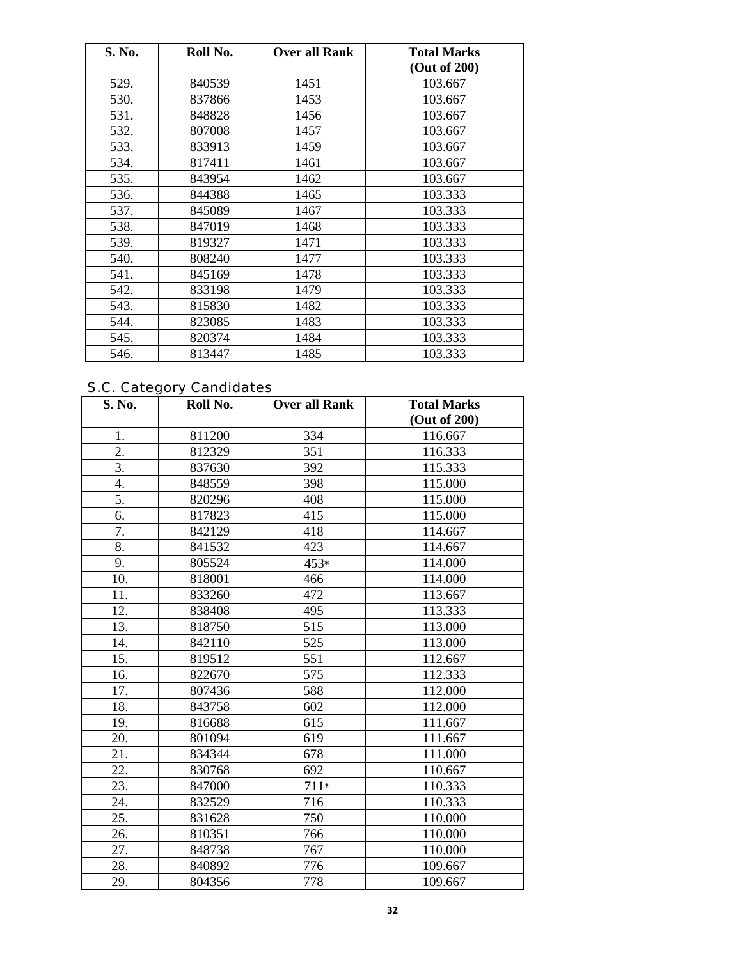| S. No. | Roll No. | <b>Over all Rank</b> | <b>Total Marks</b><br>(Out of 200) |
|--------|----------|----------------------|------------------------------------|
| 529.   | 840539   | 1451                 | 103.667                            |
| 530.   | 837866   | 1453                 | 103.667                            |
| 531.   | 848828   | 1456                 | 103.667                            |
| 532.   | 807008   | 1457                 | 103.667                            |
| 533.   | 833913   | 1459                 | 103.667                            |
| 534.   | 817411   | 1461                 | 103.667                            |
| 535.   | 843954   | 1462                 | 103.667                            |
| 536.   | 844388   | 1465                 | 103.333                            |
| 537.   | 845089   | 1467                 | 103.333                            |
| 538.   | 847019   | 1468                 | 103.333                            |
| 539.   | 819327   | 1471                 | 103.333                            |
| 540.   | 808240   | 1477                 | 103.333                            |
| 541.   | 845169   | 1478                 | 103.333                            |
| 542.   | 833198   | 1479                 | 103.333                            |
| 543.   | 815830   | 1482                 | 103.333                            |
| 544.   | 823085   | 1483                 | 103.333                            |
| 545.   | 820374   | 1484                 | 103.333                            |
| 546.   | 813447   | 1485                 | 103.333                            |

# S.C. Category Candidates

| S. No.           | Roll No. | <b>Over all Rank</b> | <b>Total Marks</b> |
|------------------|----------|----------------------|--------------------|
|                  |          |                      | (Out of 200)       |
| 1.               | 811200   | 334                  | 116.667            |
| $\overline{2}$ . | 812329   | 351                  | 116.333            |
| $\overline{3}$ . | 837630   | 392                  | 115.333            |
| 4.               | 848559   | 398                  | 115.000            |
| 5.               | 820296   | 408                  | 115.000            |
| 6.               | 817823   | 415                  | 115.000            |
| 7.               | 842129   | 418                  | 114.667            |
| 8.               | 841532   | 423                  | 114.667            |
| 9.               | 805524   | $453*$               | 114.000            |
| 10.              | 818001   | 466                  | 114.000            |
| 11.              | 833260   | 472                  | 113.667            |
| 12.              | 838408   | 495                  | 113.333            |
| 13.              | 818750   | 515                  | 113.000            |
| 14.              | 842110   | 525                  | 113.000            |
| 15.              | 819512   | 551                  | 112.667            |
| 16.              | 822670   | 575                  | 112.333            |
| 17.              | 807436   | 588                  | 112.000            |
| 18.              | 843758   | 602                  | 112.000            |
| 19.              | 816688   | 615                  | 111.667            |
| 20.              | 801094   | 619                  | 111.667            |
| 21.              | 834344   | 678                  | 111.000            |
| 22.              | 830768   | 692                  | 110.667            |
| 23.              | 847000   | $711*$               | 110.333            |
| 24.              | 832529   | 716                  | 110.333            |
| 25.              | 831628   | 750                  | 110.000            |
| 26.              | 810351   | 766                  | 110.000            |
| 27.              | 848738   | 767                  | 110.000            |
| 28.              | 840892   | 776                  | 109.667            |
| 29.              | 804356   | 778                  | 109.667            |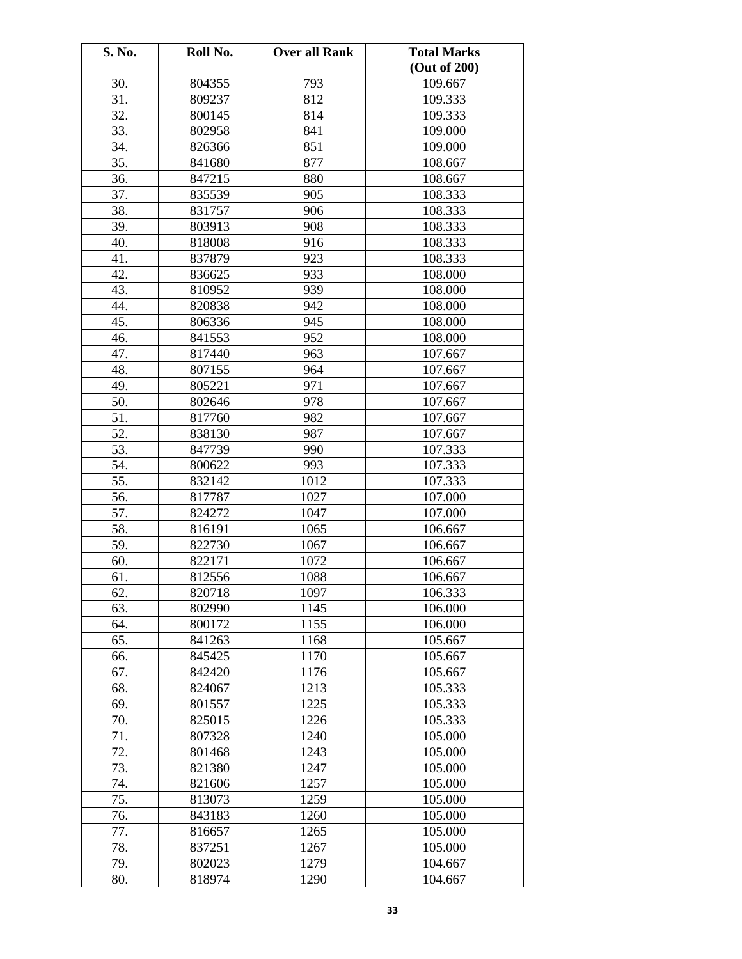| S. No. | Roll No. | <b>Over all Rank</b> | <b>Total Marks</b> |
|--------|----------|----------------------|--------------------|
|        |          |                      | (Out of 200)       |
| 30.    | 804355   | 793                  | 109.667            |
| 31.    | 809237   | 812                  | 109.333            |
| 32.    | 800145   | 814                  | 109.333            |
| 33.    | 802958   | 841                  | 109.000            |
| 34.    | 826366   | 851                  | 109.000            |
| 35.    | 841680   | 877                  | 108.667            |
| 36.    | 847215   | 880                  | 108.667            |
| 37.    | 835539   | 905                  | 108.333            |
| 38.    | 831757   | 906                  | 108.333            |
| 39.    | 803913   | 908                  | 108.333            |
| 40.    | 818008   | 916                  | 108.333            |
| 41.    | 837879   | 923                  | 108.333            |
| 42.    | 836625   | 933                  | 108.000            |
| 43.    | 810952   | 939                  | 108.000            |
| 44.    | 820838   | 942                  | 108.000            |
| 45.    | 806336   | 945                  | 108.000            |
| 46.    | 841553   | 952                  | 108.000            |
| 47.    | 817440   | 963                  | 107.667            |
| 48.    | 807155   | 964                  | 107.667            |
| 49.    | 805221   | 971                  | 107.667            |
| 50.    | 802646   | 978                  | 107.667            |
| 51.    | 817760   | 982                  | 107.667            |
| 52.    | 838130   | 987                  | 107.667            |
| 53.    | 847739   | 990                  | 107.333            |
| 54.    | 800622   | 993                  | 107.333            |
| 55.    | 832142   | 1012                 | 107.333            |
| 56.    | 817787   | 1027                 | 107.000            |
| 57.    | 824272   | 1047                 | 107.000            |
| 58.    | 816191   | 1065                 | 106.667            |
| 59.    | 822730   | 1067                 | 106.667            |
| 60.    | 822171   | 1072                 | 106.667            |
| 61.    | 812556   | 1088                 | 106.667            |
| 62.    | 820718   | 1097                 | 106.333            |
| 63.    | 802990   | 1145                 | 106.000            |
| 64.    | 800172   | 1155                 | 106.000            |
| 65.    | 841263   | 1168                 | 105.667            |
| 66.    | 845425   | 1170                 | 105.667            |
| 67.    | 842420   | 1176                 | 105.667            |
| 68.    | 824067   | 1213                 | 105.333            |
| 69.    | 801557   | 1225                 | 105.333            |
| 70.    | 825015   | 1226                 | 105.333            |
| 71.    | 807328   | 1240                 | 105.000            |
| 72.    | 801468   | 1243                 | 105.000            |
| 73.    | 821380   | 1247                 | 105.000            |
| 74.    | 821606   | 1257                 | 105.000            |
| 75.    | 813073   | 1259                 | 105.000            |
| 76.    | 843183   | 1260                 | 105.000            |
| 77.    | 816657   | 1265                 | 105.000            |
| 78.    | 837251   | 1267                 | 105.000            |
| 79.    | 802023   | 1279                 | 104.667            |
| 80.    | 818974   | 1290                 | 104.667            |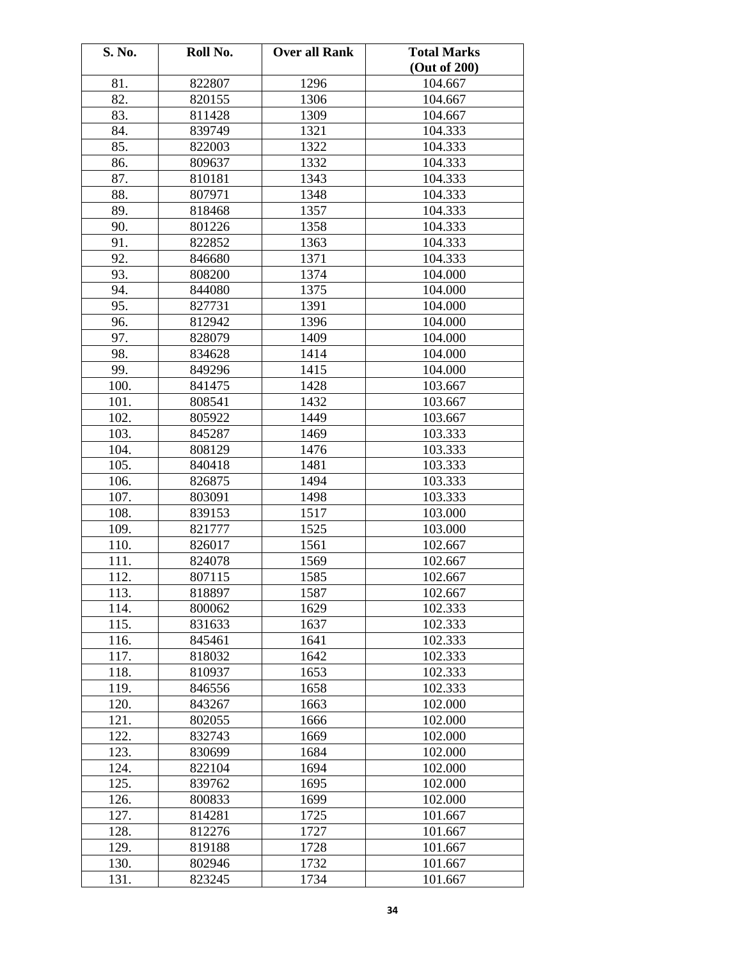| S. No. | Roll No. | <b>Over all Rank</b> | <b>Total Marks</b> |
|--------|----------|----------------------|--------------------|
|        |          |                      | (Out of 200)       |
| 81.    | 822807   | 1296                 | 104.667            |
| 82.    | 820155   | 1306                 | 104.667            |
| 83.    | 811428   | 1309                 | 104.667            |
| 84.    | 839749   | 1321                 | 104.333            |
| 85.    | 822003   | 1322                 | 104.333            |
| 86.    | 809637   | 1332                 | 104.333            |
| 87.    | 810181   | 1343                 | 104.333            |
| 88.    | 807971   | 1348                 | 104.333            |
| 89.    | 818468   | 1357                 | 104.333            |
| 90.    | 801226   | 1358                 | 104.333            |
| 91.    | 822852   | 1363                 | 104.333            |
| 92.    | 846680   | 1371                 | 104.333            |
| 93.    | 808200   | 1374                 | 104.000            |
| 94.    | 844080   | 1375                 | 104.000            |
| 95.    | 827731   | 1391                 | 104.000            |
| 96.    | 812942   | 1396                 | 104.000            |
| 97.    | 828079   | 1409                 | 104.000            |
| 98.    | 834628   | 1414                 | 104.000            |
| 99.    | 849296   | 1415                 | 104.000            |
| 100.   | 841475   | 1428                 | 103.667            |
| 101.   | 808541   | 1432                 | 103.667            |
| 102.   | 805922   | 1449                 | 103.667            |
| 103.   | 845287   | 1469                 | 103.333            |
| 104.   | 808129   | 1476                 | 103.333            |
| 105.   | 840418   | 1481                 | 103.333            |
| 106.   | 826875   | 1494                 | 103.333            |
| 107.   | 803091   | 1498                 | 103.333            |
| 108.   | 839153   | 1517                 | 103.000            |
| 109.   | 821777   | 1525                 | 103.000            |
| 110.   | 826017   | 1561                 | 102.667            |
| 111.   | 824078   | 1569                 | 102.667            |
| 112.   | 807115   | 1585                 | 102.667            |
| 113.   | 818897   | 1587                 | 102.667            |
| 114.   | 800062   | 1629                 | 102.333            |
| 115.   | 831633   | 1637                 | 102.333            |
| 116.   | 845461   | 1641                 | 102.333            |
| 117.   | 818032   | 1642                 | 102.333            |
| 118.   | 810937   | 1653                 | 102.333            |
| 119.   | 846556   | 1658                 | 102.333            |
| 120.   | 843267   | 1663                 | 102.000            |
| 121.   | 802055   | 1666                 | 102.000            |
| 122.   | 832743   | 1669                 | 102.000            |
| 123.   | 830699   | 1684                 | 102.000            |
| 124.   | 822104   | 1694                 | 102.000            |
| 125.   | 839762   | 1695                 | 102.000            |
| 126.   | 800833   | 1699                 | 102.000            |
| 127.   | 814281   | 1725                 | 101.667            |
| 128.   | 812276   | 1727                 | 101.667            |
| 129.   | 819188   | 1728                 | 101.667            |
| 130.   | 802946   | 1732                 | 101.667            |
| 131.   | 823245   | 1734                 | 101.667            |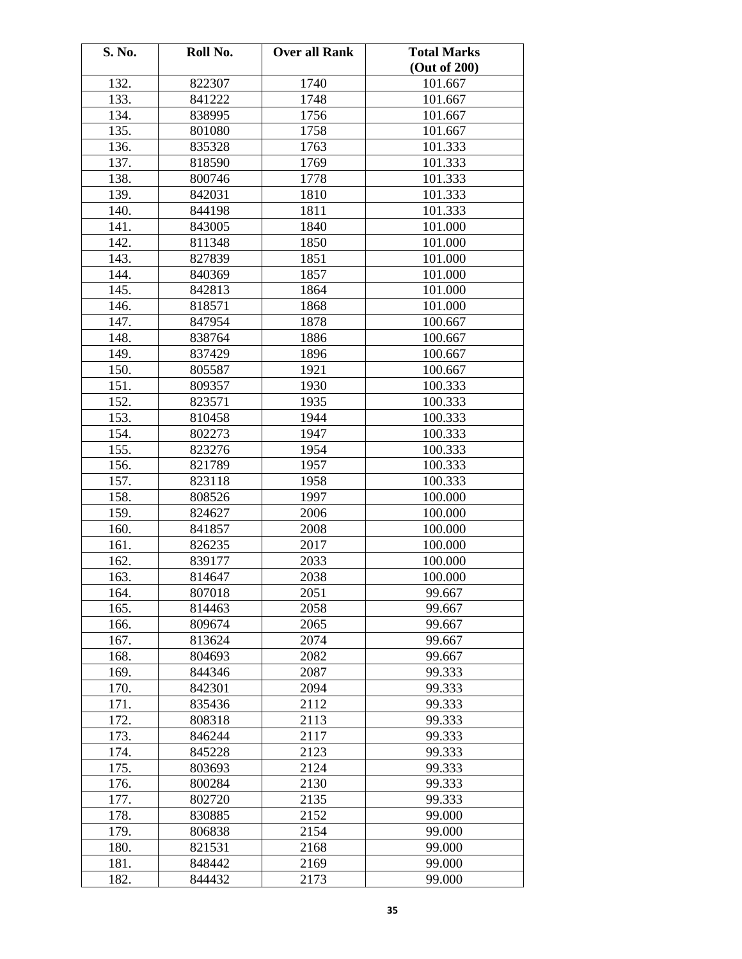| S. No. | Roll No. | <b>Over all Rank</b> | <b>Total Marks</b> |
|--------|----------|----------------------|--------------------|
|        |          |                      | (Out of 200)       |
| 132.   | 822307   | 1740                 | 101.667            |
| 133.   | 841222   | 1748                 | 101.667            |
| 134.   | 838995   | 1756                 | 101.667            |
| 135.   | 801080   | 1758                 | 101.667            |
| 136.   | 835328   | 1763                 | 101.333            |
| 137.   | 818590   | 1769                 | 101.333            |
| 138.   | 800746   | 1778                 | 101.333            |
| 139.   | 842031   | 1810                 | 101.333            |
| 140.   | 844198   | 1811                 | 101.333            |
| 141.   | 843005   | 1840                 | 101.000            |
| 142.   | 811348   | 1850                 | 101.000            |
| 143.   | 827839   | 1851                 | 101.000            |
| 144.   | 840369   | 1857                 | 101.000            |
| 145.   | 842813   | 1864                 | 101.000            |
| 146.   | 818571   | 1868                 | 101.000            |
| 147.   | 847954   | 1878                 | 100.667            |
| 148.   | 838764   | 1886                 | 100.667            |
| 149.   | 837429   | 1896                 | 100.667            |
| 150.   | 805587   | 1921                 | 100.667            |
| 151.   | 809357   | 1930                 | 100.333            |
| 152.   | 823571   | 1935                 | 100.333            |
| 153.   | 810458   | 1944                 | 100.333            |
| 154.   | 802273   | 1947                 | 100.333            |
| 155.   | 823276   | 1954                 | 100.333            |
| 156.   | 821789   | 1957                 | 100.333            |
| 157.   | 823118   | 1958                 | 100.333            |
| 158.   | 808526   | 1997                 | 100.000            |
| 159.   | 824627   | 2006                 | 100.000            |
| 160.   | 841857   | 2008                 | 100.000            |
| 161.   | 826235   | 2017                 | 100.000            |
| 162.   | 839177   | 2033                 | 100.000            |
| 163.   | 814647   | 2038                 | 100.000            |
| 164.   | 807018   | 2051                 | 99.667             |
| 165.   | 814463   | 2058                 | 99.667             |
| 166.   | 809674   | 2065                 | 99.667             |
| 167.   | 813624   | 2074                 | 99.667             |
| 168.   | 804693   | 2082                 | 99.667             |
| 169.   | 844346   | 2087                 | 99.333             |
| 170.   | 842301   | 2094                 | 99.333             |
| 171.   | 835436   | 2112                 | 99.333             |
| 172.   | 808318   | 2113                 | 99.333             |
| 173.   | 846244   | 2117                 | 99.333             |
| 174.   | 845228   | 2123                 | 99.333             |
| 175.   | 803693   | 2124                 | 99.333             |
| 176.   | 800284   | 2130                 | 99.333             |
| 177.   | 802720   | 2135                 | 99.333             |
| 178.   | 830885   | 2152                 | 99.000             |
| 179.   | 806838   | 2154                 | 99.000             |
| 180.   | 821531   | 2168                 | 99.000             |
| 181.   | 848442   | 2169                 | 99.000             |
| 182.   | 844432   | 2173                 | 99.000             |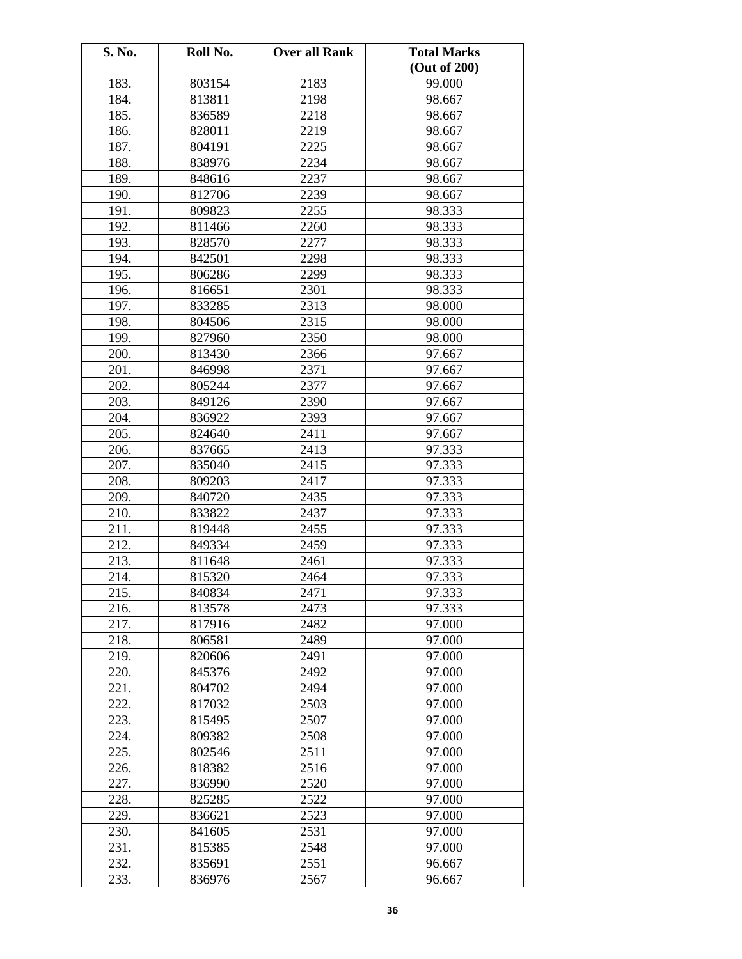| S. No. | Roll No. | <b>Over all Rank</b> | <b>Total Marks</b> |
|--------|----------|----------------------|--------------------|
|        |          |                      | (Out of 200)       |
| 183.   | 803154   | 2183                 | 99.000             |
| 184.   | 813811   | 2198                 | 98.667             |
| 185.   | 836589   | 2218                 | 98.667             |
| 186.   | 828011   | 2219                 | 98.667             |
| 187.   | 804191   | 2225                 | 98.667             |
| 188.   | 838976   | 2234                 | 98.667             |
| 189.   | 848616   | 2237                 | 98.667             |
| 190.   | 812706   | 2239                 | 98.667             |
| 191.   | 809823   | 2255                 | 98.333             |
| 192.   | 811466   | 2260                 | 98.333             |
| 193.   | 828570   | 2277                 | 98.333             |
| 194.   | 842501   | 2298                 | 98.333             |
| 195.   | 806286   | 2299                 | 98.333             |
| 196.   | 816651   | 2301                 | 98.333             |
| 197.   | 833285   | 2313                 | 98.000             |
| 198.   | 804506   | 2315                 | 98.000             |
| 199.   | 827960   | 2350                 | 98.000             |
| 200.   | 813430   | 2366                 | 97.667             |
| 201.   | 846998   | 2371                 | 97.667             |
| 202.   | 805244   | 2377                 | 97.667             |
| 203.   | 849126   | 2390                 | 97.667             |
| 204.   | 836922   | 2393                 | 97.667             |
| 205.   | 824640   | 2411                 | 97.667             |
| 206.   | 837665   | 2413                 | 97.333             |
| 207.   | 835040   | 2415                 | 97.333             |
| 208.   | 809203   | 2417                 | 97.333             |
| 209.   | 840720   | 2435                 | 97.333             |
| 210.   | 833822   | 2437                 | 97.333             |
| 211.   | 819448   | 2455                 | 97.333             |
| 212.   | 849334   | 2459                 | 97.333             |
| 213.   | 811648   | 2461                 | 97.333             |
| 214.   | 815320   | 2464                 | 97.333             |
| 215.   | 840834   | 2471                 | 97.333             |
| 216.   | 813578   | 2473                 | 97.333             |
| 217.   | 817916   | 2482                 | 97.000             |
| 218.   | 806581   | 2489                 | 97.000             |
| 219.   | 820606   | 2491                 | 97.000             |
| 220.   | 845376   | 2492                 | 97.000             |
| 221.   | 804702   | 2494                 | 97.000             |
| 222.   | 817032   | 2503                 | 97.000             |
| 223.   | 815495   | 2507                 | 97.000             |
| 224.   | 809382   | 2508                 | 97.000             |
| 225.   | 802546   | 2511                 | 97.000             |
| 226.   | 818382   | 2516                 | 97.000             |
| 227.   | 836990   | 2520                 | 97.000             |
| 228.   | 825285   | 2522                 | 97.000             |
| 229.   | 836621   | 2523                 | 97.000             |
| 230.   | 841605   | 2531                 | 97.000             |
| 231.   | 815385   | 2548                 | 97.000             |
| 232.   | 835691   | 2551                 | 96.667             |
| 233.   | 836976   | 2567                 | 96.667             |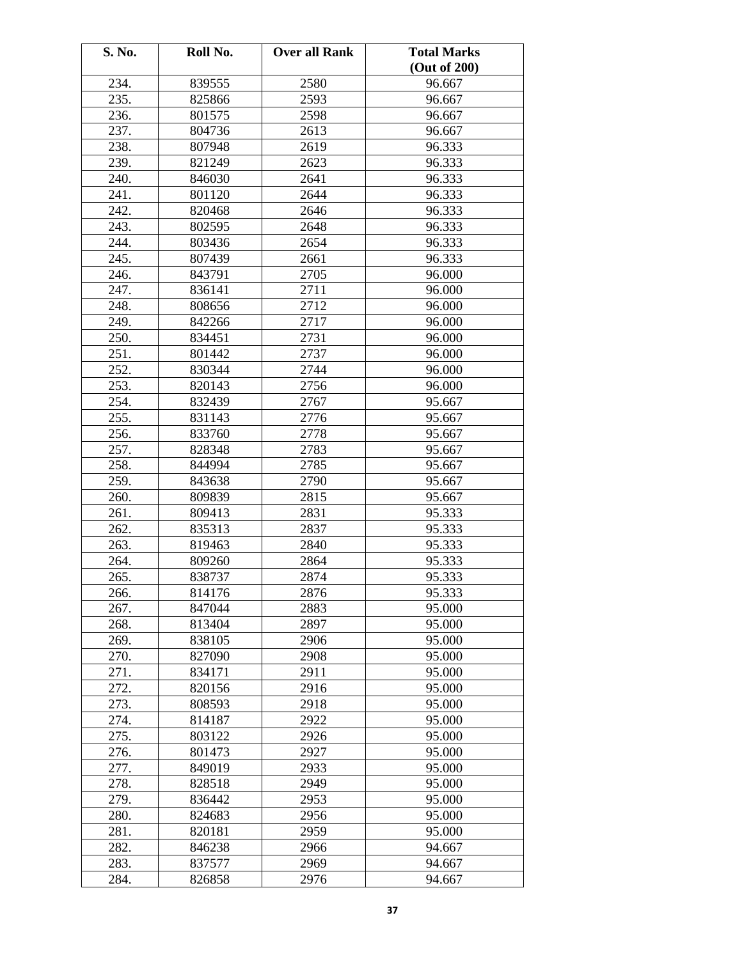| S. No. | Roll No. | <b>Over all Rank</b> | <b>Total Marks</b> |
|--------|----------|----------------------|--------------------|
|        |          |                      | (Out of 200)       |
| 234.   | 839555   | 2580                 | 96.667             |
| 235.   | 825866   | 2593                 | 96.667             |
| 236.   | 801575   | 2598                 | 96.667             |
| 237.   | 804736   | 2613                 | 96.667             |
| 238.   | 807948   | 2619                 | 96.333             |
| 239.   | 821249   | 2623                 | 96.333             |
| 240.   | 846030   | 2641                 | 96.333             |
| 241.   | 801120   | 2644                 | 96.333             |
| 242.   | 820468   | 2646                 | 96.333             |
| 243.   | 802595   | 2648                 | 96.333             |
| 244.   | 803436   | 2654                 | 96.333             |
| 245.   | 807439   | 2661                 | 96.333             |
| 246.   | 843791   | 2705                 | 96.000             |
| 247.   | 836141   | 2711                 | 96.000             |
| 248.   | 808656   | 2712                 | 96.000             |
| 249.   | 842266   | 2717                 | 96.000             |
| 250.   | 834451   | 2731                 | 96.000             |
| 251.   | 801442   | 2737                 | 96.000             |
| 252.   | 830344   | 2744                 | 96.000             |
| 253.   | 820143   | 2756                 | 96.000             |
| 254.   | 832439   | 2767                 | 95.667             |
| 255.   | 831143   | 2776                 | 95.667             |
| 256.   | 833760   | 2778                 | 95.667             |
| 257.   | 828348   | 2783                 | 95.667             |
| 258.   | 844994   | 2785                 | 95.667             |
| 259.   | 843638   | 2790                 | 95.667             |
| 260.   | 809839   | 2815                 | 95.667             |
| 261.   | 809413   | 2831                 | 95.333             |
| 262.   | 835313   | 2837                 | 95.333             |
| 263.   | 819463   | 2840                 | 95.333             |
| 264.   | 809260   | 2864                 | 95.333             |
| 265.   | 838737   | 2874                 | 95.333             |
| 266.   | 814176   | 2876                 | 95.333             |
| 267.   | 847044   | 2883                 | 95.000             |
| 268.   | 813404   | 2897                 | 95.000             |
| 269.   | 838105   | 2906                 | 95.000             |
| 270.   | 827090   | 2908                 | 95.000             |
| 271.   | 834171   | 2911                 | 95.000             |
| 272.   | 820156   | 2916                 | 95.000             |
| 273.   | 808593   | 2918                 | 95.000             |
| 274.   | 814187   | 2922                 | 95.000             |
| 275.   | 803122   | 2926                 | 95.000             |
| 276.   | 801473   | 2927                 | 95.000             |
| 277.   | 849019   | 2933                 | 95.000             |
| 278.   | 828518   | 2949                 | 95.000             |
| 279.   | 836442   | 2953                 | 95.000             |
| 280.   | 824683   | 2956                 | 95.000             |
| 281.   | 820181   | 2959                 | 95.000             |
| 282.   | 846238   | 2966                 | 94.667             |
| 283.   | 837577   | 2969                 | 94.667             |
| 284.   | 826858   | 2976                 | 94.667             |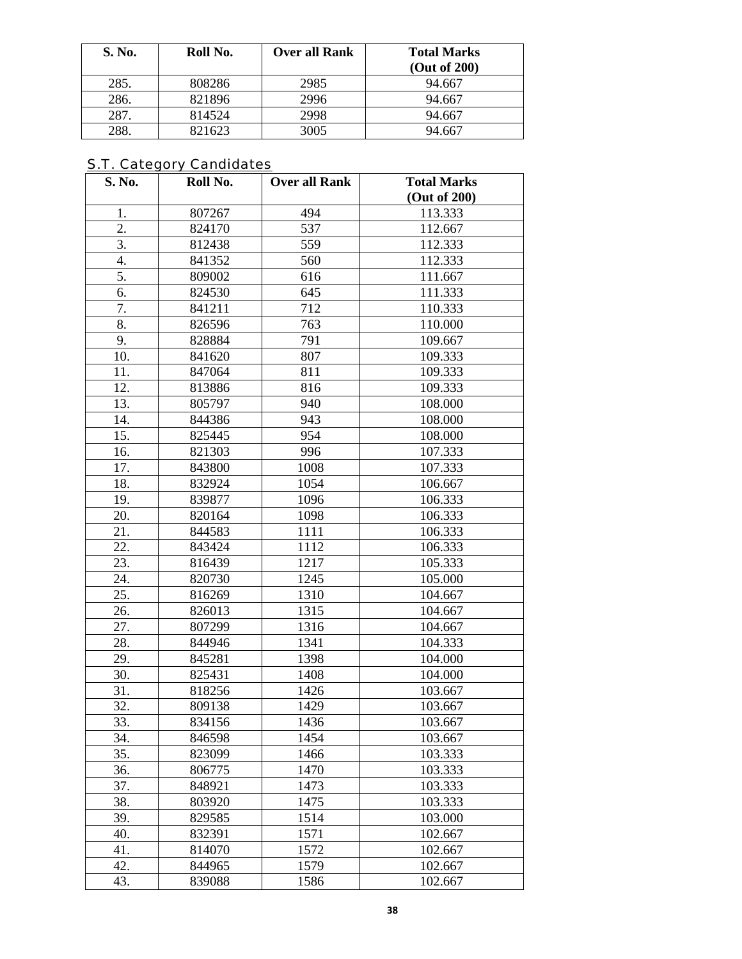| S. No. | Roll No. | Over all Rank | <b>Total Marks</b><br>(Out of 200) |
|--------|----------|---------------|------------------------------------|
| 285.   | 808286   | 2985          | 94.667                             |
| 286.   | 821896   | 2996          | 94.667                             |
| 287.   | 814524   | 2998          | 94.667                             |
| 288.   | 821623   | 3005          | 94.667                             |

## S.T. Category Candidates

| S. No.           | Roll No. | <b>Over all Rank</b> | <b>Total Marks</b> |
|------------------|----------|----------------------|--------------------|
|                  |          |                      | (Out of 200)       |
| 1.               | 807267   | 494                  | 113.333            |
| $\overline{2}$ . | 824170   | 537                  | 112.667            |
| 3.               | 812438   | 559                  | 112.333            |
| 4.               | 841352   | 560                  | 112.333            |
| 5.               | 809002   | 616                  | 111.667            |
| 6.               | 824530   | 645                  | 111.333            |
| 7.               | 841211   | 712                  | 110.333            |
| 8.               | 826596   | 763                  | 110.000            |
| 9.               | 828884   | 791                  | 109.667            |
| 10.              | 841620   | 807                  | 109.333            |
| 11.              | 847064   | 811                  | 109.333            |
| 12.              | 813886   | 816                  | 109.333            |
| 13.              | 805797   | 940                  | 108.000            |
| 14.              | 844386   | 943                  | 108.000            |
| 15.              | 825445   | 954                  | 108.000            |
| 16.              | 821303   | 996                  | 107.333            |
| 17.              | 843800   | 1008                 | 107.333            |
| 18.              | 832924   | 1054                 | 106.667            |
| 19.              | 839877   | 1096                 | 106.333            |
| 20.              | 820164   | 1098                 | 106.333            |
| 21.              | 844583   | 1111                 | 106.333            |
| 22.              | 843424   | 1112                 | 106.333            |
| 23.              | 816439   | 1217                 | 105.333            |
| 24.              | 820730   | 1245                 | 105.000            |
| 25.              | 816269   | 1310                 | 104.667            |
| 26.              | 826013   | 1315                 | 104.667            |
| 27.              | 807299   | 1316                 | 104.667            |
| 28.              | 844946   | 1341                 | 104.333            |
| 29.              | 845281   | 1398                 | 104.000            |
| 30.              | 825431   | 1408                 | 104.000            |
| 31.              | 818256   | 1426                 | 103.667            |
| 32.              | 809138   | 1429                 | 103.667            |
| 33.              | 834156   | 1436                 | 103.667            |
| 34.              | 846598   | 1454                 | 103.667            |
| 35.              | 823099   | 1466                 | 103.333            |
| 36.              | 806775   | 1470                 | 103.333            |
| 37.              | 848921   | 1473                 | 103.333            |
| 38.              | 803920   | 1475                 | 103.333            |
| 39.              | 829585   | 1514                 | 103.000            |
| 40.              | 832391   | 1571                 | 102.667            |
| 41.              | 814070   | 1572                 | 102.667            |
| 42.              | 844965   | 1579                 | 102.667            |
| 43.              | 839088   | 1586                 | 102.667            |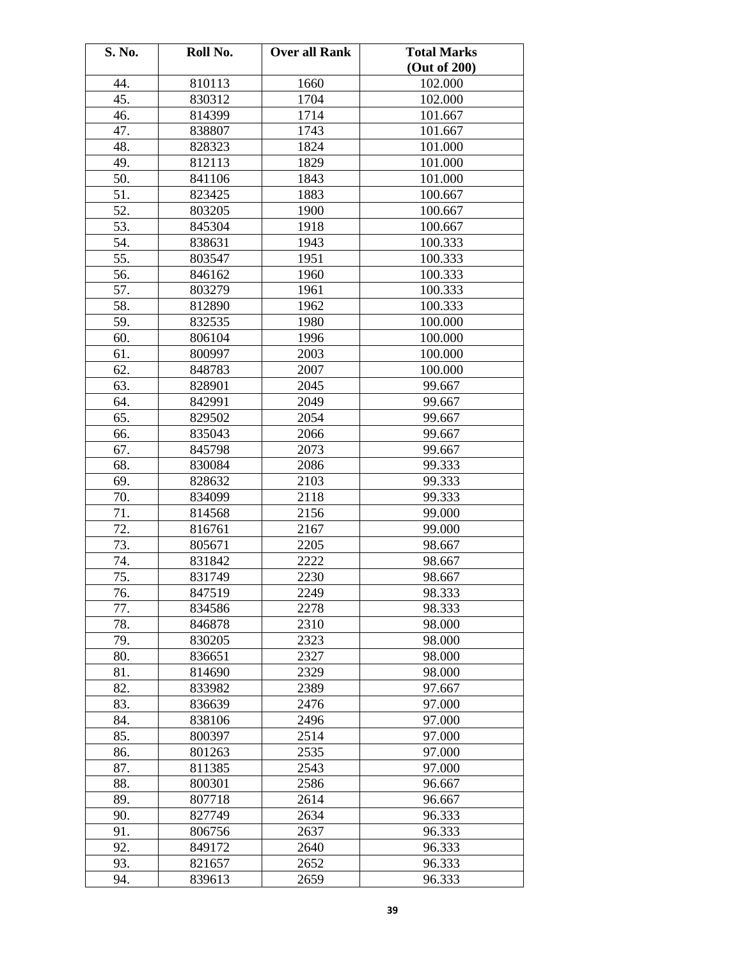| S. No. | Roll No. | <b>Over all Rank</b> | <b>Total Marks</b> |
|--------|----------|----------------------|--------------------|
|        |          |                      | (Out of 200)       |
| 44.    | 810113   | 1660                 | 102.000            |
| 45.    | 830312   | 1704                 | 102.000            |
| 46.    | 814399   | 1714                 | 101.667            |
| 47.    | 838807   | 1743                 | 101.667            |
| 48.    | 828323   | 1824                 | 101.000            |
| 49.    | 812113   | 1829                 | 101.000            |
| 50.    | 841106   | 1843                 | 101.000            |
| 51.    | 823425   | 1883                 | 100.667            |
| 52.    | 803205   | 1900                 | 100.667            |
| 53.    | 845304   | 1918                 | 100.667            |
| 54.    | 838631   | 1943                 | 100.333            |
| 55.    | 803547   | 1951                 | 100.333            |
| 56.    | 846162   | 1960                 | 100.333            |
| 57.    | 803279   | 1961                 | 100.333            |
| 58.    | 812890   | 1962                 | 100.333            |
| 59.    | 832535   | 1980                 | 100.000            |
| 60.    | 806104   | 1996                 | 100.000            |
| 61.    | 800997   | 2003                 | 100.000            |
| 62.    | 848783   | 2007                 | 100.000            |
| 63.    | 828901   | 2045                 | 99.667             |
| 64.    | 842991   | 2049                 | 99.667             |
| 65.    | 829502   | 2054                 | 99.667             |
| 66.    | 835043   | 2066                 | 99.667             |
| 67.    | 845798   | 2073                 | 99.667             |
| 68.    | 830084   | 2086                 | 99.333             |
| 69.    | 828632   | 2103                 | 99.333             |
| 70.    | 834099   | 2118                 | 99.333             |
| 71.    | 814568   | 2156                 | 99.000             |
| 72.    | 816761   | 2167                 | 99.000             |
| 73.    | 805671   | 2205                 | 98.667             |
| 74.    | 831842   | 2222                 | 98.667             |
| 75.    | 831749   | 2230                 | 98.667             |
| 76.    | 847519   | 2249                 | 98.333             |
| 77.    | 834586   | 2278                 | 98.333             |
| 78.    | 846878   | 2310                 | 98.000             |
| 79.    | 830205   | 2323                 | 98.000             |
| 80.    | 836651   | 2327                 | 98.000             |
| 81.    | 814690   | 2329                 | 98.000             |
| 82.    | 833982   | 2389                 | 97.667             |
| 83.    | 836639   | 2476                 | 97.000             |
| 84.    | 838106   | 2496                 | 97.000             |
| 85.    | 800397   | 2514                 | 97.000             |
| 86.    | 801263   | 2535                 | 97.000             |
| 87.    | 811385   | 2543                 | 97.000             |
| 88.    | 800301   | 2586                 | 96.667             |
| 89.    | 807718   | 2614                 | 96.667             |
| 90.    | 827749   | 2634                 | 96.333             |
| 91.    | 806756   | 2637                 | 96.333             |
| 92.    | 849172   | 2640                 | 96.333             |
| 93.    | 821657   | 2652                 | 96.333             |
| 94.    | 839613   | 2659                 | 96.333             |
|        |          |                      |                    |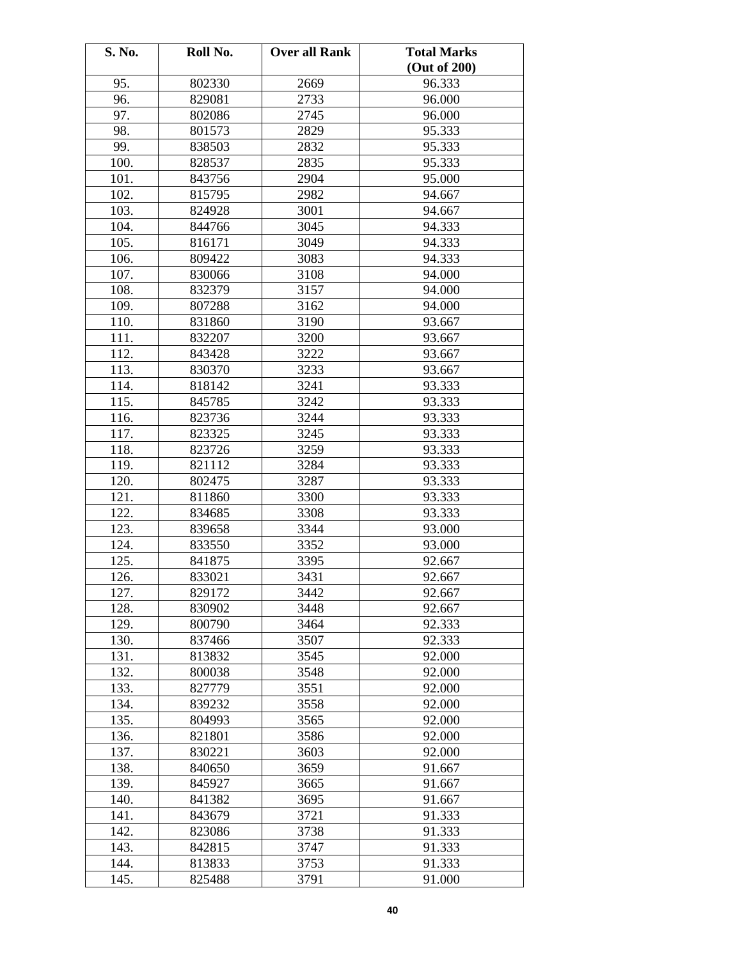| S. No. | Roll No. | <b>Over all Rank</b> | <b>Total Marks</b> |
|--------|----------|----------------------|--------------------|
|        |          |                      | (Out of 200)       |
| 95.    | 802330   | 2669                 | 96.333             |
| 96.    | 829081   | 2733                 | 96.000             |
| 97.    | 802086   | 2745                 | 96.000             |
| 98.    | 801573   | 2829                 | 95.333             |
| 99.    | 838503   | 2832                 | 95.333             |
| 100.   | 828537   | 2835                 | 95.333             |
| 101.   | 843756   | 2904                 | 95.000             |
| 102.   | 815795   | 2982                 | 94.667             |
| 103.   | 824928   | 3001                 | 94.667             |
| 104.   | 844766   | 3045                 | 94.333             |
| 105.   | 816171   | 3049                 | 94.333             |
| 106.   | 809422   | 3083                 | 94.333             |
| 107.   | 830066   | 3108                 | 94.000             |
| 108.   | 832379   | 3157                 | 94.000             |
| 109.   | 807288   | 3162                 | 94.000             |
| 110.   | 831860   | 3190                 | 93.667             |
| 111.   | 832207   | 3200                 | 93.667             |
| 112.   | 843428   | 3222                 | 93.667             |
| 113.   | 830370   | 3233                 | 93.667             |
| 114.   | 818142   | 3241                 | 93.333             |
| 115.   | 845785   | 3242                 | 93.333             |
| 116.   | 823736   | 3244                 | 93.333             |
| 117.   | 823325   | 3245                 | 93.333             |
| 118.   | 823726   | 3259                 | 93.333             |
| 119.   | 821112   | 3284                 | 93.333             |
| 120.   | 802475   | 3287                 | 93.333             |
| 121.   | 811860   | 3300                 | 93.333             |
| 122.   | 834685   | 3308                 | 93.333             |
| 123.   | 839658   | 3344                 | 93.000             |
| 124.   | 833550   | 3352                 | 93.000             |
| 125.   | 841875   | 3395                 | 92.667             |
| 126.   | 833021   | 3431                 | 92.667             |
| 127.   | 829172   | 3442                 | 92.667             |
| 128.   | 830902   | 3448                 | 92.667             |
| 129.   | 800790   | 3464                 | 92.333             |
| 130.   | 837466   | 3507                 | 92.333             |
| 131.   | 813832   | 3545                 | 92.000             |
| 132.   | 800038   | 3548                 | 92.000             |
| 133.   | 827779   | 3551                 | 92.000             |
| 134.   | 839232   | 3558                 | 92.000             |
| 135.   | 804993   | 3565                 | 92.000             |
| 136.   | 821801   | 3586                 | 92.000             |
| 137.   | 830221   | 3603                 | 92.000             |
| 138.   | 840650   | 3659                 | 91.667             |
| 139.   | 845927   | 3665                 | 91.667             |
| 140.   | 841382   | 3695                 | 91.667             |
| 141.   | 843679   | 3721                 | 91.333             |
| 142.   | 823086   | 3738                 | 91.333             |
| 143.   | 842815   | 3747                 | 91.333             |
| 144.   | 813833   | 3753                 | 91.333             |
| 145.   | 825488   | 3791                 | 91.000             |